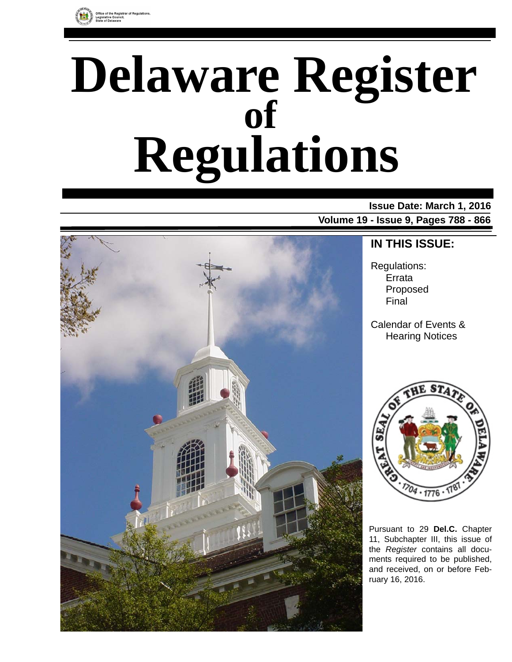

### e of the Registrar of Regulations,<br>slative Council,

# **Delaware Register Regulations of**

### **Issue Date: March 1, 2016**

**Volume 19 - Issue 9, Pages 788 - 866**



### **IN THIS ISSUE:**

Regulations: Errata Proposed Final

Calendar of Events & Hearing Notices



Pursuant to 29 **Del.C.** Chapter 11, Subchapter III, this issue of the *Register* contains all documents required to be published, and received, on or before February 16, 2016.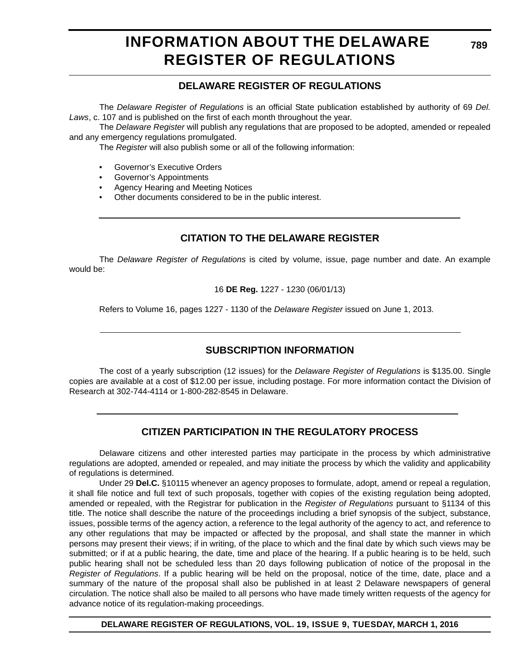# **INFORMATION ABOUT THE DELAWARE REGISTER OF REGULATIONS**

### **DELAWARE REGISTER OF REGULATIONS**

The *Delaware Register of Regulations* is an official State publication established by authority of 69 *Del. Laws*, c. 107 and is published on the first of each month throughout the year.

The *Delaware Register* will publish any regulations that are proposed to be adopted, amended or repealed and any emergency regulations promulgated.

The *Register* will also publish some or all of the following information:

- Governor's Executive Orders
- Governor's Appointments
- Agency Hearing and Meeting Notices
- Other documents considered to be in the public interest.

### **CITATION TO THE DELAWARE REGISTER**

The *Delaware Register of Regulations* is cited by volume, issue, page number and date. An example would be:

16 **DE Reg.** 1227 - 1230 (06/01/13)

Refers to Volume 16, pages 1227 - 1130 of the *Delaware Register* issued on June 1, 2013.

### **SUBSCRIPTION INFORMATION**

The cost of a yearly subscription (12 issues) for the *Delaware Register of Regulations* is \$135.00. Single copies are available at a cost of \$12.00 per issue, including postage. For more information contact the Division of Research at 302-744-4114 or 1-800-282-8545 in Delaware.

### **CITIZEN PARTICIPATION IN THE REGULATORY PROCESS**

Delaware citizens and other interested parties may participate in the process by which administrative regulations are adopted, amended or repealed, and may initiate the process by which the validity and applicability of regulations is determined.

Under 29 **Del.C.** §10115 whenever an agency proposes to formulate, adopt, amend or repeal a regulation, it shall file notice and full text of such proposals, together with copies of the existing regulation being adopted, amended or repealed, with the Registrar for publication in the *Register of Regulations* pursuant to §1134 of this title. The notice shall describe the nature of the proceedings including a brief synopsis of the subject, substance, issues, possible terms of the agency action, a reference to the legal authority of the agency to act, and reference to any other regulations that may be impacted or affected by the proposal, and shall state the manner in which persons may present their views; if in writing, of the place to which and the final date by which such views may be submitted; or if at a public hearing, the date, time and place of the hearing. If a public hearing is to be held, such public hearing shall not be scheduled less than 20 days following publication of notice of the proposal in the *Register of Regulations*. If a public hearing will be held on the proposal, notice of the time, date, place and a summary of the nature of the proposal shall also be published in at least 2 Delaware newspapers of general circulation. The notice shall also be mailed to all persons who have made timely written requests of the agency for advance notice of its regulation-making proceedings.

**DELAWARE REGISTER OF REGULATIONS, VOL. 19, ISSUE 9, TUESDAY, MARCH 1, 2016**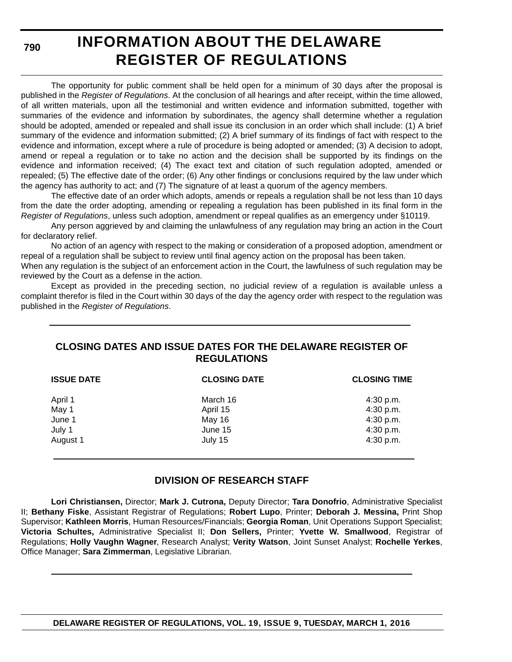**790**

# **INFORMATION ABOUT THE DELAWARE REGISTER OF REGULATIONS**

The opportunity for public comment shall be held open for a minimum of 30 days after the proposal is published in the *Register of Regulations*. At the conclusion of all hearings and after receipt, within the time allowed, of all written materials, upon all the testimonial and written evidence and information submitted, together with summaries of the evidence and information by subordinates, the agency shall determine whether a regulation should be adopted, amended or repealed and shall issue its conclusion in an order which shall include: (1) A brief summary of the evidence and information submitted; (2) A brief summary of its findings of fact with respect to the evidence and information, except where a rule of procedure is being adopted or amended; (3) A decision to adopt, amend or repeal a regulation or to take no action and the decision shall be supported by its findings on the evidence and information received; (4) The exact text and citation of such regulation adopted, amended or repealed; (5) The effective date of the order; (6) Any other findings or conclusions required by the law under which the agency has authority to act; and (7) The signature of at least a quorum of the agency members.

The effective date of an order which adopts, amends or repeals a regulation shall be not less than 10 days from the date the order adopting, amending or repealing a regulation has been published in its final form in the *Register of Regulations*, unless such adoption, amendment or repeal qualifies as an emergency under §10119.

Any person aggrieved by and claiming the unlawfulness of any regulation may bring an action in the Court for declaratory relief.

No action of an agency with respect to the making or consideration of a proposed adoption, amendment or repeal of a regulation shall be subject to review until final agency action on the proposal has been taken.

When any regulation is the subject of an enforcement action in the Court, the lawfulness of such regulation may be reviewed by the Court as a defense in the action.

Except as provided in the preceding section, no judicial review of a regulation is available unless a complaint therefor is filed in the Court within 30 days of the day the agency order with respect to the regulation was published in the *Register of Regulations*.

### **CLOSING DATES AND ISSUE DATES FOR THE DELAWARE REGISTER OF REGULATIONS**

| <b>ISSUE DATE</b> | <b>CLOSING DATE</b> | <b>CLOSING TIME</b> |
|-------------------|---------------------|---------------------|
| April 1           | March 16            | $4:30$ p.m.         |
| May 1             | April 15            | 4:30 p.m.           |
| June 1            | May 16              | 4:30 p.m.           |
| July 1            | June 15             | 4:30 p.m.           |
| August 1          | July 15             | 4:30 p.m.           |

### **DIVISION OF RESEARCH STAFF**

**Lori Christiansen,** Director; **Mark J. Cutrona,** Deputy Director; **Tara Donofrio**, Administrative Specialist II; **Bethany Fiske**, Assistant Registrar of Regulations; **Robert Lupo**, Printer; **Deborah J. Messina,** Print Shop Supervisor; **Kathleen Morris**, Human Resources/Financials; **Georgia Roman**, Unit Operations Support Specialist; **Victoria Schultes,** Administrative Specialist II; **Don Sellers,** Printer; **Yvette W. Smallwood**, Registrar of Regulations; **Holly Vaughn Wagner**, Research Analyst; **Verity Watson**, Joint Sunset Analyst; **Rochelle Yerkes**, Office Manager; **Sara Zimmerman**, Legislative Librarian.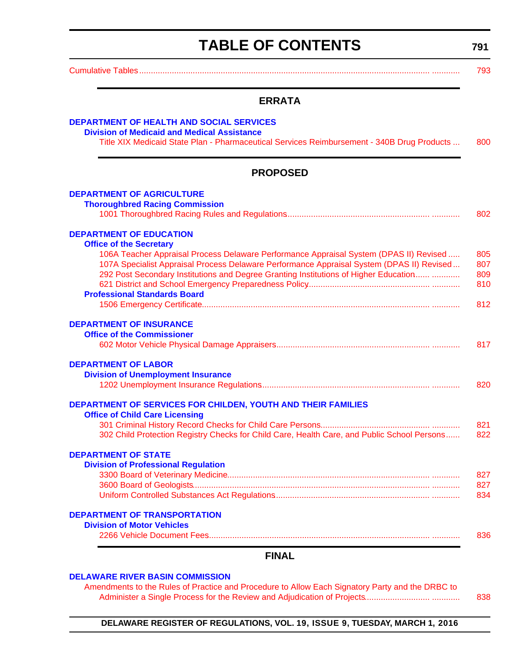# **TABLE OF CONTENTS**

**791**

<span id="page-3-0"></span>[Cumulative Tables............................................................................................................................. ............ 793](#page-5-0)

### **ERRATA**

| <b>DEPARTMENT OF HEALTH AND SOCIAL SERVICES</b><br><b>Division of Medicaid and Medical Assistance</b>                                                                                                                                                                       |                   |
|-----------------------------------------------------------------------------------------------------------------------------------------------------------------------------------------------------------------------------------------------------------------------------|-------------------|
| Title XIX Medicaid State Plan - Pharmaceutical Services Reimbursement - 340B Drug Products                                                                                                                                                                                  | 800               |
| <b>PROPOSED</b>                                                                                                                                                                                                                                                             |                   |
| <b>DEPARTMENT OF AGRICULTURE</b>                                                                                                                                                                                                                                            |                   |
| <b>Thoroughbred Racing Commission</b>                                                                                                                                                                                                                                       | 802               |
| <b>DEPARTMENT OF EDUCATION</b><br><b>Office of the Secretary</b>                                                                                                                                                                                                            |                   |
| 106A Teacher Appraisal Process Delaware Performance Appraisal System (DPAS II) Revised<br>107A Specialist Appraisal Process Delaware Performance Appraisal System (DPAS II) Revised<br>292 Post Secondary Institutions and Degree Granting Institutions of Higher Education | 805<br>807<br>809 |
| <b>Professional Standards Board</b>                                                                                                                                                                                                                                         | 810<br>812        |
| <b>DEPARTMENT OF INSURANCE</b>                                                                                                                                                                                                                                              |                   |
| <b>Office of the Commissioner</b>                                                                                                                                                                                                                                           | 817               |
| <b>DEPARTMENT OF LABOR</b><br><b>Division of Unemployment Insurance</b>                                                                                                                                                                                                     |                   |
|                                                                                                                                                                                                                                                                             | 820               |
| DEPARTMENT OF SERVICES FOR CHILDEN, YOUTH AND THEIR FAMILIES<br><b>Office of Child Care Licensing</b>                                                                                                                                                                       |                   |
| 302 Child Protection Registry Checks for Child Care, Health Care, and Public School Persons                                                                                                                                                                                 | 821<br>822        |
| <b>DEPARTMENT OF STATE</b><br><b>Division of Professional Regulation</b>                                                                                                                                                                                                    |                   |
|                                                                                                                                                                                                                                                                             | 827<br>827        |
|                                                                                                                                                                                                                                                                             | 834.              |
| <b>DEPARTMENT OF TRANSPORTATION</b><br><b>Division of Motor Vehicles</b>                                                                                                                                                                                                    | 836               |
| <b>FINAL</b>                                                                                                                                                                                                                                                                |                   |

#### **[DELAWARE RIVER BASIN COMMISSION](http://www.nj.gov/drbc/)**

Amendments to the Rules of Practice and Procedure to Allow Each Signatory Party and the DRBC to [Administer a Single Process for the Review and Adjudication of Projects............................ ............ 838](#page-50-0)

**DELAWARE REGISTER OF REGULATIONS, VOL. 19, ISSUE 9, TUESDAY, MARCH 1, 2016**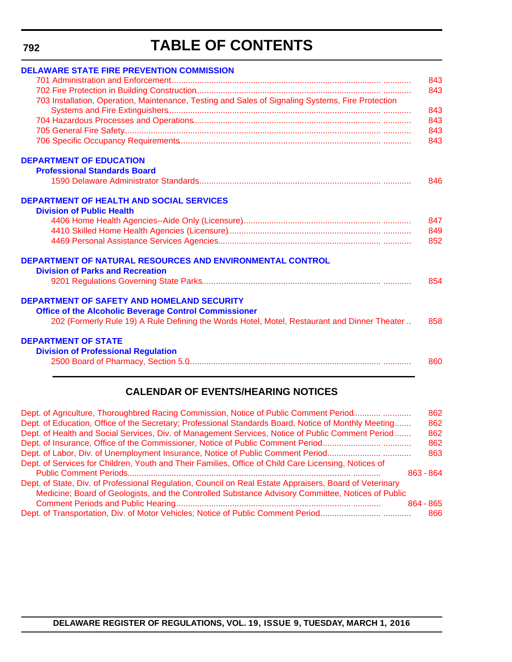**792**

# **TABLE OF CONTENTS**

| <b>DELAWARE STATE FIRE PREVENTION COMMISSION</b>                                                            |     |
|-------------------------------------------------------------------------------------------------------------|-----|
|                                                                                                             | 843 |
|                                                                                                             | 843 |
| 703 Installation, Operation, Maintenance, Testing and Sales of Signaling Systems, Fire Protection           | 843 |
|                                                                                                             |     |
|                                                                                                             | 843 |
|                                                                                                             | 843 |
|                                                                                                             | 843 |
| <b>DEPARTMENT OF EDUCATION</b>                                                                              |     |
| <b>Professional Standards Board</b>                                                                         |     |
|                                                                                                             | 846 |
| <b>DEPARTMENT OF HEALTH AND SOCIAL SERVICES</b><br><b>Division of Public Health</b>                         |     |
|                                                                                                             |     |
|                                                                                                             | 847 |
|                                                                                                             | 849 |
|                                                                                                             | 852 |
| <b>DEPARTMENT OF NATURAL RESOURCES AND ENVIRONMENTAL CONTROL</b><br><b>Division of Parks and Recreation</b> |     |
|                                                                                                             |     |
|                                                                                                             | 854 |
| DEPARTMENT OF SAFETY AND HOMELAND SECURITY<br><b>Office of the Alcoholic Beverage Control Commissioner</b>  |     |
| 202 (Formerly Rule 19) A Rule Defining the Words Hotel, Motel, Restaurant and Dinner Theater                | 858 |
| <b>DEPARTMENT OF STATE</b>                                                                                  |     |
| <b>Division of Professional Regulation</b>                                                                  |     |
|                                                                                                             | 860 |
|                                                                                                             |     |

### **CALENDAR OF EVENTS/HEARING NOTICES**

| Dept. of Agriculture, Thoroughbred Racing Commission, Notice of Public Comment Period                   |           | 862 |
|---------------------------------------------------------------------------------------------------------|-----------|-----|
| Dept. of Education, Office of the Secretary; Professional Standards Board, Notice of Monthly Meeting    |           | 862 |
| Dept. of Health and Social Services, Div. of Management Services, Notice of Public Comment Period       |           | 862 |
| Dept. of Insurance, Office of the Commissioner, Notice of Public Comment Period                         |           | 862 |
| Dept. of Labor, Div. of Unemployment Insurance, Notice of Public Comment Period                         |           | 863 |
| Dept. of Services for Children, Youth and Their Families, Office of Child Care Licensing, Notices of    |           |     |
|                                                                                                         | 863 - 864 |     |
| Dept. of State, Div. of Professional Regulation, Council on Real Estate Appraisers, Board of Veterinary |           |     |
| Medicine; Board of Geologists, and the Controlled Substance Advisory Committee, Notices of Public       |           |     |
|                                                                                                         | 864 - 865 |     |
|                                                                                                         |           | 866 |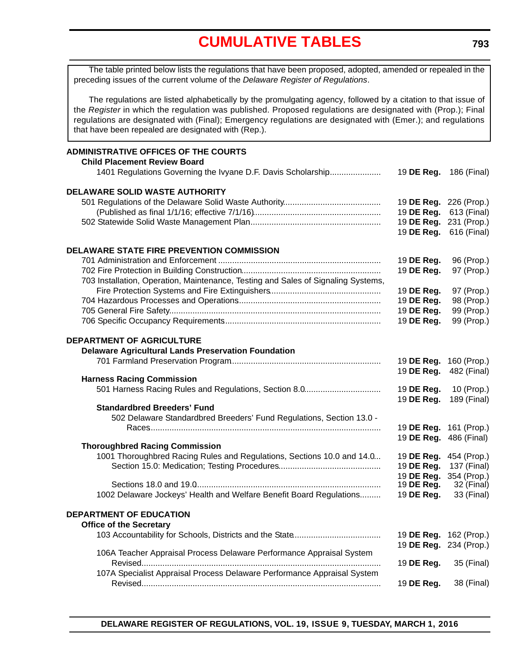<span id="page-5-0"></span>The table printed below lists the regulations that have been proposed, adopted, amended or repealed in the preceding issues of the current volume of the *Delaware Register of Regulations*.

The regulations are listed alphabetically by the promulgating agency, followed by a citation to that issue of the *Register* in which the regulation was published. Proposed regulations are designated with (Prop.); Final regulations are designated with (Final); Emergency regulations are designated with (Emer.); and regulations that have been repealed are designated with (Rep.).

| <b>ADMINISTRATIVE OFFICES OF THE COURTS</b><br><b>Child Placement Review Board</b> |                        |             |
|------------------------------------------------------------------------------------|------------------------|-------------|
| 1401 Regulations Governing the Ivyane D.F. Davis Scholarship                       | 19 DE Reg.             | 186 (Final) |
| <b>DELAWARE SOLID WASTE AUTHORITY</b>                                              |                        |             |
|                                                                                    | 19 DE Reg. 226 (Prop.) |             |
|                                                                                    | 19 DE Reg.             | 613 (Final) |
|                                                                                    | 19 DE Reg. 231 (Prop.) |             |
|                                                                                    | 19 DE Reg.             | 616 (Final) |
| DELAWARE STATE FIRE PREVENTION COMMISSION                                          |                        |             |
|                                                                                    | 19 DE Reg.             | 96 (Prop.)  |
|                                                                                    | 19 DE Reg.             | 97 (Prop.)  |
| 703 Installation, Operation, Maintenance, Testing and Sales of Signaling Systems,  |                        |             |
|                                                                                    | 19 DE Reg.             | 97 (Prop.)  |
|                                                                                    | 19 DE Reg.             | 98 (Prop.)  |
|                                                                                    | 19 DE Reg.             | 99 (Prop.)  |
|                                                                                    | 19 DE Reg.             | 99 (Prop.)  |
|                                                                                    |                        |             |
| <b>DEPARTMENT OF AGRICULTURE</b>                                                   |                        |             |
| <b>Delaware Agricultural Lands Preservation Foundation</b>                         |                        |             |
|                                                                                    | 19 DE Reg.             | 160 (Prop.) |
|                                                                                    | 19 DE Reg.             | 482 (Final) |
| <b>Harness Racing Commission</b>                                                   |                        |             |
| 501 Harness Racing Rules and Regulations, Section 8.0                              | 19 DE Reg.             | 10 (Prop.)  |
|                                                                                    | 19 DE Reg.             | 189 (Final) |
| <b>Standardbred Breeders' Fund</b>                                                 |                        |             |
| 502 Delaware Standardbred Breeders' Fund Regulations, Section 13.0 -               |                        |             |
|                                                                                    | 19 DE Reg. 161 (Prop.) |             |
|                                                                                    | 19 DE Reg.             | 486 (Final) |
| <b>Thoroughbred Racing Commission</b>                                              |                        |             |
| 1001 Thoroughbred Racing Rules and Regulations, Sections 10.0 and 14.0             | 19 DE Reg. 454 (Prop.) |             |
|                                                                                    | 19 DE Reg.             | 137 (Final) |
|                                                                                    | 19 DE Reg.             | 354 (Prop.) |
|                                                                                    | 19 DE Reg.             | 32 (Final)  |
| 1002 Delaware Jockeys' Health and Welfare Benefit Board Regulations                | 19 DE Reg.             | 33 (Final)  |
| <b>DEPARTMENT OF EDUCATION</b>                                                     |                        |             |
| <b>Office of the Secretary</b>                                                     |                        |             |
|                                                                                    | 19 DE Reg.             | 162 (Prop.) |
|                                                                                    | 19 DE Reg.             | 234 (Prop.) |
| 106A Teacher Appraisal Process Delaware Performance Appraisal System               |                        |             |
|                                                                                    | 19 DE Reg.             | 35 (Final)  |
| 107A Specialist Appraisal Process Delaware Performance Appraisal System            |                        |             |
|                                                                                    | 19 DE Reg.             | 38 (Final)  |
|                                                                                    |                        |             |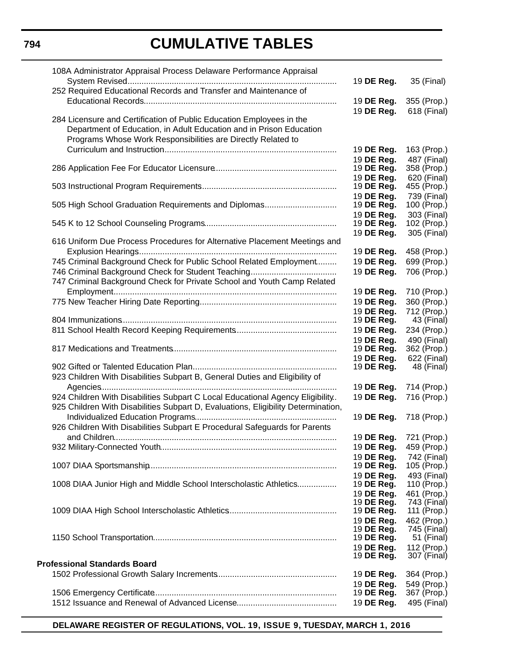| 108A Administrator Appraisal Process Delaware Performance Appraisal               |                          |                            |
|-----------------------------------------------------------------------------------|--------------------------|----------------------------|
|                                                                                   | 19 DE Reg.               | 35 (Final)                 |
| 252 Required Educational Records and Transfer and Maintenance of                  |                          |                            |
|                                                                                   | 19 DE Reg.               | 355 (Prop.)                |
| 284 Licensure and Certification of Public Education Employees in the              | 19 DE Reg.               | 618 (Final)                |
| Department of Education, in Adult Education and in Prison Education               |                          |                            |
| Programs Whose Work Responsibilities are Directly Related to                      |                          |                            |
|                                                                                   | 19 DE Reg.               | 163 (Prop.)                |
|                                                                                   | 19 DE Req.               | 487 (Final)                |
|                                                                                   | 19 DE Reg.               | 358 (Prop.)                |
|                                                                                   | 19 DE Reg.               | 620 (Final)                |
|                                                                                   | 19 DE Reg.               | 455 (Prop.)                |
|                                                                                   | 19 DE Reg.               | 739 (Final)                |
| 505 High School Graduation Requirements and Diplomas                              | 19 DE Reg.               | 100 (Prop.)                |
|                                                                                   | 19 DE Reg.               | 303 (Final)                |
|                                                                                   | 19 DE Reg.               | 102 (Prop.)<br>305 (Final) |
| 616 Uniform Due Process Procedures for Alternative Placement Meetings and         | 19 DE Reg.               |                            |
|                                                                                   | 19 DE Reg.               | 458 (Prop.)                |
| 745 Criminal Background Check for Public School Related Employment                | 19 DE Reg.               | 699 (Prop.)                |
|                                                                                   | 19 DE Reg.               | 706 (Prop.)                |
| 747 Criminal Background Check for Private School and Youth Camp Related           |                          |                            |
|                                                                                   | 19 DE Reg.               | 710 (Prop.)                |
|                                                                                   | 19 DE Reg.               | 360 (Prop.)                |
|                                                                                   | 19 DE Reg.               | 712 (Prop.)                |
|                                                                                   | 19 DE Reg.               | 43 (Final)                 |
|                                                                                   | 19 DE Reg.               | 234 (Prop.)                |
|                                                                                   | 19 DE Reg.               | 490 (Final)                |
|                                                                                   | 19 DE Reg.               | 362 (Prop.)                |
|                                                                                   | 19 DE Reg.<br>19 DE Reg. | 622 (Final)                |
| 923 Children With Disabilities Subpart B, General Duties and Eligibility of       |                          | 48 (Final)                 |
|                                                                                   | 19 DE Reg.               | 714 (Prop.)                |
| 924 Children With Disabilities Subpart C Local Educational Agency Eligibility.    | 19 DE Reg.               | 716 (Prop.)                |
| 925 Children With Disabilities Subpart D, Evaluations, Eligibility Determination, |                          |                            |
|                                                                                   | 19 DE Reg.               | 718 (Prop.)                |
| 926 Children With Disabilities Subpart E Procedural Safeguards for Parents        |                          |                            |
|                                                                                   | 19 DE Reg.               | 721 (Prop.)                |
|                                                                                   | 19 DE Reg.               | 459 (Prop.)                |
|                                                                                   | 19 DE Reg.               | 742 (Final)                |
|                                                                                   | 19 DE Reg.               | 105 (Prop.)                |
|                                                                                   | 19 DE Req.               | 493 (Final)                |
| 1008 DIAA Junior High and Middle School Interscholastic Athletics                 | 19 DE Reg.               | 110 (Prop.)                |
|                                                                                   | 19 DE Reg.               | 461 (Prop.)                |
|                                                                                   | 19 DE Reg.<br>19 DE Reg. | 743 (Final)<br>111 (Prop.) |
|                                                                                   | 19 DE Reg.               | 462 (Prop.)                |
|                                                                                   | 19 DE Reg.               | 745 (Final)                |
|                                                                                   | 19 DE Reg.               | 51 (Final)                 |
|                                                                                   | 19 DE Reg.               | 112 (Prop.)                |
| <b>Professional Standards Board</b>                                               | 19 DE Reg.               | 307 (Final)                |
|                                                                                   | 19 DE Reg.               |                            |
|                                                                                   | 19 DE Reg.               | 364 (Prop.)<br>549 (Prop.) |
|                                                                                   | 19 DE Reg.               | 367 (Prop.)                |
|                                                                                   | 19 DE Reg.               | 495 (Final)                |
|                                                                                   |                          |                            |

**DELAWARE REGISTER OF REGULATIONS, VOL. 19, ISSUE 9, TUESDAY, MARCH 1, 2016**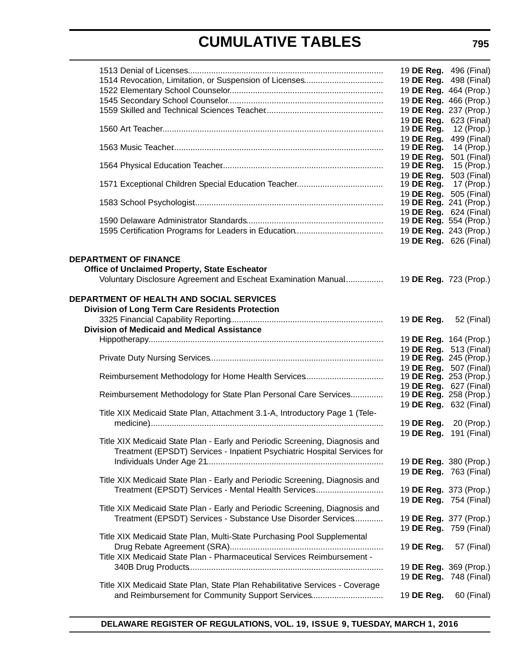|                                                                              | 19 DE Reg. 496 (Final) |             |
|------------------------------------------------------------------------------|------------------------|-------------|
|                                                                              | 19 DE Reg. 498 (Final) |             |
|                                                                              | 19 DE Reg. 464 (Prop.) |             |
|                                                                              | 19 DE Reg. 466 (Prop.) |             |
|                                                                              | 19 DE Reg. 237 (Prop.) |             |
|                                                                              | 19 DE Reg. 623 (Final) |             |
|                                                                              | 19 DE Reg.             | 12 (Prop.)  |
|                                                                              | 19 DE Reg.             | 499 (Final) |
|                                                                              | 19 DE Reg.             | 14 (Prop.)  |
|                                                                              |                        |             |
|                                                                              | 19 DE Reg.             | 501 (Final) |
|                                                                              | 19 DE Reg.             | 15 (Prop.)  |
|                                                                              | 19 DE Reg.             | 503 (Final) |
|                                                                              | 19 DE Reg.             | 17 (Prop.)  |
|                                                                              | 19 DE Reg.             | 505 (Final) |
|                                                                              | 19 DE Reg. 241 (Prop.) |             |
|                                                                              | 19 DE Reg. 624 (Final) |             |
|                                                                              | 19 DE Reg. 554 (Prop.) |             |
|                                                                              | 19 DE Reg. 243 (Prop.) |             |
|                                                                              | 19 DE Reg. 626 (Final) |             |
|                                                                              |                        |             |
| <b>DEPARTMENT OF FINANCE</b>                                                 |                        |             |
|                                                                              |                        |             |
| Office of Unclaimed Property, State Escheator                                |                        |             |
| Voluntary Disclosure Agreement and Escheat Examination Manual                | 19 DE Reg. 723 (Prop.) |             |
|                                                                              |                        |             |
| <b>DEPARTMENT OF HEALTH AND SOCIAL SERVICES</b>                              |                        |             |
| <b>Division of Long Term Care Residents Protection</b>                       |                        |             |
|                                                                              | 19 DE Reg.             | 52 (Final)  |
| <b>Division of Medicaid and Medical Assistance</b>                           |                        |             |
|                                                                              |                        |             |
|                                                                              | 19 DE Reg. 164 (Prop.) |             |
|                                                                              | 19 DE Reg. 513 (Final) |             |
|                                                                              | 19 DE Reg. 245 (Prop.) |             |
|                                                                              | 19 DE Reg. 507 (Final) |             |
|                                                                              | 19 DE Reg. 253 (Prop.) |             |
|                                                                              | 19 DE Reg. 627 (Final) |             |
| Reimbursement Methodology for State Plan Personal Care Services              | 19 DE Reg. 258 (Prop.) |             |
|                                                                              | 19 DE Reg. 632 (Final) |             |
| Title XIX Medicaid State Plan, Attachment 3.1-A, Introductory Page 1 (Tele-  |                        |             |
|                                                                              | 19 DE Reg. 20 (Prop.)  |             |
|                                                                              | 19 DE Reg. 191 (Final) |             |
| Title XIX Medicaid State Plan - Early and Periodic Screening, Diagnosis and  |                        |             |
|                                                                              |                        |             |
| Treatment (EPSDT) Services - Inpatient Psychiatric Hospital Services for     |                        |             |
|                                                                              | 19 DE Reg. 380 (Prop.) |             |
|                                                                              | 19 DE Reg. 763 (Final) |             |
| Title XIX Medicaid State Plan - Early and Periodic Screening, Diagnosis and  |                        |             |
| Treatment (EPSDT) Services - Mental Health Services                          | 19 DE Reg. 373 (Prop.) |             |
|                                                                              | 19 DE Reg. 754 (Final) |             |
| Title XIX Medicaid State Plan - Early and Periodic Screening, Diagnosis and  |                        |             |
| Treatment (EPSDT) Services - Substance Use Disorder Services                 | 19 DE Reg. 377 (Prop.) |             |
|                                                                              |                        |             |
|                                                                              | 19 DE Reg. 759 (Final) |             |
| Title XIX Medicaid State Plan, Multi-State Purchasing Pool Supplemental      |                        |             |
|                                                                              | 19 DE Reg.             | 57 (Final)  |
| Title XIX Medicaid State Plan - Pharmaceutical Services Reimbursement -      |                        |             |
|                                                                              | 19 DE Reg. 369 (Prop.) |             |
|                                                                              | 19 DE Reg. 748 (Final) |             |
| Title XIX Medicaid State Plan, State Plan Rehabilitative Services - Coverage |                        |             |
| and Reimbursement for Community Support Services                             | 19 DE Reg.             | 60 (Final)  |
|                                                                              |                        |             |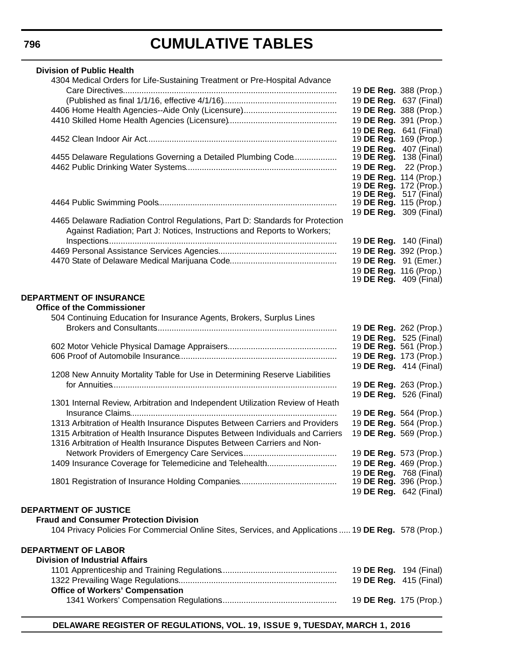| <b>Division of Public Health</b>                                                                                                                          |                               |  |
|-----------------------------------------------------------------------------------------------------------------------------------------------------------|-------------------------------|--|
| 4304 Medical Orders for Life-Sustaining Treatment or Pre-Hospital Advance                                                                                 |                               |  |
|                                                                                                                                                           | 19 DE Reg. 388 (Prop.)        |  |
|                                                                                                                                                           | 19 DE Reg. 637 (Final)        |  |
|                                                                                                                                                           | 19 DE Reg. 388 (Prop.)        |  |
|                                                                                                                                                           | 19 DE Reg. 391 (Prop.)        |  |
|                                                                                                                                                           | 19 DE Reg. 641 (Final)        |  |
|                                                                                                                                                           | 19 <b>DE Reg.</b> 169 (Prop.) |  |
|                                                                                                                                                           | 19 DE Reg. 407 (Final)        |  |
| 4455 Delaware Regulations Governing a Detailed Plumbing Code                                                                                              | 19 <b>DE Reg.</b> 138 (Final) |  |
|                                                                                                                                                           | 19 DE Reg. 22 (Prop.)         |  |
|                                                                                                                                                           | 19 DE Reg. 114 (Prop.)        |  |
|                                                                                                                                                           | 19 <b>DE Reg.</b> 172 (Prop.) |  |
|                                                                                                                                                           | 19 <b>DE Reg.</b> 517 (Final) |  |
|                                                                                                                                                           | 19 <b>DE Reg.</b> 115 (Prop.) |  |
|                                                                                                                                                           | 19 <b>DE Reg.</b> 309 (Final) |  |
| 4465 Delaware Radiation Control Regulations, Part D: Standards for Protection<br>Against Radiation; Part J: Notices, Instructions and Reports to Workers; |                               |  |
|                                                                                                                                                           | 19 <b>DE Reg.</b> 140 (Final) |  |
|                                                                                                                                                           | 19 DE Reg. 392 (Prop.)        |  |
|                                                                                                                                                           | 19 DE Reg. 91 (Emer.)         |  |
|                                                                                                                                                           | 19 DE Reg. 116 (Prop.)        |  |
|                                                                                                                                                           | 19 <b>DE Reg.</b> 409 (Final) |  |
|                                                                                                                                                           |                               |  |
| DEPARTMENT OF INSURANCE                                                                                                                                   |                               |  |
| <b>Office of the Commissioner</b>                                                                                                                         |                               |  |
| 504 Continuing Education for Insurance Agents, Brokers, Surplus Lines                                                                                     |                               |  |
|                                                                                                                                                           | 19 DE Reg. 262 (Prop.)        |  |
|                                                                                                                                                           | 19 DE Reg. 525 (Final)        |  |
|                                                                                                                                                           | 19 <b>DE Reg.</b> 561 (Prop.) |  |
|                                                                                                                                                           | 19 DE Reg. 173 (Prop.)        |  |
|                                                                                                                                                           | 19 DE Reg. 414 (Final)        |  |
| 1208 New Annuity Mortality Table for Use in Determining Reserve Liabilities                                                                               |                               |  |
|                                                                                                                                                           | 19 DE Reg. 263 (Prop.)        |  |
|                                                                                                                                                           | 19 DE Reg. 526 (Final)        |  |
| 1301 Internal Review, Arbitration and Independent Utilization Review of Heath                                                                             |                               |  |
|                                                                                                                                                           | 19 DE Reg. 564 (Prop.)        |  |
| 1313 Arbitration of Health Insurance Disputes Between Carriers and Providers                                                                              | 19 DE Reg. 564 (Prop.)        |  |
| 1315 Arbitration of Health Insurance Disputes Between Individuals and Carriers                                                                            | 19 DE Reg. 569 (Prop.)        |  |
| 1316 Arbitration of Health Insurance Disputes Between Carriers and Non-                                                                                   |                               |  |
|                                                                                                                                                           | 19 DE Reg. 573 (Prop.)        |  |
| 1409 Insurance Coverage for Telemedicine and Telehealth                                                                                                   | 19 DE Reg. 469 (Prop.)        |  |
|                                                                                                                                                           | 19 DE Reg. 768 (Final)        |  |
|                                                                                                                                                           | 19 <b>DE Reg.</b> 396 (Prop.) |  |
|                                                                                                                                                           | 19 DE Reg. 642 (Final)        |  |
|                                                                                                                                                           |                               |  |
| <b>DEPARTMENT OF JUSTICE</b>                                                                                                                              |                               |  |
| <b>Fraud and Consumer Protection Division</b>                                                                                                             |                               |  |
| 104 Privacy Policies For Commercial Online Sites, Services, and Applications  19 DE Reg. 578 (Prop.)                                                      |                               |  |
|                                                                                                                                                           |                               |  |
| <b>DEPARTMENT OF LABOR</b>                                                                                                                                |                               |  |
| <b>Division of Industrial Affairs</b>                                                                                                                     |                               |  |
|                                                                                                                                                           | 19 <b>DE Reg.</b> 194 (Final) |  |
|                                                                                                                                                           | 19 DE Reg. 415 (Final)        |  |
| <b>Office of Workers' Compensation</b>                                                                                                                    |                               |  |
|                                                                                                                                                           | 19 DE Reg. 175 (Prop.)        |  |
|                                                                                                                                                           |                               |  |

**DELAWARE REGISTER OF REGULATIONS, VOL. 19, ISSUE 9, TUESDAY, MARCH 1, 2016**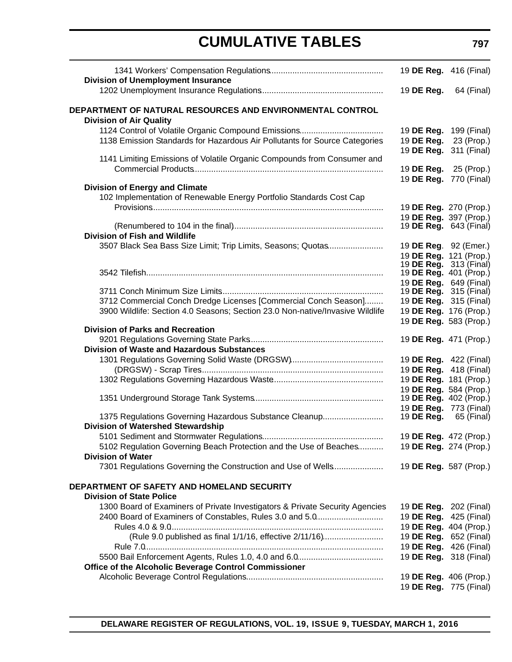|                                                                                             | 19 DE Reg. 416 (Final)                           |             |
|---------------------------------------------------------------------------------------------|--------------------------------------------------|-------------|
| <b>Division of Unemployment Insurance</b>                                                   |                                                  |             |
|                                                                                             | 19 DE Reg.                                       | 64 (Final)  |
| DEPARTMENT OF NATURAL RESOURCES AND ENVIRONMENTAL CONTROL<br><b>Division of Air Quality</b> |                                                  |             |
|                                                                                             | 19 DE Reg. 199 (Final)                           |             |
| 1138 Emission Standards for Hazardous Air Pollutants for Source Categories                  | 19 DE Reg.                                       | 23 (Prop.)  |
|                                                                                             | 19 DE Reg.                                       | 311 (Final) |
| 1141 Limiting Emissions of Volatile Organic Compounds from Consumer and                     |                                                  |             |
|                                                                                             | 19 <b>DE Reg.</b> 25 (Prop.)                     |             |
|                                                                                             | 19 DE Reg. 770 (Final)                           |             |
| <b>Division of Energy and Climate</b>                                                       |                                                  |             |
| 102 Implementation of Renewable Energy Portfolio Standards Cost Cap                         |                                                  |             |
|                                                                                             | 19 DE Reg. 270 (Prop.)                           |             |
|                                                                                             | 19 DE Reg. 397 (Prop.)                           |             |
| <b>Division of Fish and Wildlife</b>                                                        | 19 <b>DE Reg.</b> 643 (Final)                    |             |
| 3507 Black Sea Bass Size Limit; Trip Limits, Seasons; Quotas                                |                                                  |             |
|                                                                                             | 19 DE Reg. 92 (Emer.)<br>19 DE Reg. 121 (Prop.)  |             |
|                                                                                             | 19 <b>DE Reg.</b> 313 (Final)                    |             |
|                                                                                             | 19 DE Reg. 401 (Prop.)                           |             |
|                                                                                             | 19 DE Reg. 649 (Final)                           |             |
|                                                                                             | 19 <b>DE Reg.</b> 315 (Final)                    |             |
| 3712 Commercial Conch Dredge Licenses [Commercial Conch Season]                             | 19 DE Reg. 315 (Final)                           |             |
| 3900 Wildlife: Section 4.0 Seasons; Section 23.0 Non-native/Invasive Wildlife               | 19 DE Reg. 176 (Prop.)                           |             |
|                                                                                             | 19 DE Reg. 583 (Prop.)                           |             |
| <b>Division of Parks and Recreation</b>                                                     |                                                  |             |
|                                                                                             | 19 DE Reg. 471 (Prop.)                           |             |
| <b>Division of Waste and Hazardous Substances</b>                                           |                                                  |             |
|                                                                                             | 19 DE Reg. 422 (Final)<br>19 DE Reg. 418 (Final) |             |
|                                                                                             | 19 DE Reg. 181 (Prop.)                           |             |
|                                                                                             | 19 DE Reg. 584 (Prop.)                           |             |
|                                                                                             | 19 DE Reg. 402 (Prop.)                           |             |
|                                                                                             | 19 DE Reg. 773 (Final)                           |             |
| 1375 Regulations Governing Hazardous Substance Cleanup                                      | 19 <b>DE Reg.</b> 65 (Final)                     |             |
| <b>Division of Watershed Stewardship</b>                                                    |                                                  |             |
|                                                                                             | 19 DE Reg. 472 (Prop.)                           |             |
| 5102 Regulation Governing Beach Protection and the Use of Beaches                           | 19 DE Reg. 274 (Prop.)                           |             |
| <b>Division of Water</b>                                                                    |                                                  |             |
| 7301 Regulations Governing the Construction and Use of Wells                                | 19 DE Reg. 587 (Prop.)                           |             |
| DEPARTMENT OF SAFETY AND HOMELAND SECURITY                                                  |                                                  |             |
| <b>Division of State Police</b>                                                             |                                                  |             |
| 1300 Board of Examiners of Private Investigators & Private Security Agencies                | 19 DE Reg. 202 (Final)                           |             |
| 2400 Board of Examiners of Constables, Rules 3.0 and 5.0                                    | 19 DE Reg. 425 (Final)                           |             |
|                                                                                             | 19 DE Reg. 404 (Prop.)                           |             |
| (Rule 9.0 published as final 1/1/16, effective 2/11/16)                                     | 19 DE Reg. 652 (Final)                           |             |
|                                                                                             | 19 DE Reg. 426 (Final)                           |             |
|                                                                                             | 19 DE Reg. 318 (Final)                           |             |
| Office of the Alcoholic Beverage Control Commissioner                                       |                                                  |             |
|                                                                                             | 19 DE Reg. 406 (Prop.)                           |             |
|                                                                                             | 19 DE Reg. 775 (Final)                           |             |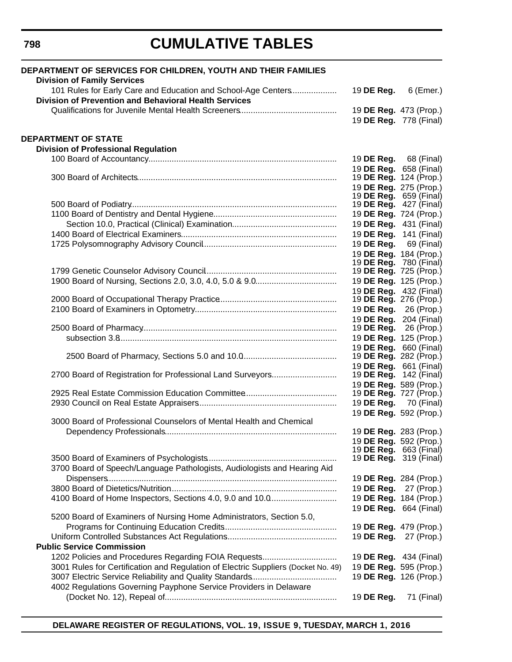| DEPARTMENT OF SERVICES FOR CHILDREN, YOUTH AND THEIR FAMILIES<br><b>Division of Family Services</b> |                                                  |                                                         |
|-----------------------------------------------------------------------------------------------------|--------------------------------------------------|---------------------------------------------------------|
| 101 Rules for Early Care and Education and School-Age Centers                                       | 19 DE Reg.                                       | 6 (Emer.)                                               |
| Division of Prevention and Behavioral Health Services                                               |                                                  |                                                         |
|                                                                                                     |                                                  | 19 DE Reg. 473 (Prop.)                                  |
|                                                                                                     |                                                  | 19 DE Reg. 778 (Final)                                  |
| <b>DEPARTMENT OF STATE</b>                                                                          |                                                  |                                                         |
| <b>Division of Professional Regulation</b>                                                          |                                                  |                                                         |
|                                                                                                     |                                                  | 19 <b>DE Reg.</b> 68 (Final)                            |
|                                                                                                     |                                                  | 19 DE Reg. 658 (Final)                                  |
|                                                                                                     |                                                  | 19 <b>DE Reg.</b> 124 (Prop.)                           |
|                                                                                                     | 19 DE Reg. 275 (Prop.)                           |                                                         |
|                                                                                                     | 19 <b>DE Reg.</b> 659 (Final)                    | 19 <b>DE Reg.</b> 427 (Final)                           |
|                                                                                                     | 19 DE Reg. 724 (Prop.)                           |                                                         |
|                                                                                                     |                                                  | 19 DE Reg. 431 (Final)                                  |
|                                                                                                     |                                                  | 19 DE Reg. 141 (Final)                                  |
|                                                                                                     |                                                  | 19 <b>DE Reg.</b> 69 (Final)                            |
|                                                                                                     |                                                  | 19 DE Reg. 184 (Prop.)                                  |
|                                                                                                     |                                                  | 19 <b>DE Reg.</b> 780 (Final)                           |
|                                                                                                     | 19 DE Reg. 725 (Prop.)                           |                                                         |
|                                                                                                     | 19 DE Reg. 125 (Prop.)                           |                                                         |
|                                                                                                     | 19 DE Reg. 432 (Final)                           |                                                         |
|                                                                                                     | 19 <b>DE Reg.</b> 276 (Prop.)                    |                                                         |
|                                                                                                     | 19 DE Reg. 26 (Prop.)                            |                                                         |
|                                                                                                     |                                                  | 19 DE Reg. 204 (Final)                                  |
|                                                                                                     |                                                  | 19 <b>DE Reg.</b> 26 (Prop.)                            |
|                                                                                                     | 19 DE Reg. 125 (Prop.)<br>19 DE Reg. 660 (Final) |                                                         |
|                                                                                                     |                                                  | 19 <b>DE Reg.</b> 282 (Prop.)                           |
|                                                                                                     | 19 DE Reg. 661 (Final)                           |                                                         |
| 2700 Board of Registration for Professional Land Surveyors                                          |                                                  | 19 <b>DE Reg.</b> 142 (Final)                           |
|                                                                                                     | 19 DE Reg. 589 (Prop.)                           |                                                         |
|                                                                                                     |                                                  | 19 <b>DE Reg.</b> 727 (Prop.)                           |
|                                                                                                     |                                                  | 19 <b>DE Reg.</b> 70 (Final)                            |
|                                                                                                     | 19 DE Reg. 592 (Prop.)                           |                                                         |
| 3000 Board of Professional Counselors of Mental Health and Chemical                                 |                                                  |                                                         |
|                                                                                                     |                                                  | 19 DE Reg. 283 (Prop.)                                  |
|                                                                                                     |                                                  | 19 DE Reg. 592 (Prop.)<br>19 <b>DE Reg.</b> 663 (Final) |
|                                                                                                     |                                                  | 19 <b>DE Reg.</b> 319 (Final)                           |
| 3700 Board of Speech/Language Pathologists, Audiologists and Hearing Aid                            |                                                  |                                                         |
|                                                                                                     |                                                  | 19 DE Reg. 284 (Prop.)                                  |
|                                                                                                     | 19 DE Reg.                                       | 27 (Prop.)                                              |
| 4100 Board of Home Inspectors, Sections 4.0, 9.0 and 10.0                                           | 19 DE Reg. 184 (Prop.)                           |                                                         |
|                                                                                                     | 19 DE Reg. 664 (Final)                           |                                                         |
| 5200 Board of Examiners of Nursing Home Administrators, Section 5.0,                                |                                                  |                                                         |
|                                                                                                     | 19 DE Reg. 479 (Prop.)                           |                                                         |
|                                                                                                     | 19 DE Reg.                                       | 27 (Prop.)                                              |
| <b>Public Service Commission</b>                                                                    |                                                  |                                                         |
| 1202 Policies and Procedures Regarding FOIA Requests                                                |                                                  | 19 <b>DE Reg.</b> 434 (Final)                           |
| 3001 Rules for Certification and Regulation of Electric Suppliers (Docket No. 49)                   | 19 DE Reg. 595 (Prop.)                           |                                                         |
|                                                                                                     |                                                  | 19 DE Reg. 126 (Prop.)                                  |
| 4002 Regulations Governing Payphone Service Providers in Delaware                                   |                                                  |                                                         |
|                                                                                                     | 19 DE Reg.                                       | 71 (Final)                                              |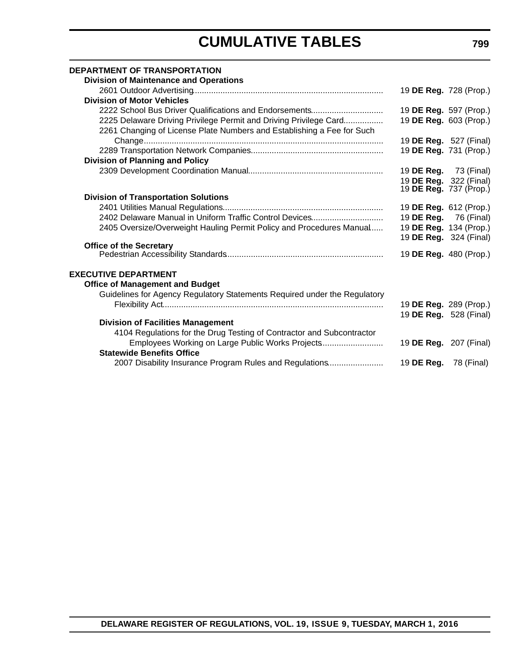| <b>DEPARTMENT OF TRANSPORTATION</b><br><b>Division of Maintenance and Operations</b> |                               |  |
|--------------------------------------------------------------------------------------|-------------------------------|--|
|                                                                                      | 19 DE Reg. 728 (Prop.)        |  |
| <b>Division of Motor Vehicles</b>                                                    |                               |  |
| 2222 School Bus Driver Qualifications and Endorsements                               | 19 DE Reg. 597 (Prop.)        |  |
| 2225 Delaware Driving Privilege Permit and Driving Privilege Card                    | 19 DE Reg. 603 (Prop.)        |  |
| 2261 Changing of License Plate Numbers and Establishing a Fee for Such               |                               |  |
|                                                                                      | 19 <b>DE Reg.</b> 527 (Final) |  |
|                                                                                      | 19 DE Reg. 731 (Prop.)        |  |
| <b>Division of Planning and Policy</b>                                               |                               |  |
|                                                                                      | 19 <b>DE Reg.</b> 73 (Final)  |  |
|                                                                                      | 19 DE Reg. 322 (Final)        |  |
|                                                                                      | 19 <b>DE Reg.</b> 737 (Prop.) |  |
| <b>Division of Transportation Solutions</b>                                          |                               |  |
|                                                                                      | 19 <b>DE Reg.</b> 612 (Prop.) |  |
| 2402 Delaware Manual in Uniform Traffic Control Devices                              | 19 <b>DE Reg.</b> 76 (Final)  |  |
| 2405 Oversize/Overweight Hauling Permit Policy and Procedures Manual                 | 19 DE Reg. 134 (Prop.)        |  |
|                                                                                      | 19 <b>DE Reg.</b> 324 (Final) |  |
| <b>Office of the Secretary</b>                                                       |                               |  |
|                                                                                      | 19 DE Reg. 480 (Prop.)        |  |
| <b>EXECUTIVE DEPARTMENT</b>                                                          |                               |  |
|                                                                                      |                               |  |
| <b>Office of Management and Budget</b>                                               |                               |  |
| Guidelines for Agency Regulatory Statements Required under the Regulatory            |                               |  |
|                                                                                      | 19 <b>DE Reg.</b> 289 (Prop.) |  |
|                                                                                      | 19 DE Reg. 528 (Final)        |  |
| <b>Division of Facilities Management</b>                                             |                               |  |
| 4104 Regulations for the Drug Testing of Contractor and Subcontractor                |                               |  |
| Employees Working on Large Public Works Projects                                     | 19 <b>DE Reg.</b> 207 (Final) |  |
| <b>Statewide Benefits Office</b>                                                     |                               |  |
| 2007 Disability Insurance Program Rules and Regulations                              | 19 <b>DE Reg.</b> 78 (Final)  |  |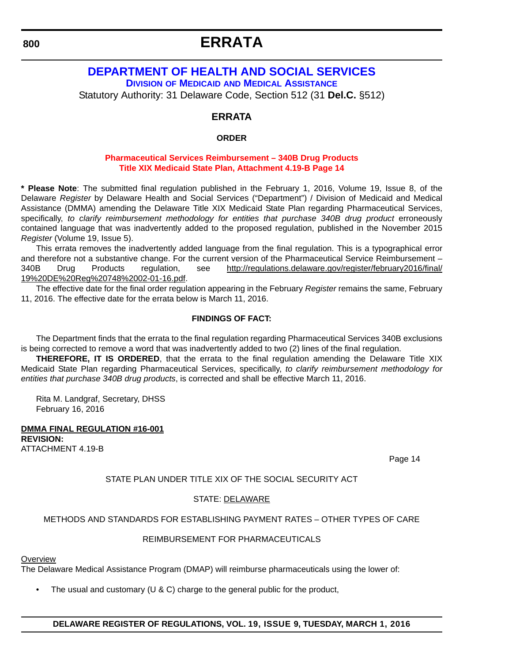# **ERRATA**

### <span id="page-12-0"></span>**800**

### **DEPARTMENT OF HEALTH AND SOCIAL SERVICES DIVISION OF MEDICAID [AND MEDICAL ASSISTANCE](http://www.dhss.delaware.gov/dhss/dmma/)**

Statutory Authority: 31 Delaware Code, Section 512 (31 **Del.C.** §512)

### **ERRATA**

### **ORDER**

#### **[Pharmaceutical Services Reimbursement – 340B Drug Products](#page-3-0) Title XIX Medicaid State Plan, Attachment 4.19-B Page 14**

**\* Please Note**: The submitted final regulation published in the February 1, 2016, Volume 19, Issue 8, of the Delaware *Register* by Delaware Health and Social Services ("Department") / Division of Medicaid and Medical Assistance (DMMA) amending the Delaware Title XIX Medicaid State Plan regarding Pharmaceutical Services, specifically, *to clarify reimbursement methodology for entities that purchase 340B drug product* erroneously contained language that was inadvertently added to the proposed regulation, published in the November 2015 *Register* (Volume 19, Issue 5).

This errata removes the inadvertently added language from the final regulation. This is a typographical error and therefore not a substantive change. For the current version of the Pharmaceutical Service Reimbursement – 340B Drug Products regulation, see [http://regulations.delaware.gov/register/february2016/final/](http://regulations.delaware.gov/register/february2016/final/19 DE Reg 748 02-01-16.pdf) [19%20DE%20Reg%20748%2002-01-16.pdf.](http://regulations.delaware.gov/register/february2016/final/19 DE Reg 748 02-01-16.pdf)

The effective date for the final order regulation appearing in the February *Register* remains the same, February 11, 2016. The effective date for the errata below is March 11, 2016.

#### **FINDINGS OF FACT:**

The Department finds that the errata to the final regulation regarding Pharmaceutical Services 340B exclusions is being corrected to remove a word that was inadvertently added to two (2) lines of the final regulation.

**THEREFORE, IT IS ORDERED**, that the errata to the final regulation amending the Delaware Title XIX Medicaid State Plan regarding Pharmaceutical Services, specifically, *to clarify reimbursement methodology for entities that purchase 340B drug products*, is corrected and shall be effective March 11, 2016.

Rita M. Landgraf, Secretary, DHSS February 16, 2016

#### **DMMA FINAL REGULATION #16-001 REVISION:**  ATTACHMENT 4.19-B

Page 14

#### STATE PLAN UNDER TITLE XIX OF THE SOCIAL SECURITY ACT

#### STATE: DELAWARE

#### METHODS AND STANDARDS FOR ESTABLISHING PAYMENT RATES – OTHER TYPES OF CARE

#### REIMBURSEMENT FOR PHARMACEUTICALS

#### **Overview**

The Delaware Medical Assistance Program (DMAP) will reimburse pharmaceuticals using the lower of:

The usual and customary ( $U & C$ ) charge to the general public for the product,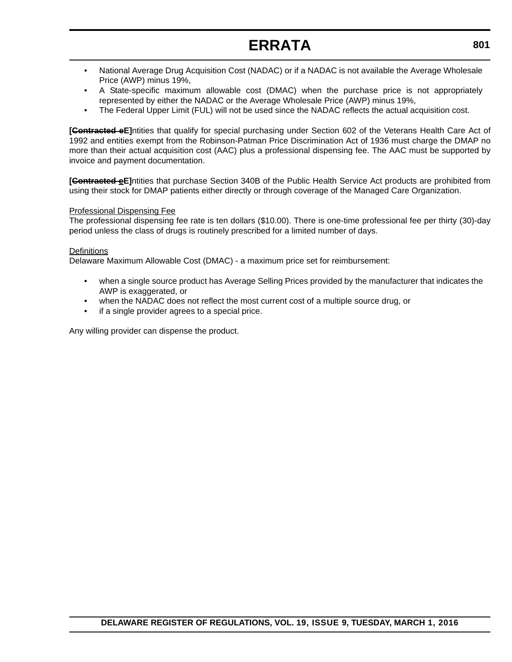# **ERRATA**

- National Average Drug Acquisition Cost (NADAC) or if a NADAC is not available the Average Wholesale Price (AWP) minus 19%,
- A State-specific maximum allowable cost (DMAC) when the purchase price is not appropriately represented by either the NADAC or the Average Wholesale Price (AWP) minus 19%,
- The Federal Upper Limit (FUL) will not be used since the NADAC reflects the actual acquisition cost.

**[Contracted eE]**ntities that qualify for special purchasing under Section 602 of the Veterans Health Care Act of 1992 and entities exempt from the Robinson-Patman Price Discrimination Act of 1936 must charge the DMAP no more than their actual acquisition cost (AAC) plus a professional dispensing fee. The AAC must be supported by invoice and payment documentation.

**[Contracted eE]**ntities that purchase Section 340B of the Public Health Service Act products are prohibited from using their stock for DMAP patients either directly or through coverage of the Managed Care Organization.

#### Professional Dispensing Fee

The professional dispensing fee rate is ten dollars (\$10.00). There is one-time professional fee per thirty (30)-day period unless the class of drugs is routinely prescribed for a limited number of days.

#### **Definitions**

Delaware Maximum Allowable Cost (DMAC) - a maximum price set for reimbursement:

- when a single source product has Average Selling Prices provided by the manufacturer that indicates the AWP is exaggerated, or
- when the NADAC does not reflect the most current cost of a multiple source drug, or
- if a single provider agrees to a special price.

Any willing provider can dispense the product.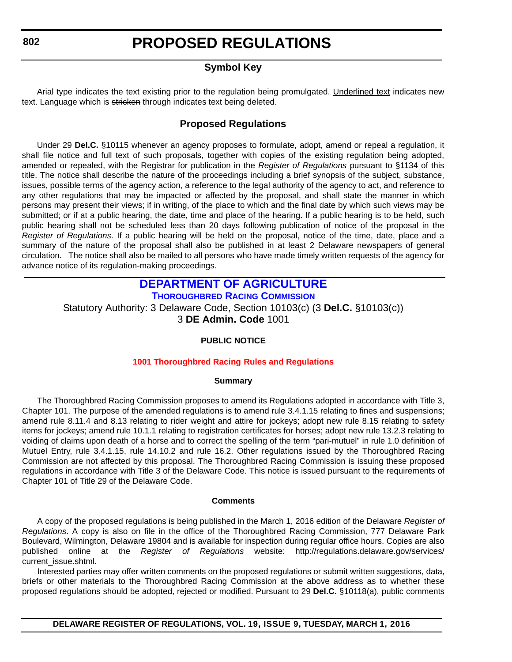<span id="page-14-0"></span>**802**

### **PROPOSED REGULATIONS**

### **Symbol Key**

Arial type indicates the text existing prior to the regulation being promulgated. Underlined text indicates new text. Language which is stricken through indicates text being deleted.

### **Proposed Regulations**

Under 29 **Del.C.** §10115 whenever an agency proposes to formulate, adopt, amend or repeal a regulation, it shall file notice and full text of such proposals, together with copies of the existing regulation being adopted, amended or repealed, with the Registrar for publication in the *Register of Regulations* pursuant to §1134 of this title. The notice shall describe the nature of the proceedings including a brief synopsis of the subject, substance, issues, possible terms of the agency action, a reference to the legal authority of the agency to act, and reference to any other regulations that may be impacted or affected by the proposal, and shall state the manner in which persons may present their views; if in writing, of the place to which and the final date by which such views may be submitted; or if at a public hearing, the date, time and place of the hearing. If a public hearing is to be held, such public hearing shall not be scheduled less than 20 days following publication of notice of the proposal in the *Register of Regulations*. If a public hearing will be held on the proposal, notice of the time, date, place and a summary of the nature of the proposal shall also be published in at least 2 Delaware newspapers of general circulation. The notice shall also be mailed to all persons who have made timely written requests of the agency for advance notice of its regulation-making proceedings.

### **[DEPARTMENT OF AGRICULTURE](http://dda.delaware.gov/)**

**[THOROUGHBRED RACING COMMISSION](http://dda.delaware.gov/thoroughbred/index.shtml)**

Statutory Authority: 3 Delaware Code, Section 10103(c) (3 **Del.C.** §10103(c)) 3 **DE Admin. Code** 1001

#### **PUBLIC NOTICE**

#### **[1001 Thoroughbred Racing](#page-3-0) Rules and Regulations**

#### **Summary**

The Thoroughbred Racing Commission proposes to amend its Regulations adopted in accordance with Title 3, Chapter 101. The purpose of the amended regulations is to amend rule 3.4.1.15 relating to fines and suspensions; amend rule 8.11.4 and 8.13 relating to rider weight and attire for jockeys; adopt new rule 8.15 relating to safety items for jockeys; amend rule 10.1.1 relating to registration certificates for horses; adopt new rule 13.2.3 relating to voiding of claims upon death of a horse and to correct the spelling of the term "pari-mutuel" in rule 1.0 definition of Mutuel Entry, rule 3.4.1.15, rule 14.10.2 and rule 16.2. Other regulations issued by the Thoroughbred Racing Commission are not affected by this proposal. The Thoroughbred Racing Commission is issuing these proposed regulations in accordance with Title 3 of the Delaware Code. This notice is issued pursuant to the requirements of Chapter 101 of Title 29 of the Delaware Code.

#### **Comments**

A copy of the proposed regulations is being published in the March 1, 2016 edition of the Delaware *Register of Regulations*. A copy is also on file in the office of the Thoroughbred Racing Commission, 777 Delaware Park Boulevard, Wilmington, Delaware 19804 and is available for inspection during regular office hours. Copies are also published online at the *Register of Regulations* website: http://regulations.delaware.gov/services/ current\_issue.shtml.

Interested parties may offer written comments on the proposed regulations or submit written suggestions, data, briefs or other materials to the Thoroughbred Racing Commission at the above address as to whether these proposed regulations should be adopted, rejected or modified. Pursuant to 29 **Del.C.** §10118(a), public comments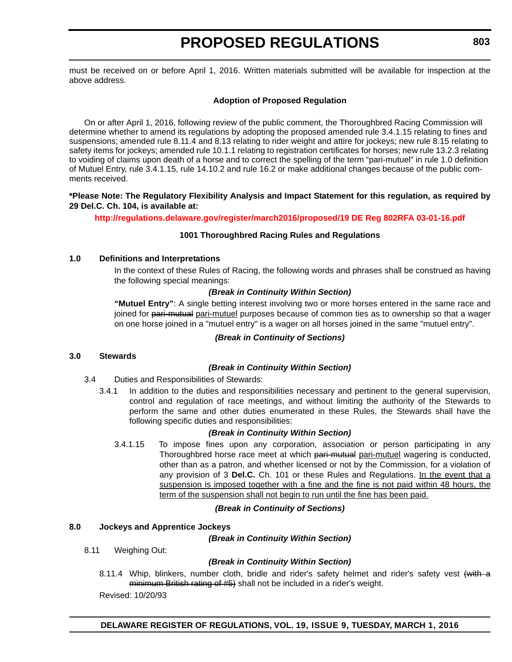must be received on or before April 1, 2016. Written materials submitted will be available for inspection at the above address.

#### **Adoption of Proposed Regulation**

On or after April 1, 2016, following review of the public comment, the Thoroughbred Racing Commission will determine whether to amend its regulations by adopting the proposed amended rule 3.4.1.15 relating to fines and suspensions; amended rule 8.11.4 and 8.13 relating to rider weight and attire for jockeys; new rule 8.15 relating to safety items for jockeys; amended rule 10.1.1 relating to registration certificates for horses; new rule 13.2.3 relating to voiding of claims upon death of a horse and to correct the spelling of the term "pari-mutuel" in rule 1.0 definition of Mutuel Entry, rule 3.4.1.15, rule 14.10.2 and rule 16.2 or make additional changes because of the public comments received.

#### **\*Please Note: The Regulatory Flexibility Analysis and Impact Statement for this regulation, as required by 29 Del.C. Ch. 104, is available at:**

**<http://regulations.delaware.gov/register/march2016/proposed/19 DE Reg 802RFA 03-01-16.pdf>**

#### **1001 Thoroughbred Racing Rules and Regulations**

#### **1.0 Definitions and Interpretations**

In the context of these Rules of Racing, the following words and phrases shall be construed as having the following special meanings:

#### *(Break in Continuity Within Section)*

**"Mutuel Entry"**: A single betting interest involving two or more horses entered in the same race and joined for pari-mutual pari-mutuel purposes because of common ties as to ownership so that a wager on one horse joined in a "mutuel entry" is a wager on all horses joined in the same "mutuel entry".

#### *(Break in Continuity of Sections)*

#### **3.0 Stewards**

#### *(Break in Continuity Within Section)*

- 3.4 Duties and Responsibilities of Stewards:
	- 3.4.1 In addition to the duties and responsibilities necessary and pertinent to the general supervision, control and regulation of race meetings, and without limiting the authority of the Stewards to perform the same and other duties enumerated in these Rules, the Stewards shall have the following specific duties and responsibilities:

#### *(Break in Continuity Within Section)*

3.4.1.15 To impose fines upon any corporation, association or person participating in any Thoroughbred horse race meet at which pari-mutual pari-mutuel wagering is conducted, other than as a patron, and whether licensed or not by the Commission, for a violation of any provision of 3 **Del.C.** Ch. 101 or these Rules and Regulations. In the event that a suspension is imposed together with a fine and the fine is not paid within 48 hours, the term of the suspension shall not begin to run until the fine has been paid.

#### *(Break in Continuity of Sections)*

#### **8.0 Jockeys and Apprentice Jockeys**

*(Break in Continuity Within Section)*

8.11 Weighing Out:

#### *(Break in Continuity Within Section)*

8.11.4 Whip, blinkers, number cloth, bridle and rider's safety helmet and rider's safety vest (with a minimum British rating of #5) shall not be included in a rider's weight.

Revised: 10/20/93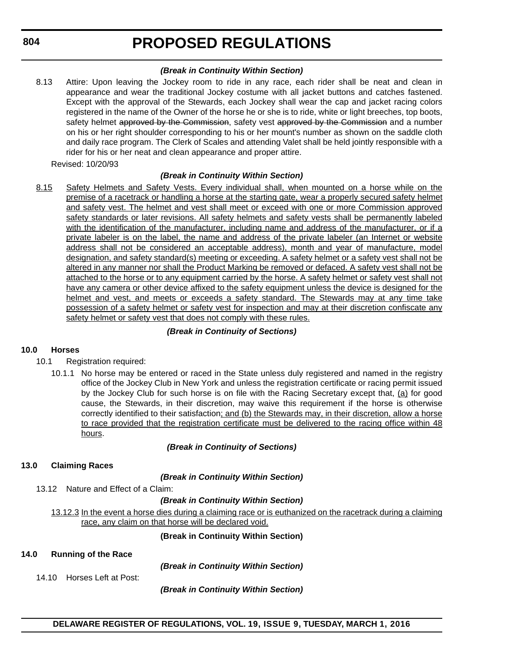**804**

# **PROPOSED REGULATIONS**

#### *(Break in Continuity Within Section)*

8.13 Attire: Upon leaving the Jockey room to ride in any race, each rider shall be neat and clean in appearance and wear the traditional Jockey costume with all jacket buttons and catches fastened. Except with the approval of the Stewards, each Jockey shall wear the cap and jacket racing colors registered in the name of the Owner of the horse he or she is to ride, white or light breeches, top boots, safety helmet approved by the Commission, safety vest approved by the Commission and a number on his or her right shoulder corresponding to his or her mount's number as shown on the saddle cloth and daily race program. The Clerk of Scales and attending Valet shall be held jointly responsible with a rider for his or her neat and clean appearance and proper attire.

Revised: 10/20/93

#### *(Break in Continuity Within Section)*

8.15 Safety Helmets and Safety Vests. Every individual shall, when mounted on a horse while on the premise of a racetrack or handling a horse at the starting gate, wear a properly secured safety helmet and safety vest. The helmet and vest shall meet or exceed with one or more Commission approved safety standards or later revisions. All safety helmets and safety vests shall be permanently labeled with the identification of the manufacturer, including name and address of the manufacturer, or if a private labeler is on the label, the name and address of the private labeler (an Internet or website address shall not be considered an acceptable address), month and year of manufacture, model designation, and safety standard(s) meeting or exceeding. A safety helmet or a safety vest shall not be altered in any manner nor shall the Product Marking be removed or defaced. A safety vest shall not be attached to the horse or to any equipment carried by the horse. A safety helmet or safety vest shall not have any camera or other device affixed to the safety equipment unless the device is designed for the helmet and vest, and meets or exceeds a safety standard. The Stewards may at any time take possession of a safety helmet or safety vest for inspection and may at their discretion confiscate any safety helmet or safety vest that does not comply with these rules.

#### *(Break in Continuity of Sections)*

#### **10.0 Horses**

- 10.1 Registration required:
	- 10.1.1 No horse may be entered or raced in the State unless duly registered and named in the registry office of the Jockey Club in New York and unless the registration certificate or racing permit issued by the Jockey Club for such horse is on file with the Racing Secretary except that,  $(a)$  for good cause, the Stewards, in their discretion, may waive this requirement if the horse is otherwise correctly identified to their satisfaction; and (b) the Stewards may, in their discretion, allow a horse to race provided that the registration certificate must be delivered to the racing office within 48 hours.

#### *(Break in Continuity of Sections)*

#### **13.0 Claiming Races**

*(Break in Continuity Within Section)*

13.12 Nature and Effect of a Claim:

#### *(Break in Continuity Within Section)*

13.12.3 In the event a horse dies during a claiming race or is euthanized on the racetrack during a claiming race, any claim on that horse will be declared void.

**(Break in Continuity Within Section)**

#### **14.0 Running of the Race**

*(Break in Continuity Within Section)*

14.10 Horses Left at Post:

*(Break in Continuity Within Section)*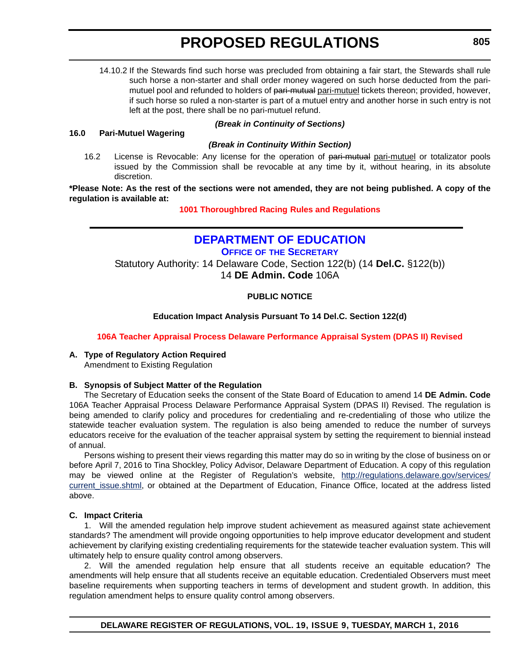<span id="page-17-0"></span>14.10.2 If the Stewards find such horse was precluded from obtaining a fair start, the Stewards shall rule such horse a non-starter and shall order money wagered on such horse deducted from the parimutuel pool and refunded to holders of pari-mutual pari-mutuel tickets thereon; provided, however, if such horse so ruled a non-starter is part of a mutuel entry and another horse in such entry is not left at the post, there shall be no pari-mutuel refund.

#### **16.0 Pari-Mutuel Wagering**

### *(Break in Continuity of Sections)*

#### *(Break in Continuity Within Section)*

16.2 License is Revocable: Any license for the operation of pari-mutual pari-mutuel or totalizator pools issued by the Commission shall be revocable at any time by it, without hearing, in its absolute discretion.

**\*Please Note: As the rest of the sections were not amended, they are not being published. A copy of the regulation is available at:**

**[1001 Thoroughbred Racing](http://regulations.delaware.gov/register/march2016/proposed/19 DE Reg 802 03-01-16.htm) Rules and Regulations**

### **[DEPARTMENT OF EDUCATION](http://www.doe.k12.de.us/site/default.aspx?PageID=1 ) OFFICE OF [THE SECRETARY](https://pubapps.doe.k12.de.us/EducationalDirectoryPublic/pages/DDOE/Default.aspx)**

Statutory Authority: 14 Delaware Code, Section 122(b) (14 **Del.C.** §122(b)) 14 **DE Admin. Code** 106A

#### **PUBLIC NOTICE**

#### **Education Impact Analysis Pursuant To 14 Del.C. Section 122(d)**

#### **[106A Teacher Appraisal Process Delaware Performance Appraisal System \(DPAS II\) Revised](#page-3-0)**

#### **A. Type of Regulatory Action Required**

Amendment to Existing Regulation

#### **B. Synopsis of Subject Matter of the Regulation**

The Secretary of Education seeks the consent of the State Board of Education to amend 14 **DE Admin. Code** 106A Teacher Appraisal Process Delaware Performance Appraisal System (DPAS II) Revised. The regulation is being amended to clarify policy and procedures for credentialing and re-credentialing of those who utilize the statewide teacher evaluation system. The regulation is also being amended to reduce the number of surveys educators receive for the evaluation of the teacher appraisal system by setting the requirement to biennial instead of annual.

Persons wishing to present their views regarding this matter may do so in writing by the close of business on or before April 7, 2016 to Tina Shockley, Policy Advisor, Delaware Department of Education. A copy of this regulation may be viewed online at the Register of Regulation's website, [http://regulations.delaware.gov/services/](http://regulations.delaware.gov/services/current_issue.shtml) current issue.shtml, or obtained at the Department of Education, Finance Office, located at the address listed above.

#### **C. Impact Criteria**

1. Will the amended regulation help improve student achievement as measured against state achievement standards? The amendment will provide ongoing opportunities to help improve educator development and student achievement by clarifying existing credentialing requirements for the statewide teacher evaluation system. This will ultimately help to ensure quality control among observers.

2. Will the amended regulation help ensure that all students receive an equitable education? The amendments will help ensure that all students receive an equitable education. Credentialed Observers must meet baseline requirements when supporting teachers in terms of development and student growth. In addition, this regulation amendment helps to ensure quality control among observers.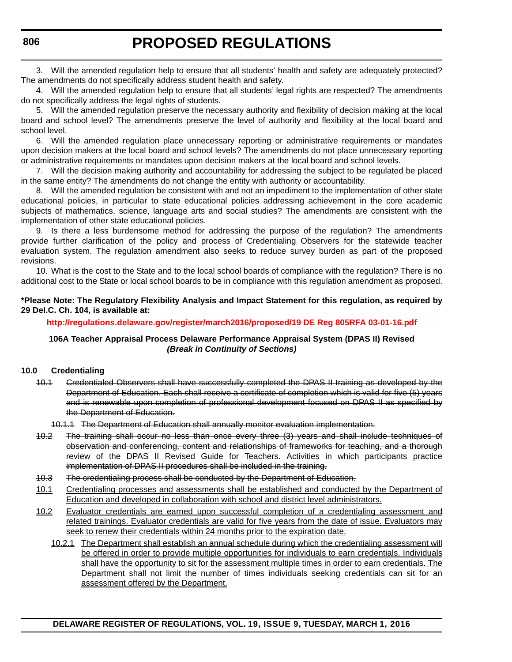3. Will the amended regulation help to ensure that all students' health and safety are adequately protected? The amendments do not specifically address student health and safety.

4. Will the amended regulation help to ensure that all students' legal rights are respected? The amendments do not specifically address the legal rights of students.

5. Will the amended regulation preserve the necessary authority and flexibility of decision making at the local board and school level? The amendments preserve the level of authority and flexibility at the local board and school level.

6. Will the amended regulation place unnecessary reporting or administrative requirements or mandates upon decision makers at the local board and school levels? The amendments do not place unnecessary reporting or administrative requirements or mandates upon decision makers at the local board and school levels.

7. Will the decision making authority and accountability for addressing the subject to be regulated be placed in the same entity? The amendments do not change the entity with authority or accountability.

8. Will the amended regulation be consistent with and not an impediment to the implementation of other state educational policies, in particular to state educational policies addressing achievement in the core academic subjects of mathematics, science, language arts and social studies? The amendments are consistent with the implementation of other state educational policies.

9. Is there a less burdensome method for addressing the purpose of the regulation? The amendments provide further clarification of the policy and process of Credentialing Observers for the statewide teacher evaluation system. The regulation amendment also seeks to reduce survey burden as part of the proposed revisions.

10. What is the cost to the State and to the local school boards of compliance with the regulation? There is no additional cost to the State or local school boards to be in compliance with this regulation amendment as proposed.

#### **\*Please Note: The Regulatory Flexibility Analysis and Impact Statement for this regulation, as required by 29 Del.C. Ch. 104, is available at:**

**<http://regulations.delaware.gov/register/march2016/proposed/19 DE Reg 805RFA 03-01-16.pdf>**

#### **106A Teacher Appraisal Process Delaware Performance Appraisal System (DPAS II) Revised** *(Break in Continuity of Sections)*

#### **10.0 Credentialing**

- 10.1 Credentialed Observers shall have successfully completed the DPAS II training as developed by the Department of Education. Each shall receive a certificate of completion which is valid for five (5) years and is renewable upon completion of professional development focused on DPAS II as specified by the Department of Education.
	- 10.1.1 The Department of Education shall annually monitor evaluation implementation.
- 10.2 The training shall occur no less than once every three (3) years and shall include techniques of observation and conferencing, content and relationships of frameworks for teaching, and a thorough review of the DPAS II Revised Guide for Teachers. Activities in which participants practice implementation of DPAS II procedures shall be included in the training.
- 10.3 The credentialing process shall be conducted by the Department of Education.
- 10.1 Credentialing processes and assessments shall be established and conducted by the Department of Education and developed in collaboration with school and district level administrators.
- 10.2 Evaluator credentials are earned upon successful completion of a credentialing assessment and related trainings. Evaluator credentials are valid for five years from the date of issue. Evaluators may seek to renew their credentials within 24 months prior to the expiration date.
	- 10.2.1 The Department shall establish an annual schedule during which the credentialing assessment will be offered in order to provide multiple opportunities for individuals to earn credentials. Individuals shall have the opportunity to sit for the assessment multiple times in order to earn credentials. The Department shall not limit the number of times individuals seeking credentials can sit for an assessment offered by the Department.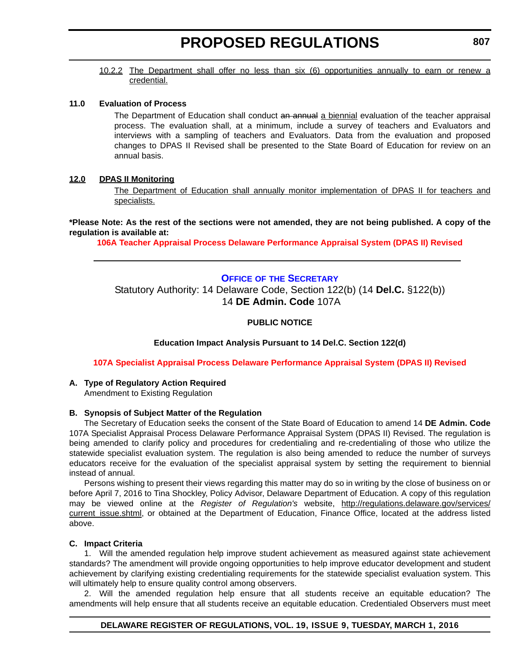<span id="page-19-0"></span>10.2.2 The Department shall offer no less than six (6) opportunities annually to earn or renew a credential.

#### **11.0 Evaluation of Process**

The Department of Education shall conduct an annual a biennial evaluation of the teacher appraisal process. The evaluation shall, at a minimum, include a survey of teachers and Evaluators and interviews with a sampling of teachers and Evaluators. Data from the evaluation and proposed changes to DPAS II Revised shall be presented to the State Board of Education for review on an annual basis.

#### **12.0 DPAS II Monitoring**

The Department of Education shall annually monitor implementation of DPAS II for teachers and specialists.

**\*Please Note: As the rest of the sections were not amended, they are not being published. A copy of the regulation is available at:**

**[106A Teacher Appraisal Process Delaware Performance Appraisal System \(DPAS II\) Revised](http://regulations.delaware.gov/register/march2016/proposed/19 DE Reg 805 03-01-16.htm)**

### **OFFICE OF [THE SECRETARY](https://pubapps.doe.k12.de.us/EducationalDirectoryPublic/pages/DDOE/Default.aspx)**

Statutory Authority: 14 Delaware Code, Section 122(b) (14 **Del.C.** §122(b)) 14 **DE Admin. Code** 107A

#### **PUBLIC NOTICE**

**Education Impact Analysis Pursuant to 14 Del.C. Section 122(d)**

**[107A Specialist Appraisal Process Delaware Performance Appraisal System \(DPAS II\) Revised](#page-3-0)**

#### **A. Type of Regulatory Action Required**

Amendment to Existing Regulation

#### **B. Synopsis of Subject Matter of the Regulation**

The Secretary of Education seeks the consent of the State Board of Education to amend 14 **DE Admin. Code** 107A Specialist Appraisal Process Delaware Performance Appraisal System (DPAS II) Revised. The regulation is being amended to clarify policy and procedures for credentialing and re-credentialing of those who utilize the statewide specialist evaluation system. The regulation is also being amended to reduce the number of surveys educators receive for the evaluation of the specialist appraisal system by setting the requirement to biennial instead of annual.

Persons wishing to present their views regarding this matter may do so in writing by the close of business on or before April 7, 2016 to Tina Shockley, Policy Advisor, Delaware Department of Education. A copy of this regulation may be viewed online at the *Register of Regulation's* website, [http://regulations.delaware.gov/services/](http://regulations.delaware.gov/services/current_issue.shtml) current issue.shtml, or obtained at the Department of Education, Finance Office, located at the address listed above.

#### **C. Impact Criteria**

1. Will the amended regulation help improve student achievement as measured against state achievement standards? The amendment will provide ongoing opportunities to help improve educator development and student achievement by clarifying existing credentialing requirements for the statewide specialist evaluation system. This will ultimately help to ensure quality control among observers.

2. Will the amended regulation help ensure that all students receive an equitable education? The amendments will help ensure that all students receive an equitable education. Credentialed Observers must meet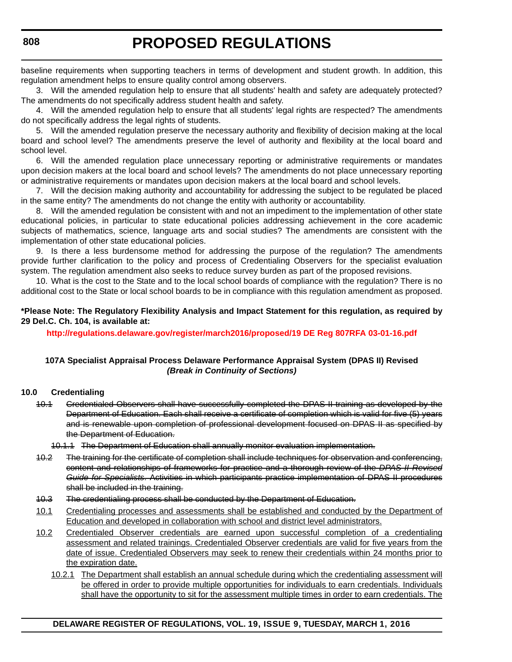baseline requirements when supporting teachers in terms of development and student growth. In addition, this regulation amendment helps to ensure quality control among observers.

3. Will the amended regulation help to ensure that all students' health and safety are adequately protected? The amendments do not specifically address student health and safety.

4. Will the amended regulation help to ensure that all students' legal rights are respected? The amendments do not specifically address the legal rights of students.

5. Will the amended regulation preserve the necessary authority and flexibility of decision making at the local board and school level? The amendments preserve the level of authority and flexibility at the local board and school level.

6. Will the amended regulation place unnecessary reporting or administrative requirements or mandates upon decision makers at the local board and school levels? The amendments do not place unnecessary reporting or administrative requirements or mandates upon decision makers at the local board and school levels.

7. Will the decision making authority and accountability for addressing the subject to be regulated be placed in the same entity? The amendments do not change the entity with authority or accountability.

8. Will the amended regulation be consistent with and not an impediment to the implementation of other state educational policies, in particular to state educational policies addressing achievement in the core academic subjects of mathematics, science, language arts and social studies? The amendments are consistent with the implementation of other state educational policies.

9. Is there a less burdensome method for addressing the purpose of the regulation? The amendments provide further clarification to the policy and process of Credentialing Observers for the specialist evaluation system. The regulation amendment also seeks to reduce survey burden as part of the proposed revisions.

10. What is the cost to the State and to the local school boards of compliance with the regulation? There is no additional cost to the State or local school boards to be in compliance with this regulation amendment as proposed.

#### **\*Please Note: The Regulatory Flexibility Analysis and Impact Statement for this regulation, as required by 29 Del.C. Ch. 104, is available at:**

**<http://regulations.delaware.gov/register/march2016/proposed/19 DE Reg 807RFA 03-01-16.pdf>**

#### **107A Specialist Appraisal Process Delaware Performance Appraisal System (DPAS II) Revised** *(Break in Continuity of Sections)*

#### **10.0 Credentialing**

10.1 Credentialed Observers shall have successfully completed the DPAS II training as developed by the Department of Education. Each shall receive a certificate of completion which is valid for five (5) years and is renewable upon completion of professional development focused on DPAS II as specified by the Department of Education.

10.1.1 The Department of Education shall annually monitor evaluation implementation.

- 10.2 The training for the certificate of completion shall include techniques for observation and conferencing, content and relationships of frameworks for practice and a thorough review of the *DPAS II Revised Guide for Specialists*. Activities in which participants practice implementation of DPAS II procedures shall be included in the training.
- 10.3 The credentialing process shall be conducted by the Department of Education.
- 10.1 Credentialing processes and assessments shall be established and conducted by the Department of Education and developed in collaboration with school and district level administrators.
- 10.2 Credentialed Observer credentials are earned upon successful completion of a credentialing assessment and related trainings. Credentialed Observer credentials are valid for five years from the date of issue. Credentialed Observers may seek to renew their credentials within 24 months prior to the expiration date.
	- 10.2.1 The Department shall establish an annual schedule during which the credentialing assessment will be offered in order to provide multiple opportunities for individuals to earn credentials. Individuals shall have the opportunity to sit for the assessment multiple times in order to earn credentials. The

#### **DELAWARE REGISTER OF REGULATIONS, VOL. 19, ISSUE 9, TUESDAY, MARCH 1, 2016**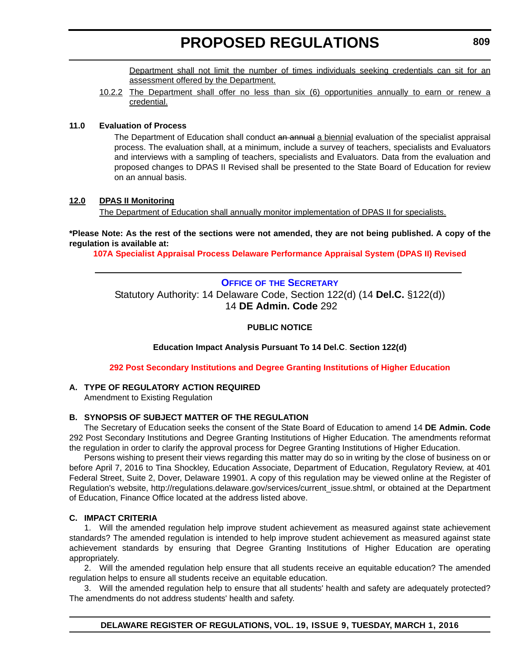Department shall not limit the number of times individuals seeking credentials can sit for an assessment offered by the Department.

<span id="page-21-0"></span>10.2.2 The Department shall offer no less than six (6) opportunities annually to earn or renew a credential.

#### **11.0 Evaluation of Process**

The Department of Education shall conduct an annual a biennial evaluation of the specialist appraisal process. The evaluation shall, at a minimum, include a survey of teachers, specialists and Evaluators and interviews with a sampling of teachers, specialists and Evaluators. Data from the evaluation and proposed changes to DPAS II Revised shall be presented to the State Board of Education for review on an annual basis.

#### **12.0 DPAS II Monitoring**

The Department of Education shall annually monitor implementation of DPAS II for specialists.

**\*Please Note: As the rest of the sections were not amended, they are not being published. A copy of the regulation is available at:**

**[107A Specialist Appraisal Process Delaware Performance Appraisal System \(DPAS II\) Revised](http://regulations.delaware.gov/register/march2016/proposed/19 DE Reg 807 03-01-16.htm)**

#### **OFFICE OF [THE SECRETARY](https://pubapps.doe.k12.de.us/EducationalDirectoryPublic/pages/DDOE/Default.aspx)**

Statutory Authority: 14 Delaware Code, Section 122(d) (14 **Del.C.** §122(d)) 14 **DE Admin. Code** 292

**PUBLIC NOTICE**

**Education Impact Analysis Pursuant To 14 Del.C**. **Section 122(d)**

#### **[292 Post Secondary Institutions and Degree Granting Institutions of Higher Education](#page-3-0)**

#### **A. TYPE OF REGULATORY ACTION REQUIRED**

Amendment to Existing Regulation

#### **B. SYNOPSIS OF SUBJECT MATTER OF THE REGULATION**

The Secretary of Education seeks the consent of the State Board of Education to amend 14 **DE Admin. Code** 292 Post Secondary Institutions and Degree Granting Institutions of Higher Education. The amendments reformat the regulation in order to clarify the approval process for Degree Granting Institutions of Higher Education.

Persons wishing to present their views regarding this matter may do so in writing by the close of business on or before April 7, 2016 to Tina Shockley, Education Associate, Department of Education, Regulatory Review, at 401 Federal Street, Suite 2, Dover, Delaware 19901. A copy of this regulation may be viewed online at the Register of Regulation's website, http://regulations.delaware.gov/services/current\_issue.shtml, or obtained at the Department of Education, Finance Office located at the address listed above.

#### **C. IMPACT CRITERIA**

1. Will the amended regulation help improve student achievement as measured against state achievement standards? The amended regulation is intended to help improve student achievement as measured against state achievement standards by ensuring that Degree Granting Institutions of Higher Education are operating appropriately.

2. Will the amended regulation help ensure that all students receive an equitable education? The amended regulation helps to ensure all students receive an equitable education.

3. Will the amended regulation help to ensure that all students' health and safety are adequately protected? The amendments do not address students' health and safety.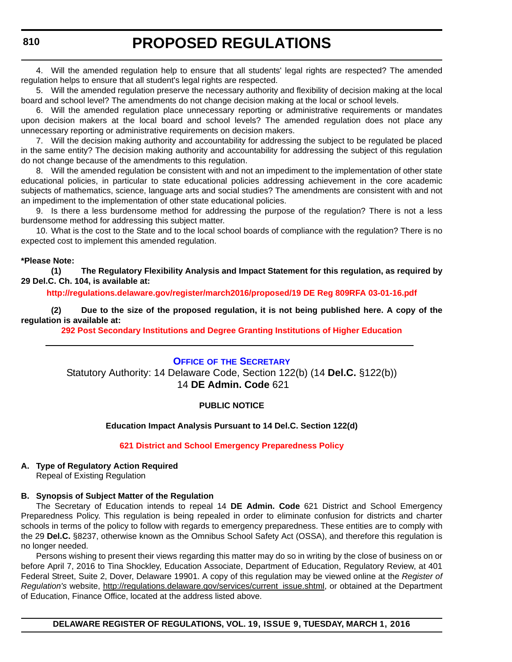<span id="page-22-0"></span>4. Will the amended regulation help to ensure that all students' legal rights are respected? The amended regulation helps to ensure that all student's legal rights are respected.

5. Will the amended regulation preserve the necessary authority and flexibility of decision making at the local board and school level? The amendments do not change decision making at the local or school levels.

6. Will the amended regulation place unnecessary reporting or administrative requirements or mandates upon decision makers at the local board and school levels? The amended regulation does not place any unnecessary reporting or administrative requirements on decision makers.

7. Will the decision making authority and accountability for addressing the subject to be regulated be placed in the same entity? The decision making authority and accountability for addressing the subject of this regulation do not change because of the amendments to this regulation.

8. Will the amended regulation be consistent with and not an impediment to the implementation of other state educational policies, in particular to state educational policies addressing achievement in the core academic subjects of mathematics, science, language arts and social studies? The amendments are consistent with and not an impediment to the implementation of other state educational policies.

9. Is there a less burdensome method for addressing the purpose of the regulation? There is not a less burdensome method for addressing this subject matter.

10. What is the cost to the State and to the local school boards of compliance with the regulation? There is no expected cost to implement this amended regulation.

#### **\*Please Note:**

**(1) The Regulatory Flexibility Analysis and Impact Statement for this regulation, as required by 29 Del.C. Ch. 104, is available at:**

**<http://regulations.delaware.gov/register/march2016/proposed/19 DE Reg 809RFA 03-01-16.pdf>**

**(2) Due to the size of the proposed regulation, it is not being published here. A copy of the regulation is available at:**

**[292 Post Secondary Institutions and Degree Granting Institutions of Higher Education](http://regulations.delaware.gov/register/march2016/proposed/19 DE Reg 809 03-01-16.htm)**

#### **OFFICE OF [THE SECRETARY](https://pubapps.doe.k12.de.us/EducationalDirectoryPublic/pages/DDOE/Default.aspx)** Statutory Authority: 14 Delaware Code, Section 122(b) (14 **Del.C.** §122(b)) 14 **DE Admin. Code** 621

#### **PUBLIC NOTICE**

#### **Education Impact Analysis Pursuant to 14 Del.C. Section 122(d)**

**[621 District and School Emergency Preparedness Policy](#page-3-0)**

### **A. Type of Regulatory Action Required**

Repeal of Existing Regulation

### **B. Synopsis of Subject Matter of the Regulation**

The Secretary of Education intends to repeal 14 **DE Admin. Code** 621 District and School Emergency Preparedness Policy. This regulation is being repealed in order to eliminate confusion for districts and charter schools in terms of the policy to follow with regards to emergency preparedness. These entities are to comply with the 29 **Del.C.** §8237, otherwise known as the Omnibus School Safety Act (OSSA), and therefore this regulation is no longer needed.

Persons wishing to present their views regarding this matter may do so in writing by the close of business on or before April 7, 2016 to Tina Shockley, Education Associate, Department of Education, Regulatory Review, at 401 Federal Street, Suite 2, Dover, Delaware 19901. A copy of this regulation may be viewed online at the *Register of Regulation's* website, [http://regulations.delaware.gov/services/current\\_issue.shtml](http://regulations.delaware.gov/services/current_issue.shtml), or obtained at the Department of Education, Finance Office, located at the address listed above.

**DELAWARE REGISTER OF REGULATIONS, VOL. 19, ISSUE 9, TUESDAY, MARCH 1, 2016**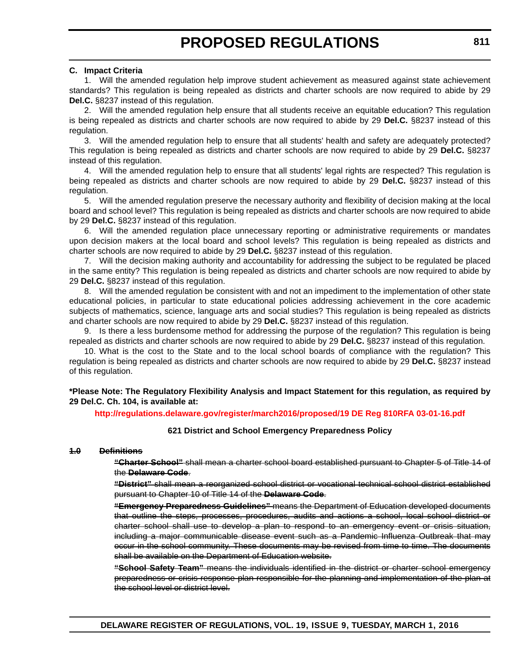#### **C. Impact Criteria**

1. Will the amended regulation help improve student achievement as measured against state achievement standards? This regulation is being repealed as districts and charter schools are now required to abide by 29 **Del.C.** §8237 instead of this regulation.

2. Will the amended regulation help ensure that all students receive an equitable education? This regulation is being repealed as districts and charter schools are now required to abide by 29 **Del.C.** §8237 instead of this regulation.

3. Will the amended regulation help to ensure that all students' health and safety are adequately protected? This regulation is being repealed as districts and charter schools are now required to abide by 29 **Del.C.** §8237 instead of this regulation.

4. Will the amended regulation help to ensure that all students' legal rights are respected? This regulation is being repealed as districts and charter schools are now required to abide by 29 **Del.C.** §8237 instead of this regulation.

5. Will the amended regulation preserve the necessary authority and flexibility of decision making at the local board and school level? This regulation is being repealed as districts and charter schools are now required to abide by 29 **Del.C.** §8237 instead of this regulation.

6. Will the amended regulation place unnecessary reporting or administrative requirements or mandates upon decision makers at the local board and school levels? This regulation is being repealed as districts and charter schools are now required to abide by 29 **Del.C.** §8237 instead of this regulation.

7. Will the decision making authority and accountability for addressing the subject to be regulated be placed in the same entity? This regulation is being repealed as districts and charter schools are now required to abide by 29 **Del.C.** §8237 instead of this regulation.

8. Will the amended regulation be consistent with and not an impediment to the implementation of other state educational policies, in particular to state educational policies addressing achievement in the core academic subjects of mathematics, science, language arts and social studies? This regulation is being repealed as districts and charter schools are now required to abide by 29 **Del.C.** §8237 instead of this regulation.

9. Is there a less burdensome method for addressing the purpose of the regulation? This regulation is being repealed as districts and charter schools are now required to abide by 29 **Del.C.** §8237 instead of this regulation.

10. What is the cost to the State and to the local school boards of compliance with the regulation? This regulation is being repealed as districts and charter schools are now required to abide by 29 **Del.C.** §8237 instead of this regulation.

**\*Please Note: The Regulatory Flexibility Analysis and Impact Statement for this regulation, as required by 29 Del.C. Ch. 104, is available at:**

#### **<http://regulations.delaware.gov/register/march2016/proposed/19 DE Reg 810RFA 03-01-16.pdf>**

#### **621 District and School Emergency Preparedness Policy**

#### **1.0 Definitions**

**"Charter School"** shall mean a charter school board established pursuant to Chapter 5 of Title 14 of the **Delaware Code**.

**"District"** shall mean a reorganized school district or vocational technical school district established pursuant to Chapter 10 of Title 14 of the **Delaware Code**.

**"Emergency Preparedness Guidelines"** means the Department of Education developed documents that outline the steps, processes, procedures, audits and actions a school, local school district or charter school shall use to develop a plan to respond to an emergency event or crisis situation, including a major communicable disease event such as a Pandemic Influenza Outbreak that may occur in the school community. These documents may be revised from time to time. The documents shall be available on the Department of Education website.

**"School Safety Team"** means the individuals identified in the district or charter school emergency preparedness or crisis response plan responsible for the planning and implementation of the plan at the school level or district level.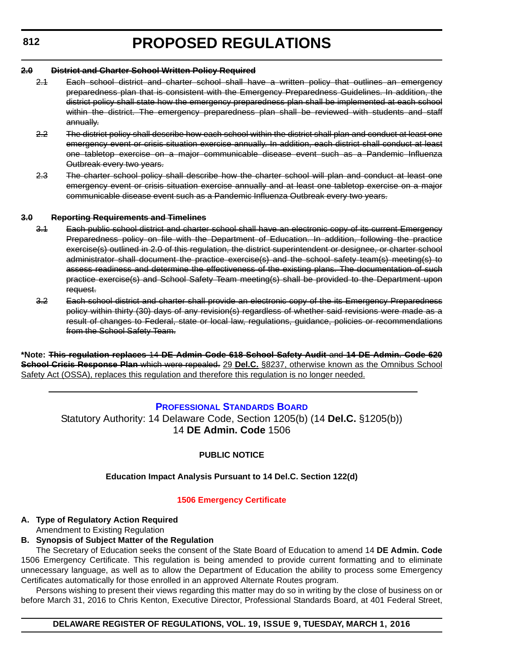#### <span id="page-24-0"></span>**2.0 District and Charter School Written Policy Required**

- 2.1 Each school district and charter school shall have a written policy that outlines an emergency preparedness plan that is consistent with the Emergency Preparedness Guidelines. In addition, the district policy shall state how the emergency preparedness plan shall be implemented at each school within the district. The emergency preparedness plan shall be reviewed with students and staff annually.
- 2.2 The district policy shall describe how each school within the district shall plan and conduct at least one emergency event or crisis situation exercise annually. In addition, each district shall conduct at least one tabletop exercise on a major communicable disease event such as a Pandemic Influenza Outbreak every two years.
- 2.3 The charter school policy shall describe how the charter school will plan and conduct at least one emergency event or crisis situation exercise annually and at least one tabletop exercise on a major communicable disease event such as a Pandemic Influenza Outbreak every two years.

#### **3.0 Reporting Requirements and Timelines**

- 3.1 Each public school district and charter school shall have an electronic copy of its current Emergency Preparedness policy on file with the Department of Education. In addition, following the practice exercise(s) outlined in 2.0 of this regulation, the district superintendent or designee, or charter school administrator shall document the practice exercise(s) and the school safety team(s) meeting(s) to assess readiness and determine the effectiveness of the existing plans. The documentation of such practice exercise(s) and School Safety Team meeting(s) shall be provided to the Department upon request.
- 3.2 Each school district and charter shall provide an electronic copy of the its Emergency Preparedness policy within thirty (30) days of any revision(s) regardless of whether said revisions were made as a result of changes to Federal, state or local law, regulations, guidance, policies or recommendations from the School Safety Team.

**\*Note: This regulation replaces** 14 **DE Admin Code 618 School Safety Audit** and **14 DE Admin. Code 620 School Crisis Response Plan** which were repealed. 29 **Del.C.** §8237, otherwise known as the Omnibus School Safety Act (OSSA), replaces this regulation and therefore this regulation is no longer needed.

#### **[PROFESSIONAL STANDARDS BOARD](https://pubapps.doe.k12.de.us/EducationalDirectoryPublic/pages/DDOE/WorkGroupStaff.aspx?page=branches&WGID=75&BID=1)**

Statutory Authority: 14 Delaware Code, Section 1205(b) (14 **Del.C.** §1205(b)) 14 **DE Admin. Code** 1506

#### **PUBLIC NOTICE**

#### **Education Impact Analysis Pursuant to 14 Del.C. Section 122(d)**

#### **[1506 Emergency Certificate](#page-3-0)**

### **A. Type of Regulatory Action Required**

Amendment to Existing Regulation

### **B. Synopsis of Subject Matter of the Regulation**

The Secretary of Education seeks the consent of the State Board of Education to amend 14 **DE Admin. Code** 1506 Emergency Certificate. This regulation is being amended to provide current formatting and to eliminate unnecessary language, as well as to allow the Department of Education the ability to process some Emergency Certificates automatically for those enrolled in an approved Alternate Routes program.

Persons wishing to present their views regarding this matter may do so in writing by the close of business on or before March 31, 2016 to Chris Kenton, Executive Director, Professional Standards Board, at 401 Federal Street,

#### **DELAWARE REGISTER OF REGULATIONS, VOL. 19, ISSUE 9, TUESDAY, MARCH 1, 2016**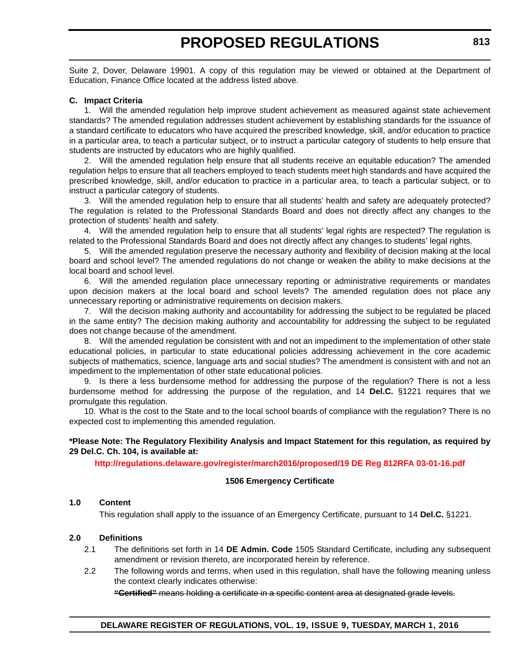Suite 2, Dover, Delaware 19901. A copy of this regulation may be viewed or obtained at the Department of Education, Finance Office located at the address listed above.

#### **C. Impact Criteria**

1. Will the amended regulation help improve student achievement as measured against state achievement standards? The amended regulation addresses student achievement by establishing standards for the issuance of a standard certificate to educators who have acquired the prescribed knowledge, skill, and/or education to practice in a particular area, to teach a particular subject, or to instruct a particular category of students to help ensure that students are instructed by educators who are highly qualified.

2. Will the amended regulation help ensure that all students receive an equitable education? The amended regulation helps to ensure that all teachers employed to teach students meet high standards and have acquired the prescribed knowledge, skill, and/or education to practice in a particular area, to teach a particular subject, or to instruct a particular category of students.

3. Will the amended regulation help to ensure that all students' health and safety are adequately protected? The regulation is related to the Professional Standards Board and does not directly affect any changes to the protection of students' health and safety.

4. Will the amended regulation help to ensure that all students' legal rights are respected? The regulation is related to the Professional Standards Board and does not directly affect any changes to students' legal rights.

5. Will the amended regulation preserve the necessary authority and flexibility of decision making at the local board and school level? The amended regulations do not change or weaken the ability to make decisions at the local board and school level.

6. Will the amended regulation place unnecessary reporting or administrative requirements or mandates upon decision makers at the local board and school levels? The amended regulation does not place any unnecessary reporting or administrative requirements on decision makers.

7. Will the decision making authority and accountability for addressing the subject to be regulated be placed in the same entity? The decision making authority and accountability for addressing the subject to be regulated does not change because of the amendment.

8. Will the amended regulation be consistent with and not an impediment to the implementation of other state educational policies, in particular to state educational policies addressing achievement in the core academic subjects of mathematics, science, language arts and social studies? The amendment is consistent with and not an impediment to the implementation of other state educational policies.

9. Is there a less burdensome method for addressing the purpose of the regulation? There is not a less burdensome method for addressing the purpose of the regulation, and 14 **Del.C.** §1221 requires that we promulgate this regulation.

10. What is the cost to the State and to the local school boards of compliance with the regulation? There is no expected cost to implementing this amended regulation.

#### **\*Please Note: The Regulatory Flexibility Analysis and Impact Statement for this regulation, as required by 29 Del.C. Ch. 104, is available at:**

**<http://regulations.delaware.gov/register/march2016/proposed/19 DE Reg 812RFA 03-01-16.pdf>**

#### **1506 Emergency Certificate**

#### **1.0 Content**

This regulation shall apply to the issuance of an Emergency Certificate, pursuant to 14 **Del.C.** §1221.

#### **2.0 Definitions**

- 2.1 The definitions set forth in 14 **DE Admin. Code** 1505 Standard Certificate, including any subsequent amendment or revision thereto, are incorporated herein by reference.
- 2.2 The following words and terms, when used in this regulation, shall have the following meaning unless the context clearly indicates otherwise:

**"Certified"** means holding a certificate in a specific content area at designated grade levels.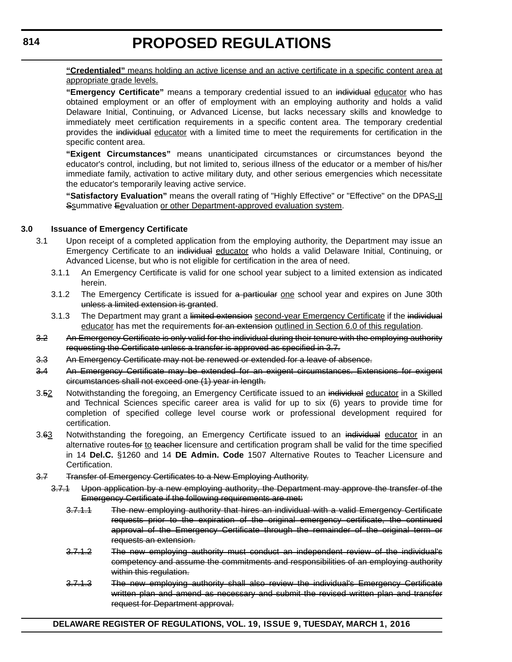**"Credentialed"** means holding an active license and an active certificate in a specific content area at appropriate grade levels.

**"Emergency Certificate"** means a temporary credential issued to an individual educator who has obtained employment or an offer of employment with an employing authority and holds a valid Delaware Initial, Continuing, or Advanced License, but lacks necessary skills and knowledge to immediately meet certification requirements in a specific content area. The temporary credential provides the individual educator with a limited time to meet the requirements for certification in the specific content area.

**"Exigent Circumstances"** means unanticipated circumstances or circumstances beyond the educator's control, including, but not limited to, serious illness of the educator or a member of his/her immediate family, activation to active military duty, and other serious emergencies which necessitate the educator's temporarily leaving active service.

**"Satisfactory Evaluation"** means the overall rating of "Highly Effective" or "Effective" on the DPAS-II Ssummative Eevaluation or other Department-approved evaluation system.

#### **3.0 Issuance of Emergency Certificate**

- 3.1 Upon receipt of a completed application from the employing authority, the Department may issue an Emergency Certificate to an individual educator who holds a valid Delaware Initial, Continuing, or Advanced License, but who is not eligible for certification in the area of need.
	- 3.1.1 An Emergency Certificate is valid for one school year subject to a limited extension as indicated herein.
	- 3.1.2 The Emergency Certificate is issued for a particular one school year and expires on June 30th unless a limited extension is granted.
	- 3.1.3 The Department may grant a limited extension second-year Emergency Certificate if the individual educator has met the requirements for an extension outlined in Section 6.0 of this regulation.
- 3.2 An Emergency Certificate is only valid for the individual during their tenure with the employing authority requesting the Certificate unless a transfer is approved as specified in 3.7.
- 3.3 An Emergency Certificate may not be renewed or extended for a leave of absence.
- 3.4 An Emergency Certificate may be extended for an exigent circumstances. Extensions for exigent circumstances shall not exceed one (1) year in length.
- 3.52 Notwithstanding the foregoing, an Emergency Certificate issued to an individual educator in a Skilled and Technical Sciences specific career area is valid for up to six (6) years to provide time for completion of specified college level course work or professional development required for certification.
- 3.63 Notwithstanding the foregoing, an Emergency Certificate issued to an individual educator in an alternative routes for to teacher licensure and certification program shall be valid for the time specified in 14 **Del.C.** §1260 and 14 **DE Admin. Code** 1507 Alternative Routes to Teacher Licensure and Certification.
- 3.7 Transfer of Emergency Certificates to a New Employing Authority.
	- 3.7.1 Upon application by a new employing authority, the Department may approve the transfer of the Emergency Certificate if the following requirements are met:
		- 3.7.1.1 The new employing authority that hires an individual with a valid Emergency Certificate requests prior to the expiration of the original emergency certificate, the continued approval of the Emergency Certificate through the remainder of the original term or requests an extension.
		- 3.7.1.2 The new employing authority must conduct an independent review of the individual's competency and assume the commitments and responsibilities of an employing authority within this regulation.
		- 3.7.1.3 The new employing authority shall also review the individual's Emergency Certificate written plan and amend as necessary and submit the revised written plan and transfer request for Department approval.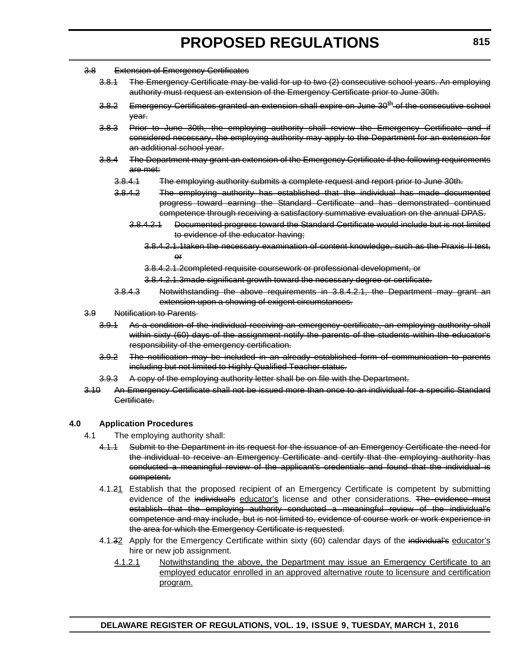- 3.8 Extension of Emergency Certificates
	- 3.8.1 The Emergency Certificate may be valid for up to two (2) consecutive school years. An employing authority must request an extension of the Emergency Certificate prior to June 30th.
	- 3.8.2 Emergency Certificates granted an extension shall expire on June 30<sup>th</sup> of the consecutive school year.
	- 3.8.3 Prior to June 30th, the employing authority shall review the Emergency Certificate and if considered necessary, the employing authority may apply to the Department for an extension for an additional school year.
	- 3.8.4 The Department may grant an extension of the Emergency Certificate if the following requirements are met:
		- 3.8.4.1 The employing authority submits a complete request and report prior to June 30th.
		- 3.8.4.2 The employing authority has established that the individual has made documented progress toward earning the Standard Certificate and has demonstrated continued competence through receiving a satisfactory summative evaluation on the annual DPAS.
			- 3.8.4.2.1 Documented progress toward the Standard Certificate would include but is not limited to evidence of the educator having;
				- 3.8.4.2.1.1taken the necessary examination of content knowledge, such as the Praxis II test, or
				- 3.8.4.2.1.2completed requisite coursework or professional development, or
				- 3.8.4.2.1.3made significant growth toward the necessary degree or certificate.
		- 3.8.4.3 Notwithstanding the above requirements in 3.8.4.2.1, the Department may grant an extension upon a showing of exigent circumstances.
- 3.9 Notification to Parents
	- 3.9.1 As a condition of the individual receiving an emergency certificate, an employing authority shall within sixty (60) days of the assignment notify the parents of the students within the educator's responsibility of the emergency certification.
	- 3.9.2 The notification may be included in an already established form of communication to parents including but not limited to Highly Qualified Teacher status.
	- 3.9.3 A copy of the employing authority letter shall be on file with the Department.
- 3.10 An Emergency Certificate shall not be issued more than once to an individual for a specific Standard Certificate.

#### **4.0 Application Procedures**

- 4.1 The employing authority shall:
	- 4.1.1 Submit to the Department in its request for the issuance of an Emergency Certificate the need for the individual to receive an Emergency Certificate and certify that the employing authority has conducted a meaningful review of the applicant's credentials and found that the individual is competent.
	- 4.1.21 Establish that the proposed recipient of an Emergency Certificate is competent by submitting evidence of the individual's educator's license and other considerations. The evidence must establish that the employing authority conducted a meaningful review of the individual's competence and may include, but is not limited to, evidence of course work or work experience in the area for which the Emergency Certificate is requested.
	- 4.1.32 Apply for the Emergency Certificate within sixty (60) calendar days of the individual's educator's hire or new job assignment.
		- 4.1.2.1 Notwithstanding the above, the Department may issue an Emergency Certificate to an employed educator enrolled in an approved alternative route to licensure and certification program.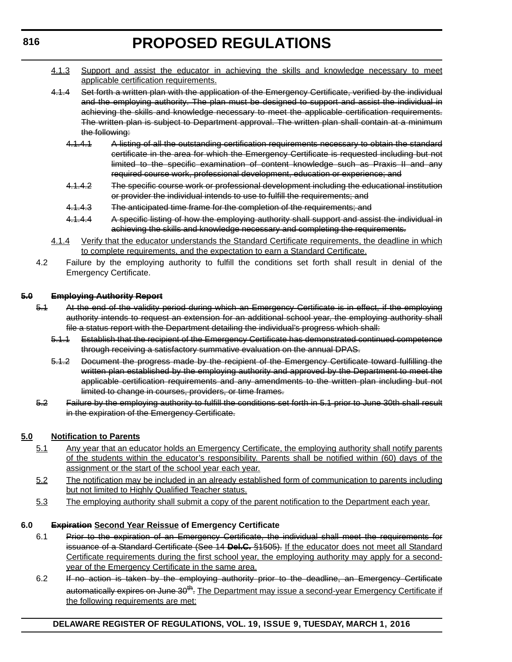- 4.1.3 Support and assist the educator in achieving the skills and knowledge necessary to meet applicable certification requirements.
- 4.1.4 Set forth a written plan with the application of the Emergency Certificate, verified by the individual and the employing authority. The plan must be designed to support and assist the individual in achieving the skills and knowledge necessary to meet the applicable certification requirements. The written plan is subject to Department approval. The written plan shall contain at a minimum the following:
	- 4.1.4.1 A listing of all the outstanding certification requirements necessary to obtain the standard certificate in the area for which the Emergency Certificate is requested including but not limited to the specific examination of content knowledge such as Praxis II and any required course work, professional development, education or experience; and
	- 4.1.4.2 The specific course work or professional development including the educational institution or provider the individual intends to use to fulfill the requirements; and
	- 4.1.4.3 The anticipated time frame for the completion of the requirements; and
	- 4.1.4.4 A specific listing of how the employing authority shall support and assist the individual in achieving the skills and knowledge necessary and completing the requirements.
- 4.1.4 Verify that the educator understands the Standard Certificate requirements, the deadline in which to complete requirements, and the expectation to earn a Standard Certificate.
- 4.2 Failure by the employing authority to fulfill the conditions set forth shall result in denial of the Emergency Certificate.

#### **5.0 Employing Authority Report**

- 5.1 At the end of the validity period during which an Emergency Certificate is in effect, if the employing authority intends to request an extension for an additional school year, the employing authority shall file a status report with the Department detailing the individual's progress which shall:
	- 5.1.1 Establish that the recipient of the Emergency Certificate has demonstrated continued competence through receiving a satisfactory summative evaluation on the annual DPAS.
	- 5.1.2 Document the progress made by the recipient of the Emergency Certificate toward fulfilling the written plan established by the employing authority and approved by the Department to meet the applicable certification requirements and any amendments to the written plan including but not limited to change in courses, providers, or time frames.
- 5.2 Failure by the employing authority to fulfill the conditions set forth in 5.1 prior to June 30th shall result in the expiration of the Emergency Certificate.

#### **5.0 Notification to Parents**

- 5.1 Any year that an educator holds an Emergency Certificate, the employing authority shall notify parents of the students within the educator's responsibility. Parents shall be notified within (60) days of the assignment or the start of the school year each year.
- 5.2 The notification may be included in an already established form of communication to parents including but not limited to Highly Qualified Teacher status.
- 5.3 The employing authority shall submit a copy of the parent notification to the Department each year.

#### **6.0 Expiration Second Year Reissue of Emergency Certificate**

- 6.1 Prior to the expiration of an Emergency Certificate, the individual shall meet the requirements for issuance of a Standard Certificate (See 14 **Del.C.** §1505). If the educator does not meet all Standard Certificate requirements during the first school year, the employing authority may apply for a secondyear of the Emergency Certificate in the same area.
- 6.2 If no action is taken by the employing authority prior to the deadline, an Emergency Certificate automatically expires on June 30<sup>th</sup>. The Department may issue a second-year Emergency Certificate if the following requirements are met: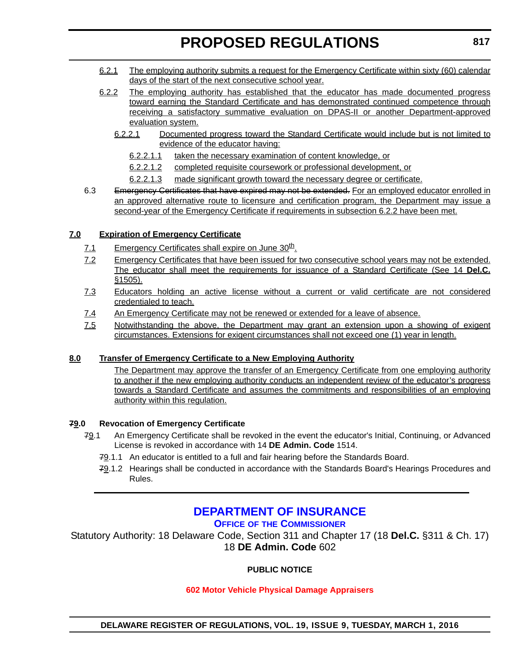- <span id="page-29-0"></span>6.2.1 The employing authority submits a request for the Emergency Certificate within sixty (60) calendar days of the start of the next consecutive school year.
- 6.2.2 The employing authority has established that the educator has made documented progress toward earning the Standard Certificate and has demonstrated continued competence through receiving a satisfactory summative evaluation on DPAS-II or another Department-approved evaluation system.
	- 6.2.2.1 Documented progress toward the Standard Certificate would include but is not limited to evidence of the educator having:
		- 6.2.2.1.1 taken the necessary examination of content knowledge, or
		- 6.2.2.1.2 completed requisite coursework or professional development, or
		- 6.2.2.1.3 made significant growth toward the necessary degree or certificate.
- 6.3 Emergency Certificates that have expired may not be extended. For an employed educator enrolled in an approved alternative route to licensure and certification program, the Department may issue a second-year of the Emergency Certificate if requirements in subsection 6.2.2 have been met.

#### **7.0 Expiration of Emergency Certificate**

- 7.1 Emergency Certificates shall expire on June 30<sup>th</sup>.
- 7.2 Emergency Certificates that have been issued for two consecutive school years may not be extended. The educator shall meet the requirements for issuance of a Standard Certificate (See 14 **Del.C.** §1505).
- 7.3 Educators holding an active license without a current or valid certificate are not considered credentialed to teach.
- 7.4 An Emergency Certificate may not be renewed or extended for a leave of absence.
- 7.5 Notwithstanding the above, the Department may grant an extension upon a showing of exigent circumstances. Extensions for exigent circumstances shall not exceed one (1) year in length.

#### **8.0 Transfer of Emergency Certificate to a New Employing Authority**

The Department may approve the transfer of an Emergency Certificate from one employing authority to another if the new employing authority conducts an independent review of the educator's progress towards a Standard Certificate and assumes the commitments and responsibilities of an employing authority within this regulation.

#### **79.0 Revocation of Emergency Certificate**

- 79.1 An Emergency Certificate shall be revoked in the event the educator's Initial, Continuing, or Advanced License is revoked in accordance with 14 **DE Admin. Code** 1514.
	- 79.1.1 An educator is entitled to a full and fair hearing before the Standards Board.
	- 79.1.2 Hearings shall be conducted in accordance with the Standards Board's Hearings Procedures and Rules.

### **[DEPARTMENT OF INSURANCE](http://www.delawareinsurance.gov/)**

**OFFICE OF [THE COMMISSIONER](http://www.delawareinsurance.gov/bio.shtml)**

Statutory Authority: 18 Delaware Code, Section 311 and Chapter 17 (18 **Del.C.** §311 & Ch. 17) 18 **DE Admin. Code** 602

#### **PUBLIC NOTICE**

#### **[602 Motor Vehicle Physical Damage Appraisers](#page-3-0)**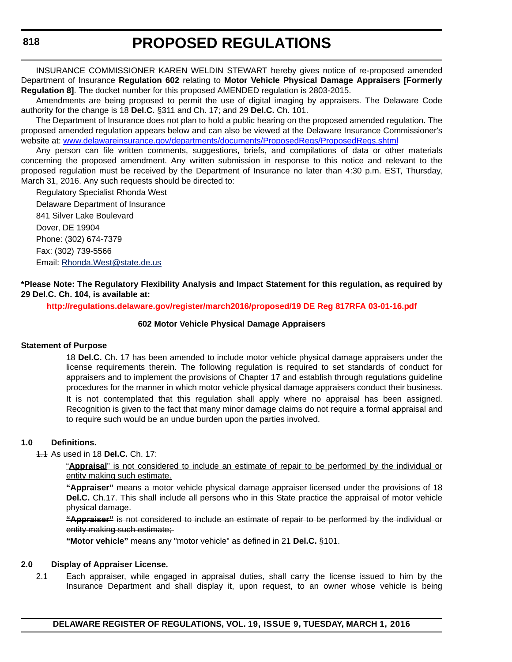INSURANCE COMMISSIONER KAREN WELDIN STEWART hereby gives notice of re-proposed amended Department of Insurance **Regulation 602** relating to **Motor Vehicle Physical Damage Appraisers [Formerly Regulation 8]**. The docket number for this proposed AMENDED regulation is 2803-2015.

Amendments are being proposed to permit the use of digital imaging by appraisers. The Delaware Code authority for the change is 18 **Del.C.** §311 and Ch. 17; and 29 **Del.C.** Ch. 101.

The Department of Insurance does not plan to hold a public hearing on the proposed amended regulation. The proposed amended regulation appears below and can also be viewed at the Delaware Insurance Commissioner's website at: [www.delawareinsurance.gov/departments/documents/ProposedRegs/ProposedRegs.shtml](http://www.delawareinsurance.gov/departments/documents/ProposedRegs/ProposedRegs.shtml)

Any person can file written comments, suggestions, briefs, and compilations of data or other materials concerning the proposed amendment. Any written submission in response to this notice and relevant to the proposed regulation must be received by the Department of Insurance no later than 4:30 p.m. EST, Thursday, March 31, 2016. Any such requests should be directed to:

Regulatory Specialist Rhonda West Delaware Department of Insurance 841 Silver Lake Boulevard Dover, DE 19904 Phone: (302) 674-7379 Fax: (302) 739-5566 Email: [Rhonda.West@state.de.us](mailto:Rhonda.West@state.de.us)

**\*Please Note: The Regulatory Flexibility Analysis and Impact Statement for this regulation, as required by 29 Del.C. Ch. 104, is available at:**

**<http://regulations.delaware.gov/register/march2016/proposed/19 DE Reg 817RFA 03-01-16.pdf>**

#### **602 Motor Vehicle Physical Damage Appraisers**

#### **Statement of Purpose**

18 **Del.C.** Ch. 17 has been amended to include motor vehicle physical damage appraisers under the license requirements therein. The following regulation is required to set standards of conduct for appraisers and to implement the provisions of Chapter 17 and establish through regulations guideline procedures for the manner in which motor vehicle physical damage appraisers conduct their business. It is not contemplated that this regulation shall apply where no appraisal has been assigned. Recognition is given to the fact that many minor damage claims do not require a formal appraisal and to require such would be an undue burden upon the parties involved.

#### **1.0 Definitions.**

1.1 As used in 18 **Del.C.** Ch. 17:

"**Appraisal**" is not considered to include an estimate of repair to be performed by the individual or entity making such estimate.

**"Appraiser"** means a motor vehicle physical damage appraiser licensed under the provisions of 18 **Del.C.** Ch.17. This shall include all persons who in this State practice the appraisal of motor vehicle physical damage.

**"Appraiser"** is not considered to include an estimate of repair to be performed by the individual or entity making such estimate;

**"Motor vehicle"** means any "motor vehicle" as defined in 21 **Del.C.** §101.

#### **2.0 Display of Appraiser License.**

2.1 Each appraiser, while engaged in appraisal duties, shall carry the license issued to him by the Insurance Department and shall display it, upon request, to an owner whose vehicle is being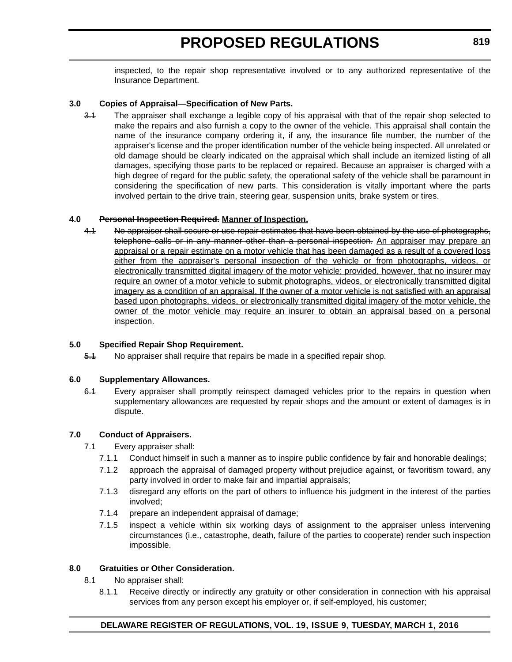inspected, to the repair shop representative involved or to any authorized representative of the Insurance Department.

#### **3.0 Copies of Appraisal—Specification of New Parts.**

3.1 The appraiser shall exchange a legible copy of his appraisal with that of the repair shop selected to make the repairs and also furnish a copy to the owner of the vehicle. This appraisal shall contain the name of the insurance company ordering it, if any, the insurance file number, the number of the appraiser's license and the proper identification number of the vehicle being inspected. All unrelated or old damage should be clearly indicated on the appraisal which shall include an itemized listing of all damages, specifying those parts to be replaced or repaired. Because an appraiser is charged with a high degree of regard for the public safety, the operational safety of the vehicle shall be paramount in considering the specification of new parts. This consideration is vitally important where the parts involved pertain to the drive train, steering gear, suspension units, brake system or tires.

#### **4.0 Personal Inspection Required. Manner of Inspection.**

4.1 No appraiser shall secure or use repair estimates that have been obtained by the use of photographs, telephone calls or in any manner other than a personal inspection. An appraiser may prepare an appraisal or a repair estimate on a motor vehicle that has been damaged as a result of a covered loss either from the appraiser's personal inspection of the vehicle or from photographs, videos, or electronically transmitted digital imagery of the motor vehicle; provided, however, that no insurer may require an owner of a motor vehicle to submit photographs, videos, or electronically transmitted digital imagery as a condition of an appraisal. If the owner of a motor vehicle is not satisfied with an appraisal based upon photographs, videos, or electronically transmitted digital imagery of the motor vehicle, the owner of the motor vehicle may require an insurer to obtain an appraisal based on a personal inspection.

#### **5.0 Specified Repair Shop Requirement.**

5.1 No appraiser shall require that repairs be made in a specified repair shop.

#### **6.0 Supplementary Allowances.**

6.1 Every appraiser shall promptly reinspect damaged vehicles prior to the repairs in question when supplementary allowances are requested by repair shops and the amount or extent of damages is in dispute.

#### **7.0 Conduct of Appraisers.**

- 7.1 Every appraiser shall:
	- 7.1.1 Conduct himself in such a manner as to inspire public confidence by fair and honorable dealings;
	- 7.1.2 approach the appraisal of damaged property without prejudice against, or favoritism toward, any party involved in order to make fair and impartial appraisals;
	- 7.1.3 disregard any efforts on the part of others to influence his judgment in the interest of the parties involved;
	- 7.1.4 prepare an independent appraisal of damage;
	- 7.1.5 inspect a vehicle within six working days of assignment to the appraiser unless intervening circumstances (i.e., catastrophe, death, failure of the parties to cooperate) render such inspection impossible.

#### **8.0 Gratuities or Other Consideration.**

- 8.1 No appraiser shall:
	- 8.1.1 Receive directly or indirectly any gratuity or other consideration in connection with his appraisal services from any person except his employer or, if self-employed, his customer;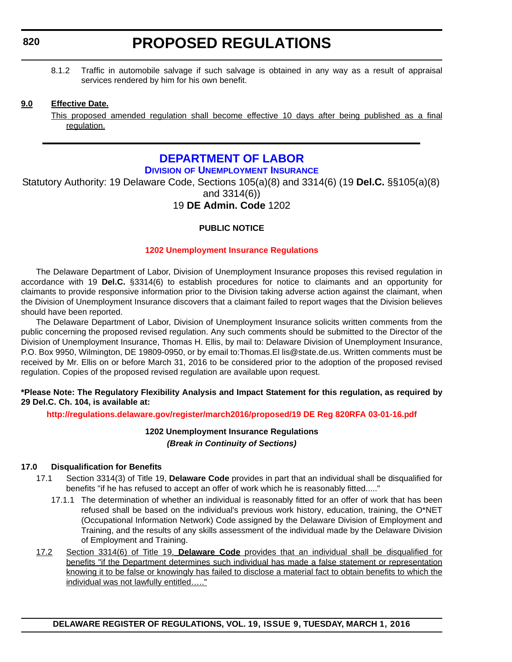<span id="page-32-0"></span>8.1.2 Traffic in automobile salvage if such salvage is obtained in any way as a result of appraisal services rendered by him for his own benefit.

#### **9.0 Effective Date.**

This proposed amended regulation shall become effective 10 days after being published as a final regulation.

### **[DEPARTMENT OF LABOR](http://dol.delaware.gov/)**

**DIVISION [OF UNEMPLOYMENT INSURANCE](http://ui.delawareworks.com/)**

Statutory Authority: 19 Delaware Code, Sections 105(a)(8) and 3314(6) (19 **Del.C.** §§105(a)(8) and 3314(6))

### 19 **DE Admin. Code** 1202

#### **PUBLIC NOTICE**

#### **[1202 Unemployment Insurance Regulations](#page-3-0)**

The Delaware Department of Labor, Division of Unemployment Insurance proposes this revised regulation in accordance with 19 **Del.C.** §3314(6) to establish procedures for notice to claimants and an opportunity for claimants to provide responsive information prior to the Division taking adverse action against the claimant, when the Division of Unemployment Insurance discovers that a claimant failed to report wages that the Division believes should have been reported.

The Delaware Department of Labor, Division of Unemployment Insurance solicits written comments from the public concerning the proposed revised regulation. Any such comments should be submitted to the Director of the Division of Unemployment Insurance, Thomas H. Ellis, by mail to: Delaware Division of Unemployment Insurance, P.O. Box 9950, Wilmington, DE 19809-0950, or by email to:Thomas.El lis@state.de.us. Written comments must be received by Mr. Ellis on or before March 31, 2016 to be considered prior to the adoption of the proposed revised regulation. Copies of the proposed revised regulation are available upon request.

#### **\*Please Note: The Regulatory Flexibility Analysis and Impact Statement for this regulation, as required by 29 Del.C. Ch. 104, is available at:**

#### **<http://regulations.delaware.gov/register/march2016/proposed/19 DE Reg 820RFA 03-01-16.pdf>**

**1202 Unemployment Insurance Regulations** *(Break in Continuity of Sections)*

#### **17.0 Disqualification for Benefits**

- 17.1 Section 3314(3) of Title 19, **Delaware Code** provides in part that an individual shall be disqualified for benefits "if he has refused to accept an offer of work which he is reasonably fitted....."
	- 17.1.1 The determination of whether an individual is reasonably fitted for an offer of work that has been refused shall be based on the individual's previous work history, education, training, the O\*NET (Occupational Information Network) Code assigned by the Delaware Division of Employment and Training, and the results of any skills assessment of the individual made by the Delaware Division of Employment and Training.
- 17.2 Section 3314(6) of Title 19, **Delaware Code** provides that an individual shall be disqualified for benefits "if the Department determines such individual has made a false statement or representation knowing it to be false or knowingly has failed to disclose a material fact to obtain benefits to which the individual was not lawfully entitled….."

**DELAWARE REGISTER OF REGULATIONS, VOL. 19, ISSUE 9, TUESDAY, MARCH 1, 2016**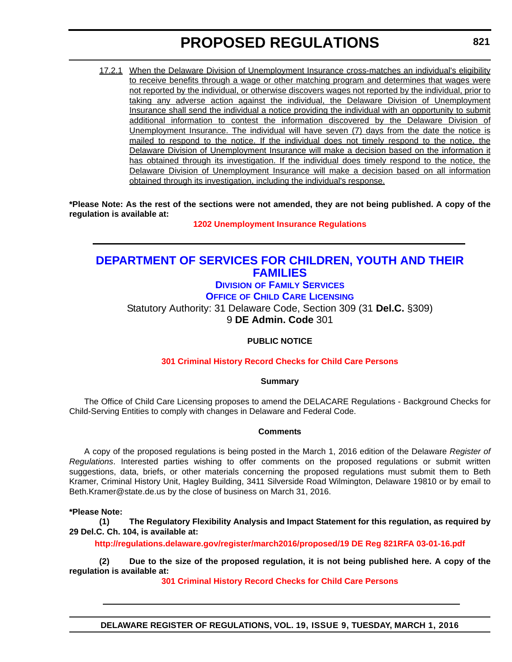<span id="page-33-0"></span>17.2.1 When the Delaware Division of Unemployment Insurance cross-matches an individual's eligibility to receive benefits through a wage or other matching program and determines that wages were not reported by the individual, or otherwise discovers wages not reported by the individual, prior to taking any adverse action against the individual, the Delaware Division of Unemployment Insurance shall send the individual a notice providing the individual with an opportunity to submit additional information to contest the information discovered by the Delaware Division of Unemployment Insurance. The individual will have seven (7) days from the date the notice is mailed to respond to the notice. If the individual does not timely respond to the notice, the Delaware Division of Unemployment Insurance will make a decision based on the information it has obtained through its investigation. If the individual does timely respond to the notice, the Delaware Division of Unemployment Insurance will make a decision based on all information obtained through its investigation, including the individual's response.

**\*Please Note: As the rest of the sections were not amended, they are not being published. A copy of the regulation is available at:**

**[1202 Unemployment Insurance Regulations](http://regulations.delaware.gov/register/march2016/proposed/19 DE Reg 820 03-01-16.htm)**

### **[DEPARTMENT OF SERVICES FOR CHILDREN, YOUTH AND THEIR](http://kids.delaware.gov/)  FAMILIES**

### **DIVISION [OF FAMILY SERVICES](http://kids.delaware.gov/fs/fs.shtml)**

**OFFICE [OF CHILD CARE LICENSING](http://kids.delaware.gov/occl/occl.shtml)**

Statutory Authority: 31 Delaware Code, Section 309 (31 **Del.C.** §309) 9 **DE Admin. Code** 301

#### **PUBLIC NOTICE**

#### **[301 Criminal History Record Checks for Child Care Persons](#page-3-0)**

#### **Summary**

The Office of Child Care Licensing proposes to amend the DELACARE Regulations - Background Checks for Child-Serving Entities to comply with changes in Delaware and Federal Code.

#### **Comments**

A copy of the proposed regulations is being posted in the March 1, 2016 edition of the Delaware *Register of Regulations*. Interested parties wishing to offer comments on the proposed regulations or submit written suggestions, data, briefs, or other materials concerning the proposed regulations must submit them to Beth Kramer, Criminal History Unit, Hagley Building, 3411 Silverside Road Wilmington, Delaware 19810 or by email to Beth.Kramer@state.de.us by the close of business on March 31, 2016.

**\*Please Note:** 

**(1) The Regulatory Flexibility Analysis and Impact Statement for this regulation, as required by 29 Del.C. Ch. 104, is available at:**

**<http://regulations.delaware.gov/register/march2016/proposed/19 DE Reg 821RFA 03-01-16.pdf>**

**(2) Due to the size of the proposed regulation, it is not being published here. A copy of the regulation is available at:**

**[301 Criminal History Record Checks for Child Care Persons](http://regulations.delaware.gov/register/march2016/proposed/19 DE Reg 821 03-01-16.htm)**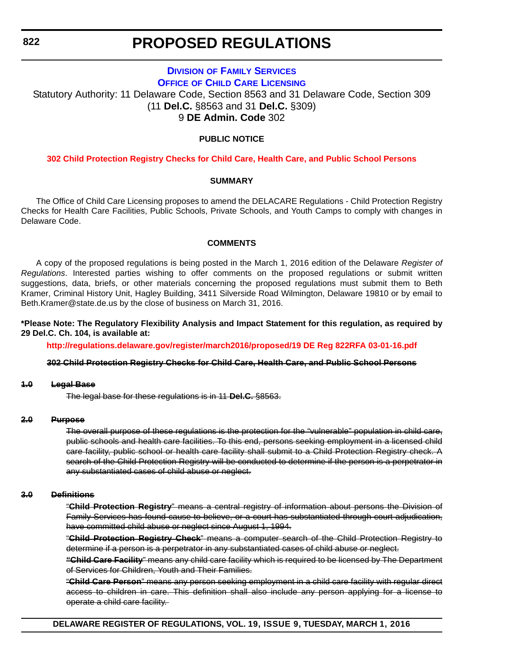### **DIVISION [OF FAMILY SERVICES](http://kids.delaware.gov/fs/fs.shtml) OFFICE [OF CHILD CARE LICENSING](http://kids.delaware.gov/occl/occl.shtml)**

<span id="page-34-0"></span>Statutory Authority: 11 Delaware Code, Section 8563 and 31 Delaware Code, Section 309 (11 **Del.C.** §8563 and 31 **Del.C.** §309) 9 **DE Admin. Code** 302

#### **PUBLIC NOTICE**

#### **[302 Child Protection Registry Checks for Child Care, Health Care, and Public School Persons](#page-3-0)**

#### **SUMMARY**

The Office of Child Care Licensing proposes to amend the DELACARE Regulations - Child Protection Registry Checks for Health Care Facilities, Public Schools, Private Schools, and Youth Camps to comply with changes in Delaware Code.

#### **COMMENTS**

A copy of the proposed regulations is being posted in the March 1, 2016 edition of the Delaware *Register of Regulations*. Interested parties wishing to offer comments on the proposed regulations or submit written suggestions, data, briefs, or other materials concerning the proposed regulations must submit them to Beth Kramer, Criminal History Unit, Hagley Building, 3411 Silverside Road Wilmington, Delaware 19810 or by email to Beth.Kramer@state.de.us by the close of business on March 31, 2016.

**\*Please Note: The Regulatory Flexibility Analysis and Impact Statement for this regulation, as required by 29 Del.C. Ch. 104, is available at:**

**<http://regulations.delaware.gov/register/march2016/proposed/19 DE Reg 822RFA 03-01-16.pdf>**

#### **302 Child Protection Registry Checks for Child Care, Health Care, and Public School Persons**

#### **1.0 Legal Base**

The legal base for these regulations is in 11 **Del.C.** §8563.

#### **2.0 Purpose**

The overall purpose of these regulations is the protection for the "vulnerable" population in child care, public schools and health care facilities. To this end, persons seeking employment in a licensed child care facility, public school or health care facility shall submit to a Child Protection Registry check. A search of the Child Protection Registry will be conducted to determine if the person is a perpetrator in any substantiated cases of child abuse or neglect.

#### **3.0 Definitions**

"**Child Protection Registry**" means a central registry of information about persons the Division of Family Services has found cause to believe, or a court has substantiated through court adjudication, have committed child abuse or neglect since August 1, 1994.

"**Child Protection Registry Check**" means a computer search of the Child Protection Registry to determine if a person is a perpetrator in any substantiated cases of child abuse or neglect.

**"Child Care Facility**" means any child care facility which is required to be licensed by The Department of Services for Children, Youth and Their Families.

"**Child Care Person**" means any person seeking employment in a child care facility with regular direct access to children in care. This definition shall also include any person applying for a license to operate a child care facility.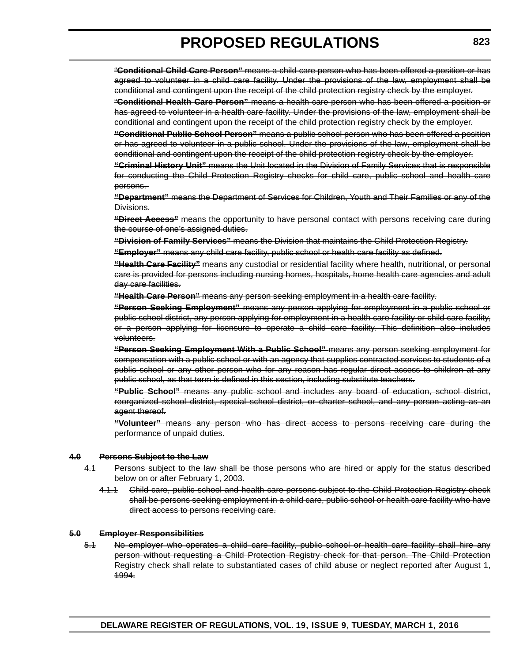"**Conditional Child Care Person"** means a child care person who has been offered a position or has agreed to volunteer in a child care facility. Under the provisions of the law, employment shall be conditional and contingent upon the receipt of the child protection registry check by the employer.

"**Conditional Health Care Person"** means a health care person who has been offered a position or has agreed to volunteer in a health care facility. Under the provisions of the law, employment shall be conditional and contingent upon the receipt of the child protection registry check by the employer.

**"Conditional Public School Person"** means a public school person who has been offered a position or has agreed to volunteer in a public school. Under the provisions of the law, employment shall be conditional and contingent upon the receipt of the child protection registry check by the employer.

**"Criminal History Unit"** means the Unit located in the Division of Family Services that is responsible for conducting the Child Protection Registry checks for child care, public school and health care persons.

**"Department"** means the Department of Services for Children, Youth and Their Families or any of the Divisions.

**"Direct Access"** means the opportunity to have personal contact with persons receiving care during the course of one's assigned duties.

**"Division of Family Services"** means the Division that maintains the Child Protection Registry.

**"Employer"** means any child care facility, public school or health care facility as defined.

**"Health Care Facility"** means any custodial or residential facility where health, nutritional, or personal care is provided for persons including nursing homes, hospitals, home health care agencies and adult day care facilities.

**"Health Care Person"** means any person seeking employment in a health care facility.

**"Person Seeking Employment"** means any person applying for employment in a public school or public school district, any person applying for employment in a health care facility or child care facility, or a person applying for licensure to operate a child care facility. This definition also includes volunteers.

**"Person Seeking Employment With a Public School"** means any person seeking employment for compensation with a public school or with an agency that supplies contracted services to students of a public school or any other person who for any reason has regular direct access to children at any public school, as that term is defined in this section, including substitute teachers.

**"Public School"** means any public school and includes any board of education, school district, reorganized school district, special school district, or charter school, and any person acting as an agent thereof.

**"Volunteer"** means any person who has direct access to persons receiving care during the performance of unpaid duties.

#### **4.0 Persons Subject to the Law**

- 4.1 Persons subject to the law shall be those persons who are hired or apply for the status described below on or after February 1, 2003.
	- 4.1.1 Child care, public school and health care persons subject to the Child Protection Registry check shall be persons seeking employment in a child care, public school or health care facility who have direct access to persons receiving care.

#### **5.0 Employer Responsibilities**

5.1 No employer who operates a child care facility, public school or health care facility shall hire any person without requesting a Child Protection Registry check for that person. The Child Protection Registry check shall relate to substantiated cases of child abuse or neglect reported after August 1, 1994.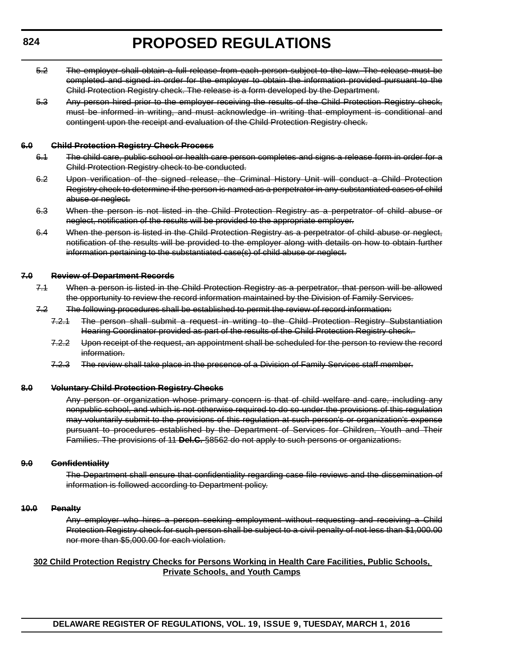- 5.2 The employer shall obtain a full release from each person subject to the law. The release must be completed and signed in order for the employer to obtain the information provided pursuant to the Child Protection Registry check. The release is a form developed by the Department.
- 5.3 Any person hired prior to the employer receiving the results of the Child Protection Registry check, must be informed in writing, and must acknowledge in writing that employment is conditional and contingent upon the receipt and evaluation of the Child Protection Registry check.

#### **6.0 Child Protection Registry Check Process**

- 6.1 The child care, public school or health care person completes and signs a release form in order for a Child Protection Registry check to be conducted.
- 6.2 Upon verification of the signed release, the Criminal History Unit will conduct a Child Protection Registry check to determine if the person is named as a perpetrator in any substantiated cases of child abuse or neglect.
- 6.3 When the person is not listed in the Child Protection Registry as a perpetrator of child abuse or neglect, notification of the results will be provided to the appropriate employer.
- 6.4 When the person is listed in the Child Protection Registry as a perpetrator of child abuse or neglect, notification of the results will be provided to the employer along with details on how to obtain further information pertaining to the substantiated case(s) of child abuse or neglect.

### **7.0 Review of Department Records**

- 7.1 When a person is listed in the Child Protection Registry as a perpetrator, that person will be allowed the opportunity to review the record information maintained by the Division of Family Services.
- 7.2 The following procedures shall be established to permit the review of record information:
	- 7.2.1 The person shall submit a request in writing to the Child Protection Registry Substantiation Hearing Coordinator provided as part of the results of the Child Protection Registry check.
	- 7.2.2 Upon receipt of the request, an appointment shall be scheduled for the person to review the record information.
	- 7.2.3 The review shall take place in the presence of a Division of Family Services staff member.

#### **8.0 Voluntary Child Protection Registry Checks**

Any person or organization whose primary concern is that of child welfare and care, including any nonpublic school, and which is not otherwise required to do so under the provisions of this regulation may voluntarily submit to the provisions of this regulation at such person's or organization's expense pursuant to procedures established by the Department of Services for Children, Youth and Their Families. The provisions of 11 **Del.C.** §8562 do not apply to such persons or organizations.

#### **9.0 Confidentiality**

The Department shall ensure that confidentiality regarding case file reviews and the dissemination of information is followed according to Department policy.

#### **10.0 Penalty**

Any employer who hires a person seeking employment without requesting and receiving a Child Protection Registry check for such person shall be subject to a civil penalty of not less than \$1,000.00 nor more than \$5,000.00 for each violation.

### **302 Child Protection Registry Checks for Persons Working in Health Care Facilities, Public Schools, Private Schools, and Youth Camps**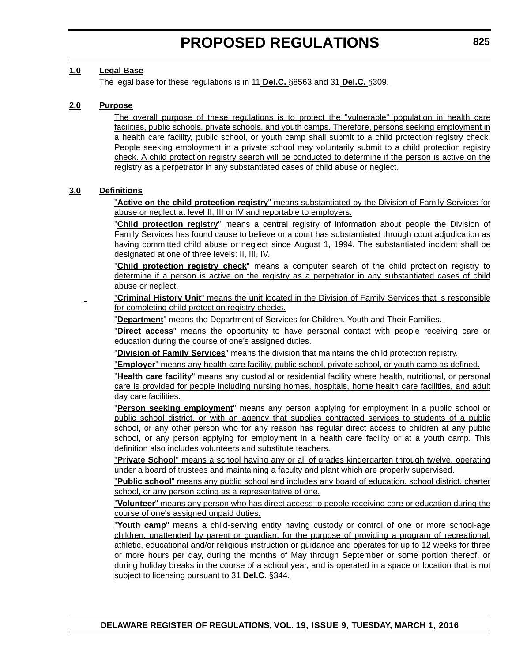# **1.0 Legal Base**

The legal base for these regulations is in 11 **Del.C.** §8563 and 31 **Del.C.** §309.

# **2.0 Purpose**

The overall purpose of these regulations is to protect the "vulnerable" population in health care facilities, public schools, private schools, and youth camps. Therefore, persons seeking employment in a health care facility, public school, or youth camp shall submit to a child protection registry check. People seeking employment in a private school may voluntarily submit to a child protection registry check. A child protection registry search will be conducted to determine if the person is active on the registry as a perpetrator in any substantiated cases of child abuse or neglect.

### **3.0 Definitions**

"**Active on the child protection registry**" means substantiated by the Division of Family Services for abuse or neglect at level II, III or IV and reportable to employers.

"**Child protection registry**" means a central registry of information about people the Division of Family Services has found cause to believe or a court has substantiated through court adjudication as having committed child abuse or neglect since August 1, 1994. The substantiated incident shall be designated at one of three levels: II, III, IV.

"**Child protection registry check**" means a computer search of the child protection registry to determine if a person is active on the registry as a perpetrator in any substantiated cases of child abuse or neglect.

"**Criminal History Unit**" means the unit located in the Division of Family Services that is responsible for completing child protection registry checks.

"**Department**" means the Department of Services for Children, Youth and Their Families.

"**Direct access**" means the opportunity to have personal contact with people receiving care or education during the course of one's assigned duties.

"**Division of Family Services**" means the division that maintains the child protection registry.

"**Employer**" means any health care facility, public school, private school, or youth camp as defined.

"**Health care facility**" means any custodial or residential facility where health, nutritional, or personal care is provided for people including nursing homes, hospitals, home health care facilities, and adult day care facilities.

"**Person seeking employment**" means any person applying for employment in a public school or public school district, or with an agency that supplies contracted services to students of a public school, or any other person who for any reason has regular direct access to children at any public school, or any person applying for employment in a health care facility or at a youth camp. This definition also includes volunteers and substitute teachers.

"**Private School**" means a school having any or all of grades kindergarten through twelve, operating under a board of trustees and maintaining a faculty and plant which are properly supervised.

"**Public school**" means any public school and includes any board of education, school district, charter school, or any person acting as a representative of one.

"**Volunteer**" means any person who has direct access to people receiving care or education during the course of one's assigned unpaid duties.

"**Youth camp**" means a child-serving entity having custody or control of one or more school-age children, unattended by parent or guardian, for the purpose of providing a program of recreational, athletic, educational and/or religious instruction or guidance and operates for up to 12 weeks for three or more hours per day, during the months of May through September or some portion thereof, or during holiday breaks in the course of a school year, and is operated in a space or location that is not subject to licensing pursuant to 31 **Del.C.** §344.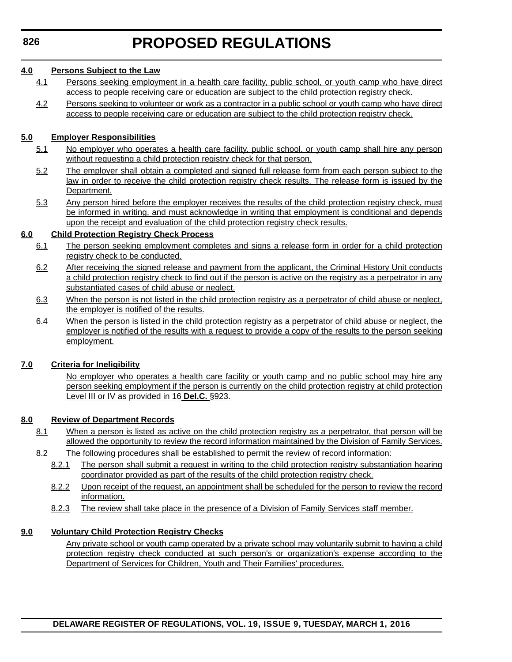## **4.0 Persons Subject to the Law**

- 4.1 Persons seeking employment in a health care facility, public school, or youth camp who have direct access to people receiving care or education are subject to the child protection registry check.
- 4.2 Persons seeking to volunteer or work as a contractor in a public school or youth camp who have direct access to people receiving care or education are subject to the child protection registry check.

# **5.0 Employer Responsibilities**

- 5.1 No employer who operates a health care facility, public school, or youth camp shall hire any person without requesting a child protection registry check for that person.
- 5.2 The employer shall obtain a completed and signed full release form from each person subject to the law in order to receive the child protection registry check results. The release form is issued by the Department.
- 5.3 Any person hired before the employer receives the results of the child protection registry check, must be informed in writing, and must acknowledge in writing that employment is conditional and depends upon the receipt and evaluation of the child protection registry check results.

# **6.0 Child Protection Registry Check Process**

- 6.1 The person seeking employment completes and signs a release form in order for a child protection registry check to be conducted.
- 6.2 After receiving the signed release and payment from the applicant, the Criminal History Unit conducts a child protection registry check to find out if the person is active on the registry as a perpetrator in any substantiated cases of child abuse or neglect.
- 6.3 When the person is not listed in the child protection registry as a perpetrator of child abuse or neglect, the employer is notified of the results.
- 6.4 When the person is listed in the child protection registry as a perpetrator of child abuse or neglect, the employer is notified of the results with a request to provide a copy of the results to the person seeking employment.

# **7.0 Criteria for Ineligibility**

No employer who operates a health care facility or youth camp and no public school may hire any person seeking employment if the person is currently on the child protection registry at child protection Level III or IV as provided in 16 **Del.C.** §923.

### **8.0 Review of Department Records**

- 8.1 When a person is listed as active on the child protection registry as a perpetrator, that person will be allowed the opportunity to review the record information maintained by the Division of Family Services.
- 8.2 The following procedures shall be established to permit the review of record information:
	- 8.2.1 The person shall submit a request in writing to the child protection registry substantiation hearing coordinator provided as part of the results of the child protection registry check.
	- 8.2.2 Upon receipt of the request, an appointment shall be scheduled for the person to review the record information.
	- 8.2.3 The review shall take place in the presence of a Division of Family Services staff member.

# **9.0 Voluntary Child Protection Registry Checks**

Any private school or youth camp operated by a private school may voluntarily submit to having a child protection registry check conducted at such person's or organization's expense according to the Department of Services for Children, Youth and Their Families' procedures.

**DELAWARE REGISTER OF REGULATIONS, VOL. 19, ISSUE 9, TUESDAY, MARCH 1, 2016**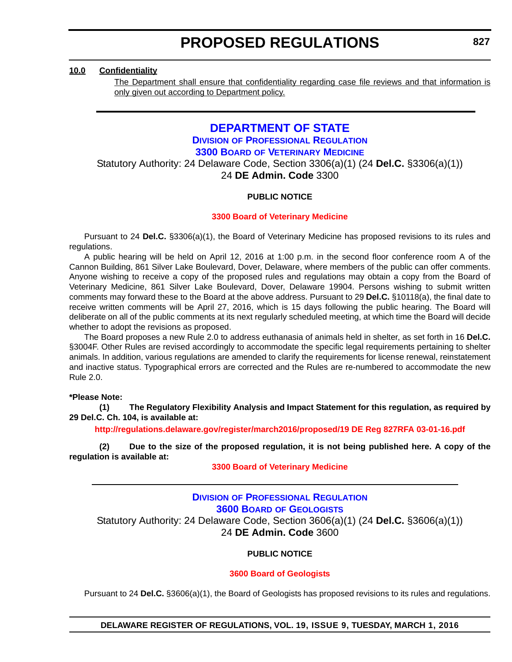### **10.0 Confidentiality**

The Department shall ensure that confidentiality regarding case file reviews and that information is only given out according to Department policy.

# **[DEPARTMENT OF STATE](http://sos.delaware.gov/) DIVISION [OF PROFESSIONAL REGULATION](http://dpr.delaware.gov/) 3300 BOARD [OF VETERINARY MEDICINE](http://dpr.delaware.gov/boards/veterinarymedicine/index.shtml)**

Statutory Authority: 24 Delaware Code, Section 3306(a)(1) (24 **Del.C.** §3306(a)(1)) 24 **DE Admin. Code** 3300

### **PUBLIC NOTICE**

### **[3300 Board of Veterinary Medicine](#page-3-0)**

Pursuant to 24 **Del.C.** §3306(a)(1), the Board of Veterinary Medicine has proposed revisions to its rules and regulations.

A public hearing will be held on April 12, 2016 at 1:00 p.m. in the second floor conference room A of the Cannon Building, 861 Silver Lake Boulevard, Dover, Delaware, where members of the public can offer comments. Anyone wishing to receive a copy of the proposed rules and regulations may obtain a copy from the Board of Veterinary Medicine, 861 Silver Lake Boulevard, Dover, Delaware 19904. Persons wishing to submit written comments may forward these to the Board at the above address. Pursuant to 29 **Del.C.** §10118(a), the final date to receive written comments will be April 27, 2016, which is 15 days following the public hearing. The Board will deliberate on all of the public comments at its next regularly scheduled meeting, at which time the Board will decide whether to adopt the revisions as proposed.

The Board proposes a new Rule 2.0 to address euthanasia of animals held in shelter, as set forth in 16 **Del.C.** §3004F. Other Rules are revised accordingly to accommodate the specific legal requirements pertaining to shelter animals. In addition, various regulations are amended to clarify the requirements for license renewal, reinstatement and inactive status. Typographical errors are corrected and the Rules are re-numbered to accommodate the new Rule 2.0.

### **\*Please Note:**

**(1) The Regulatory Flexibility Analysis and Impact Statement for this regulation, as required by 29 Del.C. Ch. 104, is available at:**

**<http://regulations.delaware.gov/register/march2016/proposed/19 DE Reg 827RFA 03-01-16.pdf>**

**(2) Due to the size of the proposed regulation, it is not being published here. A copy of the regulation is available at:**

### **[3300 Board of Veterinary Medicine](http://regulations.delaware.gov/register/march2016/proposed/19 DE Reg 827 03-01-16.htm)**

# **DIVISION [OF PROFESSIONAL REGULATION](http://dpr.delaware.gov/) 3600 BOARD [OF GEOLOGISTS](http://dpr.delaware.gov/boards/geology/index.shtml)** Statutory Authority: 24 Delaware Code, Section 3606(a)(1) (24 **Del.C.** §3606(a)(1))

24 **DE Admin. Code** 3600

### **PUBLIC NOTICE**

### **[3600 Board of Geologists](#page-3-0)**

Pursuant to 24 **Del.C.** §3606(a)(1), the Board of Geologists has proposed revisions to its rules and regulations.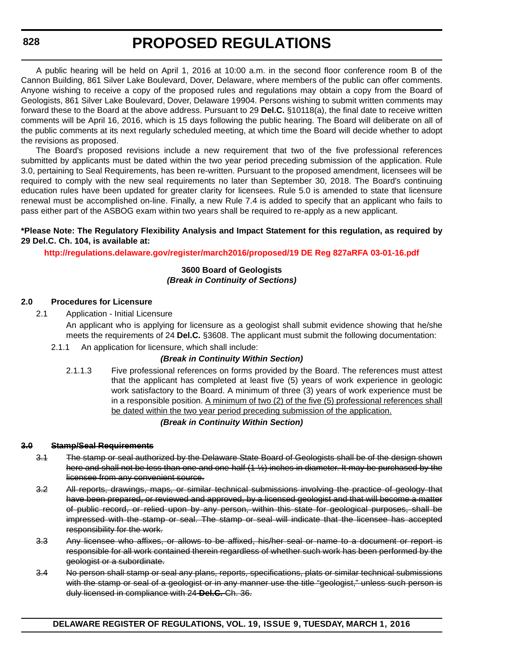A public hearing will be held on April 1, 2016 at 10:00 a.m. in the second floor conference room B of the Cannon Building, 861 Silver Lake Boulevard, Dover, Delaware, where members of the public can offer comments. Anyone wishing to receive a copy of the proposed rules and regulations may obtain a copy from the Board of Geologists, 861 Silver Lake Boulevard, Dover, Delaware 19904. Persons wishing to submit written comments may forward these to the Board at the above address. Pursuant to 29 **Del.C.** §10118(a), the final date to receive written comments will be April 16, 2016, which is 15 days following the public hearing. The Board will deliberate on all of the public comments at its next regularly scheduled meeting, at which time the Board will decide whether to adopt the revisions as proposed.

The Board's proposed revisions include a new requirement that two of the five professional references submitted by applicants must be dated within the two year period preceding submission of the application. Rule 3.0, pertaining to Seal Requirements, has been re-written. Pursuant to the proposed amendment, licensees will be required to comply with the new seal requirements no later than September 30, 2018. The Board's continuing education rules have been updated for greater clarity for licensees. Rule 5.0 is amended to state that licensure renewal must be accomplished on-line. Finally, a new Rule 7.4 is added to specify that an applicant who fails to pass either part of the ASBOG exam within two years shall be required to re-apply as a new applicant.

### **\*Please Note: The Regulatory Flexibility Analysis and Impact Statement for this regulation, as required by 29 Del.C. Ch. 104, is available at:**

**<http://regulations.delaware.gov/register/march2016/proposed/19 DE Reg 827aRFA 03-01-16.pdf>**

### **3600 Board of Geologists** *(Break in Continuity of Sections)*

### **2.0 Procedures for Licensure**

2.1 Application - Initial Licensure

An applicant who is applying for licensure as a geologist shall submit evidence showing that he/she meets the requirements of 24 **Del.C.** §3608. The applicant must submit the following documentation:

2.1.1 An application for licensure, which shall include:

### *(Break in Continuity Within Section)*

2.1.1.3 Five professional references on forms provided by the Board. The references must attest that the applicant has completed at least five (5) years of work experience in geologic work satisfactory to the Board. A minimum of three (3) years of work experience must be in a responsible position. A minimum of two (2) of the five (5) professional references shall be dated within the two year period preceding submission of the application.

### *(Break in Continuity Within Section)*

#### **3.0 Stamp/Seal Requirements**

- 3.1 The stamp or seal authorized by the Delaware State Board of Geologists shall be of the design shown here and shall not be less than one and one-half (1 ½) inches in diameter. It may be purchased by the licensee from any convenient source.
- 3.2 All reports, drawings, maps, or similar technical submissions involving the practice of geology that have been prepared, or reviewed and approved, by a licensed geologist and that will become a matter of public record, or relied upon by any person, within this state for geological purposes, shall be impressed with the stamp or seal. The stamp or seal will indicate that the licensee has accepted responsibility for the work.
- 3.3 Any licensee who affixes, or allows to be affixed, his/her seal or name to a document or report is responsible for all work contained therein regardless of whether such work has been performed by the geologist or a subordinate.
- 3.4 No person shall stamp or seal any plans, reports, specifications, plats or similar technical submissions with the stamp or seal of a geologist or in any manner use the title "geologist," unless such person is duly licensed in compliance with 24 **Del.C.** Ch. 36.

**DELAWARE REGISTER OF REGULATIONS, VOL. 19, ISSUE 9, TUESDAY, MARCH 1, 2016**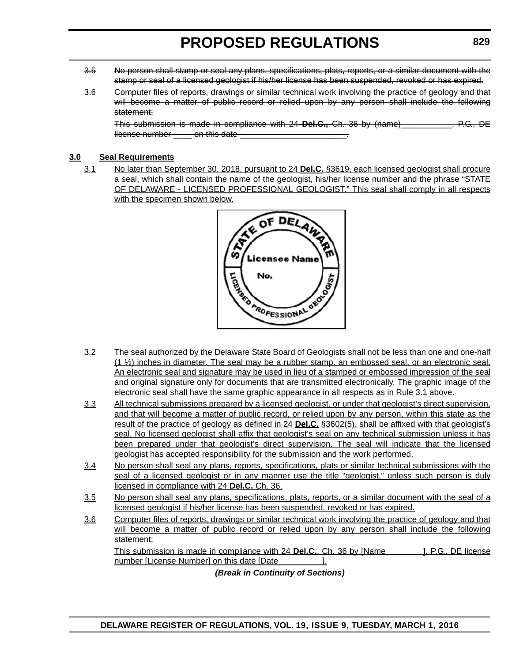- 3.5 No person shall stamp or seal any plans, specifications, plats, reports, or a similar document with the stamp or seal of a licensed geologist if his/her license has been suspended, revoked or has expired.
- 3.6 Computer files of reports, drawings or similar technical work involving the practice of geology and that will become a matter of public record or relied upon by any person shall include the following statement:

This submission is made in compliance with 24 **Del.C.,** Ch. 36 by (name)\_\_\_\_\_\_\_\_\_\_\_, P.G., DE license number con this date

# **3.0 Seal Requirements**

3.1 No later than September 30, 2018, pursuant to 24 **Del.C.** §3619, each licensed geologist shall procure a seal, which shall contain the name of the geologist, his/her license number and the phrase "STATE OF DELAWARE - LICENSED PROFESSIONAL GEOLOGIST." This seal shall comply in all respects with the specimen shown below.



- 3.2 The seal authorized by the Delaware State Board of Geologists shall not be less than one and one-half  $(1 \frac{1}{2})$  inches in diameter. The seal may be a rubber stamp, an embossed seal, or an electronic seal. An electronic seal and signature may be used in lieu of a stamped or embossed impression of the seal and original signature only for documents that are transmitted electronically. The graphic image of the electronic seal shall have the same graphic appearance in all respects as in Rule 3.1 above.
- 3.3 All technical submissions prepared by a licensed geologist, or under that geologist's direct supervision, and that will become a matter of public record, or relied upon by any person, within this state as the result of the practice of geology as defined in 24 **Del.C.** §3602(5), shall be affixed with that geologist's seal. No licensed geologist shall affix that geologist's seal on any technical submission unless it has been prepared under that geologist's direct supervision. The seal will indicate that the licensed geologist has accepted responsibility for the submission and the work performed.
- 3.4 No person shall seal any plans, reports, specifications, plats or similar technical submissions with the seal of a licensed geologist or in any manner use the title "geologist," unless such person is duly licensed in compliance with 24 **Del.C.** Ch. 36.
- 3.5 No person shall seal any plans, specifications, plats, reports, or a similar document with the seal of a licensed geologist if his/her license has been suspended, revoked or has expired.
- 3.6 Computer files of reports, drawings or similar technical work involving the practice of geology and that will become a matter of public record or relied upon by any person shall include the following statement: This submission is made in compliance with 24 **Del.C.**, Ch. 36 by [Name ], P.G., DE license

number [License Number] on this date [Date [11].

*(Break in Continuity of Sections)*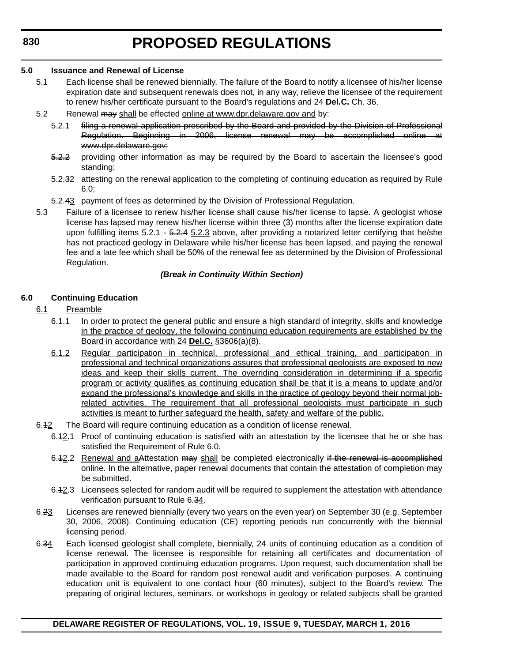### **5.0 Issuance and Renewal of License**

- 5.1 Each license shall be renewed biennially. The failure of the Board to notify a licensee of his/her license expiration date and subsequent renewals does not, in any way, relieve the licensee of the requirement to renew his/her certificate pursuant to the Board's regulations and 24 **Del.C.** Ch. 36.
- 5.2 Renewal may shall be effected [online at www.dpr.delaware.gov and](www.dpr.delaware.gov) by:
	- 5.2.1 filing a renewal application prescribed by the Board and provided by the Division of Professional Regulation. Beginning in 2006, license renewal may be accomplished online at www.dpr.delaware.gov;
	- 5.2.2 providing other information as may be required by the Board to ascertain the licensee's good standing;
	- 5.2.32 attesting on the renewal application to the completing of continuing education as required by Rule 6.0;
	- 5.2.43 payment of fees as determined by the Division of Professional Regulation.
- 5.3 Failure of a licensee to renew his/her license shall cause his/her license to lapse. A geologist whose license has lapsed may renew his/her license within three (3) months after the license expiration date upon fulfilling items  $5.2.1 - 5.2.4$   $5.2.3$  above, after providing a notarized letter certifying that he/she has not practiced geology in Delaware while his/her license has been lapsed, and paying the renewal fee and a late fee which shall be 50% of the renewal fee as determined by the Division of Professional Regulation.

### *(Break in Continuity Within Section)*

# **6.0 Continuing Education**

- 6.1 Preamble
	- 6.1.1 In order to protect the general public and ensure a high standard of integrity, skills and knowledge in the practice of geology, the following continuing education requirements are established by the Board in accordance with 24 **Del.C.** §3606(a)(8).
	- 6.1.2 Regular participation in technical, professional and ethical training, and participation in professional and technical organizations assures that professional geologists are exposed to new ideas and keep their skills current. The overriding consideration in determining if a specific program or activity qualifies as continuing education shall be that it is a means to update and/or expand the professional's knowledge and skills in the practice of geology beyond their normal jobrelated activities. The requirement that all professional geologists must participate in such activities is meant to further safeguard the health, safety and welfare of the public.
- 6.12 The Board will require continuing education as a condition of license renewal.
	- 6.42.1 Proof of continuing education is satisfied with an attestation by the licensee that he or she has satisfied the Requirement of Rule 6.0.
	- 6.42.2 Renewal and aAttestation may shall be completed electronically if the renewal is accomplished online. In the alternative, paper renewal documents that contain the attestation of completion may be submitted.
	- 6.12.3 Licensees selected for random audit will be required to supplement the attestation with attendance verification pursuant to Rule 6.34.
- 6.23 Licenses are renewed biennially (every two years on the even year) on September 30 (e.g. September 30, 2006, 2008). Continuing education (CE) reporting periods run concurrently with the biennial licensing period.
- 6.34 Each licensed geologist shall complete, biennially, 24 units of continuing education as a condition of license renewal. The licensee is responsible for retaining all certificates and documentation of participation in approved continuing education programs. Upon request, such documentation shall be made available to the Board for random post renewal audit and verification purposes. A continuing education unit is equivalent to one contact hour (60 minutes), subject to the Board's review. The preparing of original lectures, seminars, or workshops in geology or related subjects shall be granted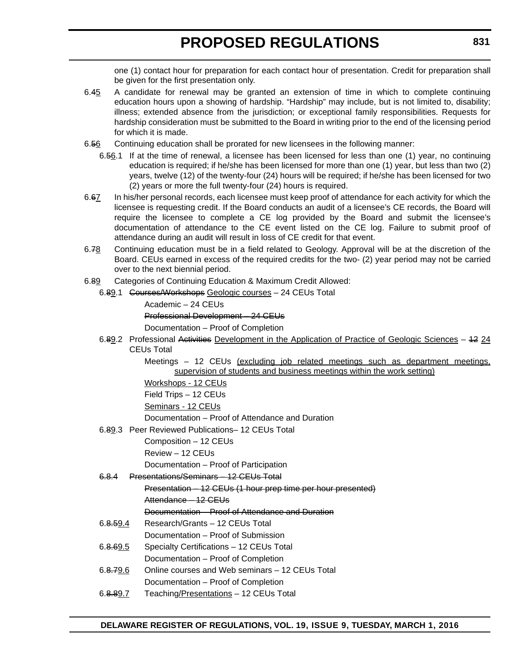one (1) contact hour for preparation for each contact hour of presentation. Credit for preparation shall be given for the first presentation only.

- 6.45 A candidate for renewal may be granted an extension of time in which to complete continuing education hours upon a showing of hardship. "Hardship" may include, but is not limited to, disability; illness; extended absence from the jurisdiction; or exceptional family responsibilities. Requests for hardship consideration must be submitted to the Board in writing prior to the end of the licensing period for which it is made.
- 6.56 Continuing education shall be prorated for new licensees in the following manner:
	- 6.56.1 If at the time of renewal, a licensee has been licensed for less than one (1) year, no continuing education is required; if he/she has been licensed for more than one (1) year, but less than two (2) years, twelve (12) of the twenty-four (24) hours will be required; if he/she has been licensed for two (2) years or more the full twenty-four (24) hours is required.
- 6.67 In his/her personal records, each licensee must keep proof of attendance for each activity for which the licensee is requesting credit. If the Board conducts an audit of a licensee's CE records, the Board will require the licensee to complete a CE log provided by the Board and submit the licensee's documentation of attendance to the CE event listed on the CE log. Failure to submit proof of attendance during an audit will result in loss of CE credit for that event.
- 6.78 Continuing education must be in a field related to Geology. Approval will be at the discretion of the Board. CEUs earned in excess of the required credits for the two- (2) year period may not be carried over to the next biennial period.
- 6.89 Categories of Continuing Education & Maximum Credit Allowed:
	- 6.89.1 Courses/Workshops Geologic courses 24 CEUs Total
		- Academic 24 CEUs

Professional Development – 24 CEUs

Documentation – Proof of Completion

6.89.2 Professional Activities Development in the Application of Practice of Geologic Sciences – 12 24 CEUs Total

> Meetings – 12 CEUs (excluding job related meetings such as department meetings, supervision of students and business meetings within the work setting)

Workshops - 12 CEUs

Field Trips – 12 CEUs

Seminars - 12 CEUs

Documentation – Proof of Attendance and Duration

6.89.3 Peer Reviewed Publications– 12 CEUs Total

Composition – 12 CEUs

Review – 12 CEUs

Documentation – Proof of Participation

### 6.8.4 Presentations/Seminars – 12 CEUs Total

Presentation – 12 CEUs (1 hour prep time per hour presented)

Attendance – 12 CEUs

Documentation – Proof of Attendance and Duration

- 6.8.59.4 Research/Grants 12 CEUs Total
- Documentation Proof of Submission
- 6.8.69.5 Specialty Certifications 12 CEUs Total Documentation – Proof of Completion
- 6.8.79.6 Online courses and Web seminars 12 CEUs Total
	- Documentation Proof of Completion
- 6.8.89.7 Teaching/Presentations 12 CEUs Total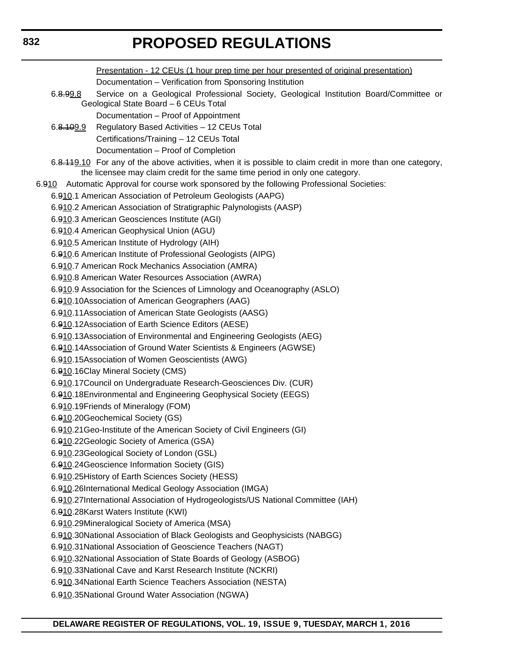Presentation - 12 CEUs (1 hour prep time per hour presented of original presentation) Documentation – Verification from Sponsoring Institution 6.8.99.8 Service on a Geological Professional Society, Geological Institution Board/Committee or Geological State Board – 6 CEUs Total Documentation – Proof of Appointment 6.8.109.9 Regulatory Based Activities – 12 CEUs Total Certifications/Training – 12 CEUs Total Documentation – Proof of Completion 6.8.119.10 For any of the above activities, when it is possible to claim credit in more than one category, the licensee may claim credit for the same time period in only one category. 6.910 Automatic Approval for course work sponsored by the following Professional Societies: 6.910.1 American Association of Petroleum Geologists (AAPG) 6.910.2 American Association of Stratigraphic Palynologists (AASP) 6.910.3 American Geosciences Institute (AGI) 6.910.4 American Geophysical Union (AGU) 6.910.5 American Institute of Hydrology (AIH) 6.910.6 American Institute of Professional Geologists (AIPG) 6.910.7 American Rock Mechanics Association (AMRA) 6.910.8 American Water Resources Association (AWRA) 6.910.9 Association for the Sciences of Limnology and Oceanography (ASLO) 6.910.10Association of American Geographers (AAG) 6.910.11Association of American State Geologists (AASG) 6.910.12Association of Earth Science Editors (AESE) 6.910.13Association of Environmental and Engineering Geologists (AEG) 6.910.14Association of Ground Water Scientists & Engineers (AGWSE) 6.910.15Association of Women Geoscientists (AWG) 6.910.16Clay Mineral Society (CMS) 6.910.17Council on Undergraduate Research-Geosciences Div. (CUR) 6.910.18Environmental and Engineering Geophysical Society (EEGS) 6.910.19Friends of Mineralogy (FOM) 6.910.20Geochemical Society (GS) 6.910.21Geo-Institute of the American Society of Civil Engineers (GI) 6.910.22Geologic Society of America (GSA) 6.910.23Geological Society of London (GSL) 6.910.24Geoscience Information Society (GIS) 6.910.25History of Earth Sciences Society (HESS) 6.910.26International Medical Geology Association (IMGA) 6.910.27International Association of Hydrogeologists/US National Committee (IAH) 6.910.28Karst Waters Institute (KWI) 6.910.29Mineralogical Society of America (MSA) 6.910.30National Association of Black Geologists and Geophysicists (NABGG) 6.910.31National Association of Geoscience Teachers (NAGT) 6.910.32National Association of State Boards of Geology (ASBOG) 6.910.33National Cave and Karst Research Institute (NCKRI) 6.910.34National Earth Science Teachers Association (NESTA) 6.910.35National Ground Water Association (NGWA)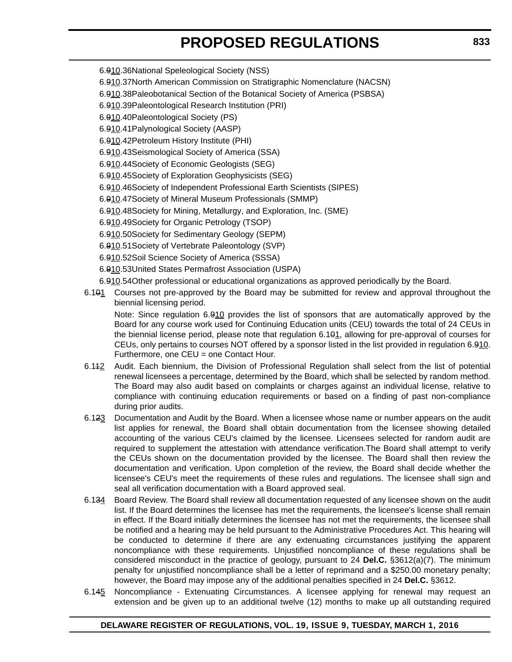- 6.910.36National Speleological Society (NSS)
- 6.910.37North American Commission on Stratigraphic Nomenclature (NACSN)
- 6.910.38Paleobotanical Section of the Botanical Society of America (PSBSA)
- 6.910.39Paleontological Research Institution (PRI)
- 6.910.40Paleontological Society (PS)
- 6.910.41Palynological Society (AASP)
- 6.910.42Petroleum History Institute (PHI)
- 6.910.43Seismological Society of America (SSA)
- 6.910.44Society of Economic Geologists (SEG)
- 6.910.45Society of Exploration Geophysicists (SEG)
- 6.910.46Society of Independent Professional Earth Scientists (SIPES)
- 6.910.47Society of Mineral Museum Professionals (SMMP)
- 6.910.48Society for Mining, Metallurgy, and Exploration, Inc. (SME)
- 6.910.49Society for Organic Petrology (TSOP)
- 6.910.50Society for Sedimentary Geology (SEPM)
- 6.910.51Society of Vertebrate Paleontology (SVP)
- 6.910.52Soil Science Society of America (SSSA)
- 6.910.53United States Permafrost Association (USPA)
- 6.910.54Other professional or educational organizations as approved periodically by the Board.
- 6.101 Courses not pre-approved by the Board may be submitted for review and approval throughout the biennial licensing period.

Note: Since regulation 6.910 provides the list of sponsors that are automatically approved by the Board for any course work used for Continuing Education units (CEU) towards the total of 24 CEUs in the biennial license period, please note that regulation 6.101, allowing for pre-approval of courses for CEUs, only pertains to courses NOT offered by a sponsor listed in the list provided in regulation 6.910. Furthermore, one CEU = one Contact Hour.

- 6.142 Audit. Each biennium, the Division of Professional Regulation shall select from the list of potential renewal licensees a percentage, determined by the Board, which shall be selected by random method. The Board may also audit based on complaints or charges against an individual license, relative to compliance with continuing education requirements or based on a finding of past non-compliance during prior audits.
- 6.123 Documentation and Audit by the Board. When a licensee whose name or number appears on the audit list applies for renewal, the Board shall obtain documentation from the licensee showing detailed accounting of the various CEU's claimed by the licensee. Licensees selected for random audit are required to supplement the attestation with attendance verification.The Board shall attempt to verify the CEUs shown on the documentation provided by the licensee. The Board shall then review the documentation and verification. Upon completion of the review, the Board shall decide whether the licensee's CEU's meet the requirements of these rules and regulations. The licensee shall sign and seal all verification documentation with a Board approved seal.
- 6.134 Board Review. The Board shall review all documentation requested of any licensee shown on the audit list. If the Board determines the licensee has met the requirements, the licensee's license shall remain in effect. If the Board initially determines the licensee has not met the requirements, the licensee shall be notified and a hearing may be held pursuant to the Administrative Procedures Act. This hearing will be conducted to determine if there are any extenuating circumstances justifying the apparent noncompliance with these requirements. Unjustified noncompliance of these regulations shall be considered misconduct in the practice of geology, pursuant to 24 **Del.C.** §3612(a)(7). The minimum penalty for unjustified noncompliance shall be a letter of reprimand and a \$250.00 monetary penalty; however, the Board may impose any of the additional penalties specified in 24 **Del.C.** §3612.
- 6.145 Noncompliance Extenuating Circumstances. A licensee applying for renewal may request an extension and be given up to an additional twelve (12) months to make up all outstanding required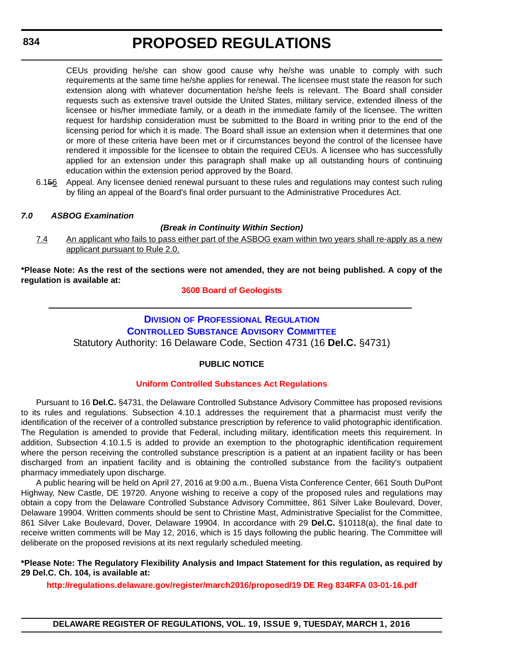CEUs providing he/she can show good cause why he/she was unable to comply with such requirements at the same time he/she applies for renewal. The licensee must state the reason for such extension along with whatever documentation he/she feels is relevant. The Board shall consider requests such as extensive travel outside the United States, military service, extended illness of the licensee or his/her immediate family, or a death in the immediate family of the licensee. The written request for hardship consideration must be submitted to the Board in writing prior to the end of the licensing period for which it is made. The Board shall issue an extension when it determines that one or more of these criteria have been met or if circumstances beyond the control of the licensee have rendered it impossible for the licensee to obtain the required CEUs. A licensee who has successfully applied for an extension under this paragraph shall make up all outstanding hours of continuing education within the extension period approved by the Board.

6.156 Appeal. Any licensee denied renewal pursuant to these rules and regulations may contest such ruling by filing an appeal of the Board's final order pursuant to the Administrative Procedures Act.

### *7.0 ASBOG Examination*

### *(Break in Continuity Within Section)*

7.4 An applicant who fails to pass either part of the ASBOG exam within two years shall re-apply as a new applicant pursuant to Rule 2.0.

**\*Please Note: As the rest of the sections were not amended, they are not being published. A copy of the regulation is available at:**

### **[3600 Board of Geologists](http://regulations.delaware.gov/register/march2016/proposed/19 DE Reg 827a 03-01-16.htm)**

# **DIVISION [OF PROFESSIONAL REGULATION](http://dpr.delaware.gov/) [CONTROLLED SUBSTANCE ADVISORY COMMITTEE](http://dpr.delaware.gov/boards/controlledsubstances/index.shtml)** Statutory Authority: 16 Delaware Code, Section 4731 (16 **Del.C.** §4731)

### **PUBLIC NOTICE**

### **[Uniform Controlled Substances Act Regulations](#page-3-0)**

Pursuant to 16 **Del.C.** §4731, the Delaware Controlled Substance Advisory Committee has proposed revisions to its rules and regulations. Subsection 4.10.1 addresses the requirement that a pharmacist must verify the identification of the receiver of a controlled substance prescription by reference to valid photographic identification. The Regulation is amended to provide that Federal, including military, identification meets this requirement. In addition, Subsection 4.10.1.5 is added to provide an exemption to the photographic identification requirement where the person receiving the controlled substance prescription is a patient at an inpatient facility or has been discharged from an inpatient facility and is obtaining the controlled substance from the facility's outpatient pharmacy immediately upon discharge.

A public hearing will be held on April 27, 2016 at 9:00 a.m., Buena Vista Conference Center, 661 South DuPont Highway, New Castle, DE 19720. Anyone wishing to receive a copy of the proposed rules and regulations may obtain a copy from the Delaware Controlled Substance Advisory Committee, 861 Silver Lake Boulevard, Dover, Delaware 19904. Written comments should be sent to Christine Mast, Administrative Specialist for the Committee, 861 Silver Lake Boulevard, Dover, Delaware 19904. In accordance with 29 **Del.C.** §10118(a), the final date to receive written comments will be May 12, 2016, which is 15 days following the public hearing. The Committee will deliberate on the proposed revisions at its next regularly scheduled meeting.

**\*Please Note: The Regulatory Flexibility Analysis and Impact Statement for this regulation, as required by 29 Del.C. Ch. 104, is available at:**

**<http://regulations.delaware.gov/register/march2016/proposed/19 DE Reg 834RFA 03-01-16.pdf>**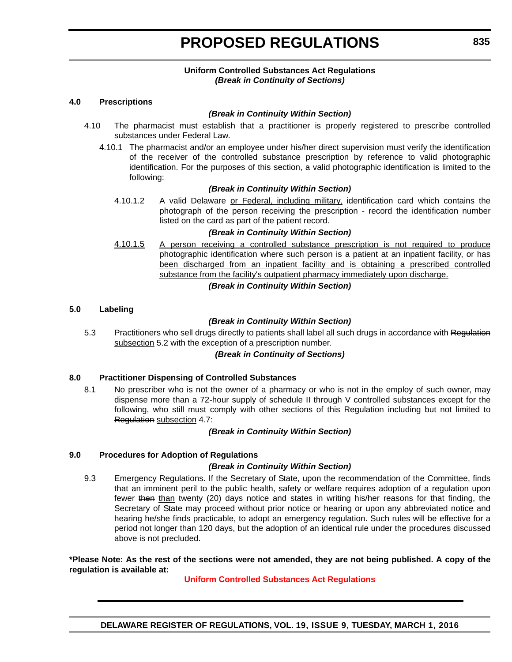### **Uniform Controlled Substances Act Regulations** *(Break in Continuity of Sections)*

### **4.0 Prescriptions**

### *(Break in Continuity Within Section)*

- 4.10 The pharmacist must establish that a practitioner is properly registered to prescribe controlled substances under Federal Law.
	- 4.10.1 The pharmacist and/or an employee under his/her direct supervision must verify the identification of the receiver of the controlled substance prescription by reference to valid photographic identification. For the purposes of this section, a valid photographic identification is limited to the following:

### *(Break in Continuity Within Section)*

4.10.1.2 A valid Delaware or Federal, including military, identification card which contains the photograph of the person receiving the prescription - record the identification number listed on the card as part of the patient record.

### *(Break in Continuity Within Section)*

4.10.1.5 A person receiving a controlled substance prescription is not required to produce photographic identification where such person is a patient at an inpatient facility, or has been discharged from an inpatient facility and is obtaining a prescribed controlled substance from the facility's outpatient pharmacy immediately upon discharge.

### *(Break in Continuity Within Section)*

### **5.0 Labeling**

### *(Break in Continuity Within Section)*

5.3 Practitioners who sell drugs directly to patients shall label all such drugs in accordance with Regulation subsection 5.2 with the exception of a prescription number.

### *(Break in Continuity of Sections)*

### **8.0 Practitioner Dispensing of Controlled Substances**

8.1 No prescriber who is not the owner of a pharmacy or who is not in the employ of such owner, may dispense more than a 72-hour supply of schedule II through V controlled substances except for the following, who still must comply with other sections of this Regulation including but not limited to Regulation subsection 4.7:

### *(Break in Continuity Within Section)*

#### **9.0 Procedures for Adoption of Regulations**

### *(Break in Continuity Within Section)*

9.3 Emergency Regulations. If the Secretary of State, upon the recommendation of the Committee, finds that an imminent peril to the public health, safety or welfare requires adoption of a regulation upon fewer then than twenty (20) days notice and states in writing his/her reasons for that finding, the Secretary of State may proceed without prior notice or hearing or upon any abbreviated notice and hearing he/she finds practicable, to adopt an emergency regulation. Such rules will be effective for a period not longer than 120 days, but the adoption of an identical rule under the procedures discussed above is not precluded.

#### **\*Please Note: As the rest of the sections were not amended, they are not being published. A copy of the regulation is available at:**

### **[Uniform Controlled Substances Act Regulations](http://regulations.delaware.gov/register/march2016/proposed/19 DE Reg 834 03-01-16.htm)**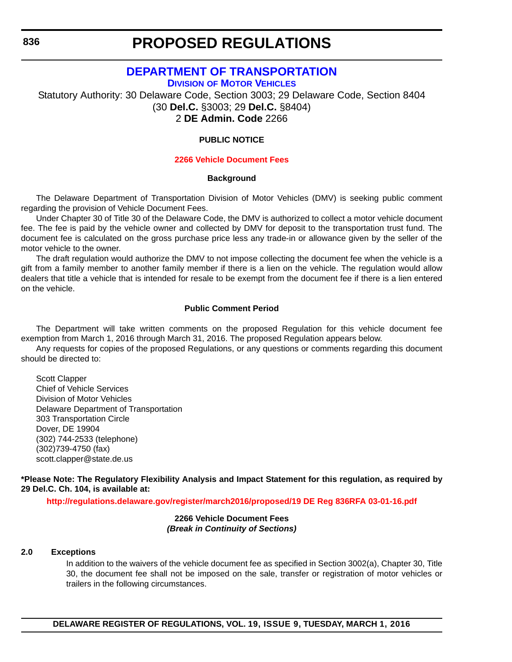# **[DEPARTMENT OF TRANSPORTATION](http://www.deldot.gov/index.shtml)**

**DIVISION OF MOTOR VEHICLES**

Statutory Authority: 30 Delaware Code, Section 3003; 29 Delaware Code, Section 8404 (30 **Del.C.** §3003; 29 **Del.C.** [§8404\)](http://dmv.de.gov/) 2 **DE Admin. Code** 2266

### **PUBLIC NOTICE**

#### **[2266 Vehicle Document Fees](#page-3-0)**

#### **Background**

The Delaware Department of Transportation Division of Motor Vehicles (DMV) is seeking public comment regarding the provision of Vehicle Document Fees.

Under Chapter 30 of Title 30 of the Delaware Code, the DMV is authorized to collect a motor vehicle document fee. The fee is paid by the vehicle owner and collected by DMV for deposit to the transportation trust fund. The document fee is calculated on the gross purchase price less any trade-in or allowance given by the seller of the motor vehicle to the owner.

The draft regulation would authorize the DMV to not impose collecting the document fee when the vehicle is a gift from a family member to another family member if there is a lien on the vehicle. The regulation would allow dealers that title a vehicle that is intended for resale to be exempt from the document fee if there is a lien entered on the vehicle.

### **Public Comment Period**

The Department will take written comments on the proposed Regulation for this vehicle document fee exemption from March 1, 2016 through March 31, 2016. The proposed Regulation appears below.

Any requests for copies of the proposed Regulations, or any questions or comments regarding this document should be directed to:

Scott Clapper Chief of Vehicle Services Division of Motor Vehicles Delaware Department of Transportation 303 Transportation Circle Dover, DE 19904 (302) 744-2533 (telephone) (302)739-4750 (fax) scott.clapper@state.de.us

**\*Please Note: The Regulatory Flexibility Analysis and Impact Statement for this regulation, as required by 29 Del.C. Ch. 104, is available at:**

**<http://regulations.delaware.gov/register/march2016/proposed/19 DE Reg 836RFA 03-01-16.pdf>**

#### **2266 Vehicle Document Fees** *(Break in Continuity of Sections)*

#### **2.0 Exceptions**

In addition to the waivers of the vehicle document fee as specified in Section 3002(a), Chapter 30, Title 30, the document fee shall not be imposed on the sale, transfer or registration of motor vehicles or trailers in the following circumstances.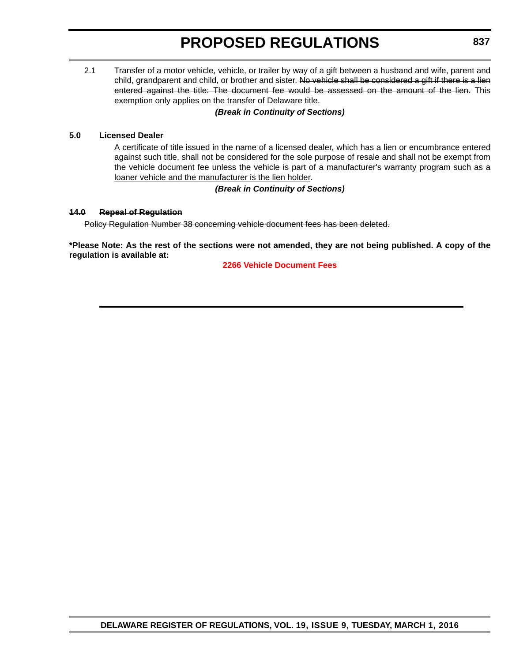2.1 Transfer of a motor vehicle, vehicle, or trailer by way of a gift between a husband and wife, parent and child, grandparent and child, or brother and sister. No vehicle shall be considered a gift if there is a lien entered against the title: The document fee would be assessed on the amount of the lien. This exemption only applies on the transfer of Delaware title.

# *(Break in Continuity of Sections)*

### **5.0 Licensed Dealer**

A certificate of title issued in the name of a licensed dealer, which has a lien or encumbrance entered against such title, shall not be considered for the sole purpose of resale and shall not be exempt from the vehicle document fee unless the vehicle is part of a manufacturer's warranty program such as a loaner vehicle and the manufacturer is the lien holder.

## *(Break in Continuity of Sections)*

### **14.0 Repeal of Regulation**

Policy Regulation Number 38 concerning vehicle document fees has been deleted.

**\*Please Note: As the rest of the sections were not amended, they are not being published. A copy of the regulation is available at:**

**[2266 Vehicle Document Fees](http://regulations.delaware.gov/register/march2016/proposed/19 DE Reg 836 03-01-16.htm)**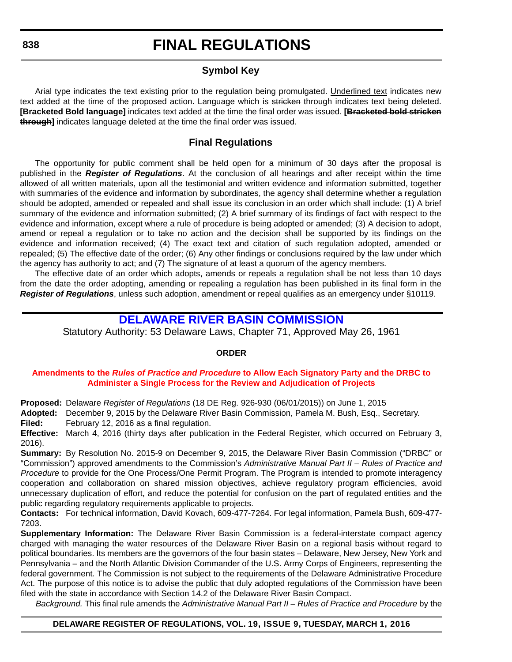# **Symbol Key**

Arial type indicates the text existing prior to the regulation being promulgated. Underlined text indicates new text added at the time of the proposed action. Language which is stricken through indicates text being deleted. **[Bracketed Bold language]** indicates text added at the time the final order was issued. **[Bracketed bold stricken through]** indicates language deleted at the time the final order was issued.

# **Final Regulations**

The opportunity for public comment shall be held open for a minimum of 30 days after the proposal is published in the *Register of Regulations*. At the conclusion of all hearings and after receipt within the time allowed of all written materials, upon all the testimonial and written evidence and information submitted, together with summaries of the evidence and information by subordinates, the agency shall determine whether a regulation should be adopted, amended or repealed and shall issue its conclusion in an order which shall include: (1) A brief summary of the evidence and information submitted; (2) A brief summary of its findings of fact with respect to the evidence and information, except where a rule of procedure is being adopted or amended; (3) A decision to adopt, amend or repeal a regulation or to take no action and the decision shall be supported by its findings on the evidence and information received; (4) The exact text and citation of such regulation adopted, amended or repealed; (5) The effective date of the order; (6) Any other findings or conclusions required by the law under which the agency has authority to act; and (7) The signature of at least a quorum of the agency members.

The effective date of an order which adopts, amends or repeals a regulation shall be not less than 10 days from the date the order adopting, amending or repealing a regulation has been published in its final form in the *Register of Regulations*, unless such adoption, amendment or repeal qualifies as an emergency under §10119.

# **[DELAWARE RIVER BASIN COMMISSION](http://www.nj.gov/drbc/)**

Statutory Authority: 53 Delaware Laws, Chapter 71, Approved May 26, 1961

### **ORDER**

### **Amendments to the** *Rules of Practice and Procedure* **to Allow Each Signatory Party and the DRBC to [Administer a Single Process for the Review and Adjudication of Projects](#page-3-0)**

**Proposed:** Delaware *Register of Regulations* (18 DE Reg. 926-930 (06/01/2015)) on June 1, 2015

**Adopted:** December 9, 2015 by the Delaware River Basin Commission, Pamela M. Bush, Esq., Secretary.

**Filed:** February 12, 2016 as a final regulation.

**Effective:** March 4, 2016 (thirty days after publication in the Federal Register, which occurred on February 3, 2016).

**Summary:** By Resolution No. 2015-9 on December 9, 2015, the Delaware River Basin Commission ("DRBC" or "Commission") approved amendments to the Commission's *Administrative Manual Part II – Rules of Practice and Procedure* to provide for the One Process/One Permit Program. The Program is intended to promote interagency cooperation and collaboration on shared mission objectives, achieve regulatory program efficiencies, avoid unnecessary duplication of effort, and reduce the potential for confusion on the part of regulated entities and the public regarding regulatory requirements applicable to projects.

**Contacts:** For technical information, David Kovach, 609-477-7264. For legal information, Pamela Bush, 609-477- 7203.

**Supplementary Information:** The Delaware River Basin Commission is a federal-interstate compact agency charged with managing the water resources of the Delaware River Basin on a regional basis without regard to political boundaries. Its members are the governors of the four basin states – Delaware, New Jersey, New York and Pennsylvania – and the North Atlantic Division Commander of the U.S. Army Corps of Engineers, representing the federal government. The Commission is not subject to the requirements of the Delaware Administrative Procedure Act. The purpose of this notice is to advise the public that duly adopted regulations of the Commission have been filed with the state in accordance with Section 14.2 of the Delaware River Basin Compact.

*Background.* This final rule amends the *Administrative Manual Part II – Rules of Practice and Procedure* by the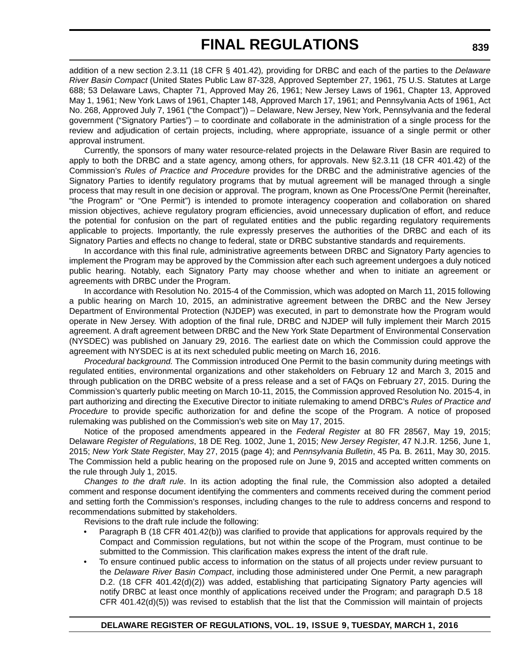addition of a new section 2.3.11 (18 CFR § 401.42)*,* providing for DRBC and each of the parties to the *Delaware River Basin Compact* (United States Public Law 87-328, Approved September 27, 1961, 75 U.S. Statutes at Large 688; 53 Delaware Laws, Chapter 71, Approved May 26, 1961; New Jersey Laws of 1961, Chapter 13, Approved May 1, 1961; New York Laws of 1961, Chapter 148, Approved March 17, 1961; and Pennsylvania Acts of 1961, Act No. 268, Approved July 7, 1961 ("the Compact")) – Delaware, New Jersey, New York, Pennsylvania and the federal government ("Signatory Parties") – to coordinate and collaborate in the administration of a single process for the review and adjudication of certain projects, including, where appropriate, issuance of a single permit or other approval instrument.

Currently, the sponsors of many water resource-related projects in the Delaware River Basin are required to apply to both the DRBC and a state agency, among others, for approvals. New §2.3.11 (18 CFR 401.42) of the Commission's *Rules of Practice and Procedure* provides for the DRBC and the administrative agencies of the Signatory Parties to identify regulatory programs that by mutual agreement will be managed through a single process that may result in one decision or approval. The program, known as One Process/One Permit (hereinafter, "the Program" or "One Permit") is intended to promote interagency cooperation and collaboration on shared mission objectives, achieve regulatory program efficiencies, avoid unnecessary duplication of effort, and reduce the potential for confusion on the part of regulated entities and the public regarding regulatory requirements applicable to projects. Importantly, the rule expressly preserves the authorities of the DRBC and each of its Signatory Parties and effects no change to federal, state or DRBC substantive standards and requirements.

In accordance with this final rule, administrative agreements between DRBC and Signatory Party agencies to implement the Program may be approved by the Commission after each such agreement undergoes a duly noticed public hearing. Notably, each Signatory Party may choose whether and when to initiate an agreement or agreements with DRBC under the Program.

In accordance with Resolution No. 2015-4 of the Commission, which was adopted on March 11, 2015 following a public hearing on March 10, 2015, an administrative agreement between the DRBC and the New Jersey Department of Environmental Protection (NJDEP) was executed, in part to demonstrate how the Program would operate in New Jersey. With adoption of the final rule, DRBC and NJDEP will fully implement their March 2015 agreement. A draft agreement between DRBC and the New York State Department of Environmental Conservation (NYSDEC) was published on January 29, 2016. The earliest date on which the Commission could approve the agreement with NYSDEC is at its next scheduled public meeting on March 16, 2016.

*Procedural background.* The Commission introduced One Permit to the basin community during meetings with regulated entities, environmental organizations and other stakeholders on February 12 and March 3, 2015 and through publication on the DRBC website of a press release and a set of FAQs on February 27, 2015. During the Commission's quarterly public meeting on March 10-11, 2015, the Commission approved Resolution No. 2015-4, in part authorizing and directing the Executive Director to initiate rulemaking to amend DRBC's *Rules of Practice and Procedure* to provide specific authorization for and define the scope of the Program. A notice of proposed rulemaking was published on the Commission's web site on May 17, 2015.

Notice of the proposed amendments appeared in the *Federal Register* at 80 FR 28567, May 19, 2015; Delaware *Register of Regulations*, 18 DE Reg. 1002, June 1, 2015; *New Jersey Register*, 47 N.J.R. 1256, June 1, 2015; *New York State Register*, May 27, 2015 (page 4); and *Pennsylvania Bulletin*, 45 Pa. B. 2611, May 30, 2015. The Commission held a public hearing on the proposed rule on June 9, 2015 and accepted written comments on the rule through July 1, 2015.

*Changes to the draft rule*. In its action adopting the final rule, the Commission also adopted a detailed comment and response document identifying the commenters and comments received during the comment period and setting forth the Commission's responses, including changes to the rule to address concerns and respond to recommendations submitted by stakeholders.

Revisions to the draft rule include the following:

- Paragraph B (18 CFR 401.42(b)) was clarified to provide that applications for approvals required by the Compact and Commission regulations, but not within the scope of the Program, must continue to be submitted to the Commission. This clarification makes express the intent of the draft rule.
- To ensure continued public access to information on the status of all projects under review pursuant to the *Delaware River Basin Compact*, including those administered under One Permit, a new paragraph D.2. (18 CFR 401.42(d)(2)) was added, establishing that participating Signatory Party agencies will notify DRBC at least once monthly of applications received under the Program; and paragraph D.5 18 CFR 401.42(d)(5)) was revised to establish that the list that the Commission will maintain of projects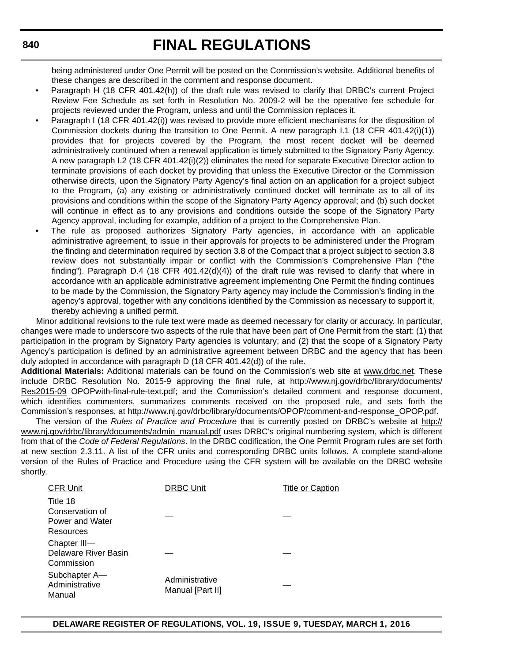being administered under One Permit will be posted on the Commission's website. Additional benefits of these changes are described in the comment and response document.

- Paragraph H (18 CFR 401.42(h)) of the draft rule was revised to clarify that DRBC's current Project Review Fee Schedule as set forth in Resolution No. 2009-2 will be the operative fee schedule for projects reviewed under the Program, unless and until the Commission replaces it.
- Paragraph I (18 CFR 401.42(i)) was revised to provide more efficient mechanisms for the disposition of Commission dockets during the transition to One Permit. A new paragraph I.1 (18 CFR 401.42(i)(1)) provides that for projects covered by the Program, the most recent docket will be deemed administratively continued when a renewal application is timely submitted to the Signatory Party Agency. A new paragraph I.2 (18 CFR 401.42(i)(2)) eliminates the need for separate Executive Director action to terminate provisions of each docket by providing that unless the Executive Director or the Commission otherwise directs, upon the Signatory Party Agency's final action on an application for a project subject to the Program, (a) any existing or administratively continued docket will terminate as to all of its provisions and conditions within the scope of the Signatory Party Agency approval; and (b) such docket will continue in effect as to any provisions and conditions outside the scope of the Signatory Party Agency approval, including for example, addition of a project to the Comprehensive Plan.
- The rule as proposed authorizes Signatory Party agencies, in accordance with an applicable administrative agreement, to issue in their approvals for projects to be administered under the Program the finding and determination required by section 3.8 of the Compact that a project subject to section 3.8 review does not substantially impair or conflict with the Commission's Comprehensive Plan ("the finding"). Paragraph D.4 (18 CFR 401.42(d)(4)) of the draft rule was revised to clarify that where in accordance with an applicable administrative agreement implementing One Permit the finding continues to be made by the Commission, the Signatory Party agency may include the Commission's finding in the agency's approval, together with any conditions identified by the Commission as necessary to support it, thereby achieving a unified permit.

Minor additional revisions to the rule text were made as deemed necessary for clarity or accuracy. In particular, changes were made to underscore two aspects of the rule that have been part of One Permit from the start: (1) that participation in the program by Signatory Party agencies is voluntary; and (2) that the scope of a Signatory Party Agency's participation is defined by an administrative agreement between DRBC and the agency that has been duly adopted in accordance with paragraph D (18 CFR 401.42(d)) of the rule.

**Additional Materials:** Additional materials can be found on the Commission's web site at www.drbc.net. These include DRBC Resolution No. 2015-9 approving the final rule, at http://www.nj.gov/drbc/library/documents/ Res2015-09 OPOPwith-final-rule-text.pdf; and the Commission's detailed comment and response document, which identifies commenters, summarizes comments received on the proposed rule, and sets forth the Commission's responses, at http://www.nj.gov/drbc/library/documents/OPOP/comment-and-response\_OPOP.pdf.

The version of the *Rules of Practice and Procedure* that is currently posted on DRBC's website at http:// www.nj.gov/drbc/library/documents/admin\_manual.pdf uses DRBC's original numbering system, which is different from that of the *Code of Federal Regulations*. In the DRBC codification, the One Permit Program rules are set forth at new section 2.3.11. A list of the CFR units and corresponding DRBC units follows. A complete stand-alone version of the Rules of Practice and Procedure using the CFR system will be available on the DRBC website shortly.

| <b>CFR Unit</b>                                             | <b>DRBC Unit</b>                   | <b>Title or Caption</b> |
|-------------------------------------------------------------|------------------------------------|-------------------------|
| Title 18<br>Conservation of<br>Power and Water<br>Resources |                                    |                         |
| Chapter III-<br>Delaware River Basin<br>Commission          |                                    |                         |
| Subchapter A-<br>Administrative<br>Manual                   | Administrative<br>Manual [Part II] |                         |

# **DELAWARE REGISTER OF REGULATIONS, VOL. 19, ISSUE 9, TUESDAY, MARCH 1, 2016**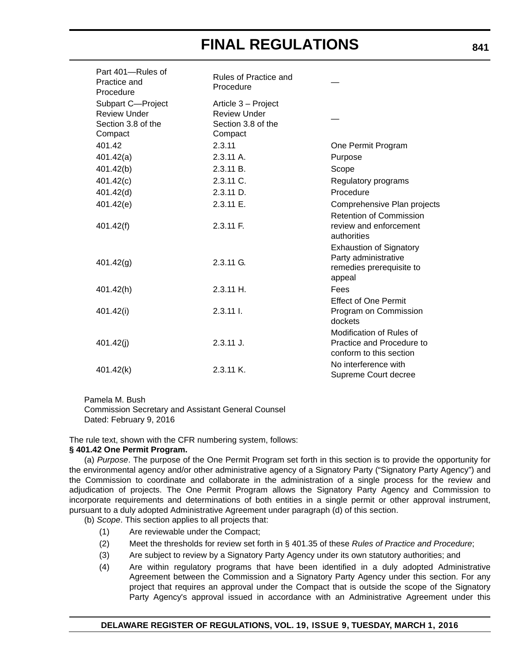| Part 401-Rules of<br>Practice and<br>Procedure                            | Rules of Practice and<br>Procedure                                          |                                                                                              |
|---------------------------------------------------------------------------|-----------------------------------------------------------------------------|----------------------------------------------------------------------------------------------|
| Subpart C-Project<br><b>Review Under</b><br>Section 3.8 of the<br>Compact | Article 3 - Project<br><b>Review Under</b><br>Section 3.8 of the<br>Compact |                                                                                              |
| 401.42                                                                    | 2.3.11                                                                      | One Permit Program                                                                           |
| 401.42(a)                                                                 | 2.3.11 A.                                                                   | Purpose                                                                                      |
| 401.42(b)                                                                 | 2.3.11 B.                                                                   | Scope                                                                                        |
| 401.42(c)                                                                 | $2.3.11$ C.                                                                 | Regulatory programs                                                                          |
| 401.42(d)                                                                 | $2.3.11$ D.                                                                 | Procedure                                                                                    |
| 401.42(e)                                                                 | 2.3.11 E.                                                                   | Comprehensive Plan projects                                                                  |
| 401.42(f)                                                                 | $2.3.11$ F.                                                                 | <b>Retention of Commission</b><br>review and enforcement<br>authorities                      |
| 401.42(g)                                                                 | 2.3.11 G.                                                                   | <b>Exhaustion of Signatory</b><br>Party administrative<br>remedies prerequisite to<br>appeal |
| 401.42(h)                                                                 | $2.3.11$ H.                                                                 | Fees                                                                                         |
| 401.42(i)                                                                 | $2.3.11$ I.                                                                 | <b>Effect of One Permit</b><br>Program on Commission<br>dockets                              |
| 401.42(i)                                                                 | $2.3.11$ J.                                                                 | Modification of Rules of<br>Practice and Procedure to<br>conform to this section             |
| 401.42(k)                                                                 | 2.3.11 K.                                                                   | No interference with<br>Supreme Court decree                                                 |

Pamela M. Bush

Commission Secretary and Assistant General Counsel Dated: February 9, 2016

The rule text, shown with the CFR numbering system, follows:

### **§ 401.42 One Permit Program.**

(a) *Purpose*. The purpose of the One Permit Program set forth in this section is to provide the opportunity for the environmental agency and/or other administrative agency of a Signatory Party ("Signatory Party Agency") and the Commission to coordinate and collaborate in the administration of a single process for the review and adjudication of projects. The One Permit Program allows the Signatory Party Agency and Commission to incorporate requirements and determinations of both entities in a single permit or other approval instrument, pursuant to a duly adopted Administrative Agreement under paragraph (d) of this section.

(b) *Scope*. This section applies to all projects that:

- (1) Are reviewable under the Compact;
- (2) Meet the thresholds for review set forth in § 401.35 of these *Rules of Practice and Procedure*;
- (3) Are subject to review by a Signatory Party Agency under its own statutory authorities; and
- (4) Are within regulatory programs that have been identified in a duly adopted Administrative Agreement between the Commission and a Signatory Party Agency under this section. For any project that requires an approval under the Compact that is outside the scope of the Signatory Party Agency's approval issued in accordance with an Administrative Agreement under this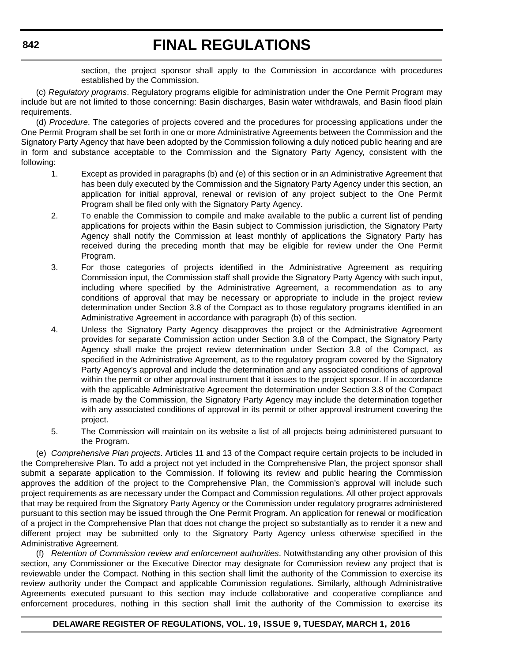section, the project sponsor shall apply to the Commission in accordance with procedures established by the Commission.

(c) *Regulatory programs*. Regulatory programs eligible for administration under the One Permit Program may include but are not limited to those concerning: Basin discharges, Basin water withdrawals, and Basin flood plain requirements.

(d) *Procedure*. The categories of projects covered and the procedures for processing applications under the One Permit Program shall be set forth in one or more Administrative Agreements between the Commission and the Signatory Party Agency that have been adopted by the Commission following a duly noticed public hearing and are in form and substance acceptable to the Commission and the Signatory Party Agency, consistent with the following:

- 1. Except as provided in paragraphs (b) and (e) of this section or in an Administrative Agreement that has been duly executed by the Commission and the Signatory Party Agency under this section, an application for initial approval, renewal or revision of any project subject to the One Permit Program shall be filed only with the Signatory Party Agency.
- 2. To enable the Commission to compile and make available to the public a current list of pending applications for projects within the Basin subject to Commission jurisdiction, the Signatory Party Agency shall notify the Commission at least monthly of applications the Signatory Party has received during the preceding month that may be eligible for review under the One Permit Program.
- 3. For those categories of projects identified in the Administrative Agreement as requiring Commission input, the Commission staff shall provide the Signatory Party Agency with such input, including where specified by the Administrative Agreement, a recommendation as to any conditions of approval that may be necessary or appropriate to include in the project review determination under Section 3.8 of the Compact as to those regulatory programs identified in an Administrative Agreement in accordance with paragraph (b) of this section.
- 4. Unless the Signatory Party Agency disapproves the project or the Administrative Agreement provides for separate Commission action under Section 3.8 of the Compact, the Signatory Party Agency shall make the project review determination under Section 3.8 of the Compact, as specified in the Administrative Agreement, as to the regulatory program covered by the Signatory Party Agency's approval and include the determination and any associated conditions of approval within the permit or other approval instrument that it issues to the project sponsor. If in accordance with the applicable Administrative Agreement the determination under Section 3.8 of the Compact is made by the Commission, the Signatory Party Agency may include the determination together with any associated conditions of approval in its permit or other approval instrument covering the project.
- 5. The Commission will maintain on its website a list of all projects being administered pursuant to the Program.

(e) *Comprehensive Plan projects*. Articles 11 and 13 of the Compact require certain projects to be included in the Comprehensive Plan. To add a project not yet included in the Comprehensive Plan, the project sponsor shall submit a separate application to the Commission. If following its review and public hearing the Commission approves the addition of the project to the Comprehensive Plan, the Commission's approval will include such project requirements as are necessary under the Compact and Commission regulations. All other project approvals that may be required from the Signatory Party Agency or the Commission under regulatory programs administered pursuant to this section may be issued through the One Permit Program. An application for renewal or modification of a project in the Comprehensive Plan that does not change the project so substantially as to render it a new and different project may be submitted only to the Signatory Party Agency unless otherwise specified in the Administrative Agreement.

(f) *Retention of Commission review and enforcement authorities*. Notwithstanding any other provision of this section, any Commissioner or the Executive Director may designate for Commission review any project that is reviewable under the Compact. Nothing in this section shall limit the authority of the Commission to exercise its review authority under the Compact and applicable Commission regulations. Similarly, although Administrative Agreements executed pursuant to this section may include collaborative and cooperative compliance and enforcement procedures, nothing in this section shall limit the authority of the Commission to exercise its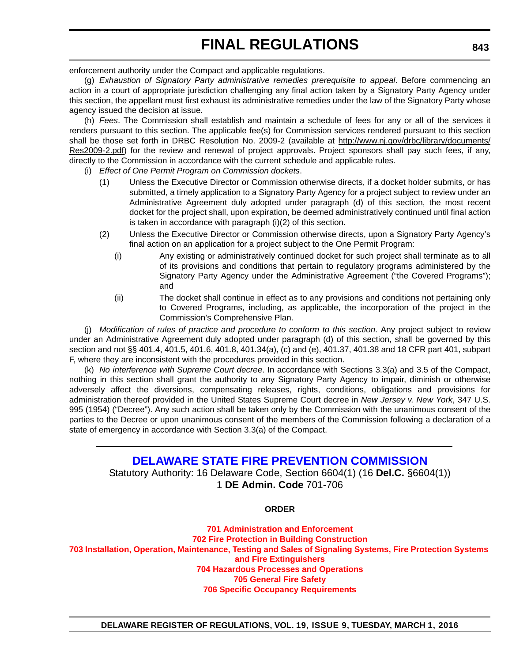enforcement authority under the Compact and applicable regulations.

(g) *Exhaustion of Signatory Party administrative remedies prerequisite to appeal*. Before commencing an action in a court of appropriate jurisdiction challenging any final action taken by a Signatory Party Agency under this section, the appellant must first exhaust its administrative remedies under the law of the Signatory Party whose agency issued the decision at issue.

(h) *Fees*. The Commission shall establish and maintain a schedule of fees for any or all of the services it renders pursuant to this section. The applicable fee(s) for Commission services rendered pursuant to this section shall be those set forth in DRBC Resolution No. 2009-2 (available at http://www.nj.gov/drbc/library/documents/ Res2009-2.pdf) for the review and renewal of project approvals. Project sponsors shall pay such fees, if any, directly to the Commission in accordance with the current schedule and applicable rules.

- (i) *Effect of One Permit Program on Commission dockets*.
	- (1) Unless the Executive Director or Commission otherwise directs, if a docket holder submits, or has submitted, a timely application to a Signatory Party Agency for a project subject to review under an Administrative Agreement duly adopted under paragraph (d) of this section, the most recent docket for the project shall, upon expiration, be deemed administratively continued until final action is taken in accordance with paragraph (i)(2) of this section.
	- (2) Unless the Executive Director or Commission otherwise directs, upon a Signatory Party Agency's final action on an application for a project subject to the One Permit Program:
		- (i) Any existing or administratively continued docket for such project shall terminate as to all of its provisions and conditions that pertain to regulatory programs administered by the Signatory Party Agency under the Administrative Agreement ("the Covered Programs"); and
		- (ii) The docket shall continue in effect as to any provisions and conditions not pertaining only to Covered Programs, including, as applicable, the incorporation of the project in the Commission's Comprehensive Plan.

(j) *Modification of rules of practice and procedure to conform to this section*. Any project subject to review under an Administrative Agreement duly adopted under paragraph (d) of this section, shall be governed by this section and not §§ 401.4, 401.5, 401.6, 401.8, 401.34(a), (c) and (e), 401.37, 401.38 and 18 CFR part 401, subpart F, where they are inconsistent with the procedures provided in this section.

(k) *No interference with Supreme Court decree*. In accordance with Sections 3.3(a) and 3.5 of the Compact, nothing in this section shall grant the authority to any Signatory Party Agency to impair, diminish or otherwise adversely affect the diversions, compensating releases, rights, conditions, obligations and provisions for administration thereof provided in the United States Supreme Court decree in *New Jersey v. New York*, 347 U.S. 995 (1954) ("Decree"). Any such action shall be taken only by the Commission with the unanimous consent of the parties to the Decree or upon unanimous consent of the members of the Commission following a declaration of a state of emergency in accordance with Section 3.3(a) of the Compact.

# **[DELAWARE STATE FIRE PREVENTION COMMISSION](http://statefirecommission.delaware.gov/)**

Statutory Authority: 16 Delaware Code, Section 6604(1) (16 **Del.C.** §6604(1)) 1 **DE Admin. Code** 701-706

**ORDER**

**701 Administration and Enforcement 702 Fire Protection in Building Construction [703 Installation, Operation, Maintenance, Testing and Sales of Signaling Systems, Fire Protection Systems](#page-4-0) and Fire Extinguishers 704 Hazardous Processes and Operations 705 General Fire Safety 706 Specific Occupancy Requirements**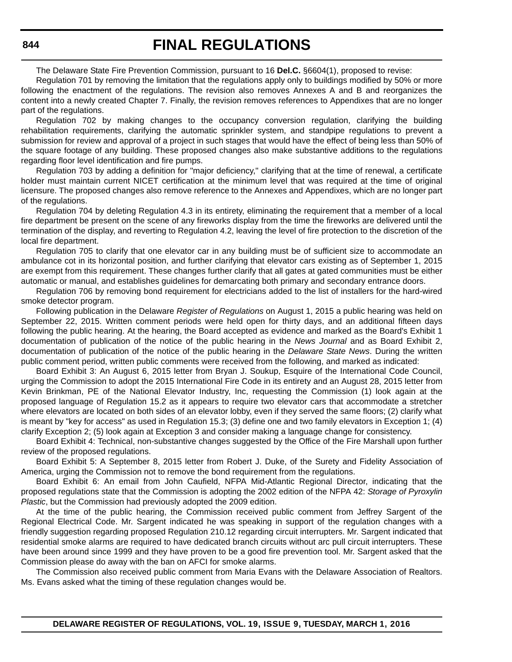The Delaware State Fire Prevention Commission, pursuant to 16 **Del.C.** §6604(1), proposed to revise:

Regulation 701 by removing the limitation that the regulations apply only to buildings modified by 50% or more following the enactment of the regulations. The revision also removes Annexes A and B and reorganizes the content into a newly created Chapter 7. Finally, the revision removes references to Appendixes that are no longer part of the regulations.

Regulation 702 by making changes to the occupancy conversion regulation, clarifying the building rehabilitation requirements, clarifying the automatic sprinkler system, and standpipe regulations to prevent a submission for review and approval of a project in such stages that would have the effect of being less than 50% of the square footage of any building. These proposed changes also make substantive additions to the regulations regarding floor level identification and fire pumps.

Regulation 703 by adding a definition for "major deficiency," clarifying that at the time of renewal, a certificate holder must maintain current NICET certification at the minimum level that was required at the time of original licensure. The proposed changes also remove reference to the Annexes and Appendixes, which are no longer part of the regulations.

Regulation 704 by deleting Regulation 4.3 in its entirety, eliminating the requirement that a member of a local fire department be present on the scene of any fireworks display from the time the fireworks are delivered until the termination of the display, and reverting to Regulation 4.2, leaving the level of fire protection to the discretion of the local fire department.

Regulation 705 to clarify that one elevator car in any building must be of sufficient size to accommodate an ambulance cot in its horizontal position, and further clarifying that elevator cars existing as of September 1, 2015 are exempt from this requirement. These changes further clarify that all gates at gated communities must be either automatic or manual, and establishes guidelines for demarcating both primary and secondary entrance doors.

Regulation 706 by removing bond requirement for electricians added to the list of installers for the hard-wired smoke detector program.

Following publication in the Delaware *Register of Regulations* on August 1, 2015 a public hearing was held on September 22, 2015. Written comment periods were held open for thirty days, and an additional fifteen days following the public hearing. At the hearing, the Board accepted as evidence and marked as the Board's Exhibit 1 documentation of publication of the notice of the public hearing in the *News Journal* and as Board Exhibit 2, documentation of publication of the notice of the public hearing in the *Delaware State News*. During the written public comment period, written public comments were received from the following, and marked as indicated:

Board Exhibit 3: An August 6, 2015 letter from Bryan J. Soukup, Esquire of the International Code Council, urging the Commission to adopt the 2015 International Fire Code in its entirety and an August 28, 2015 letter from Kevin Brinkman, PE of the National Elevator Industry, Inc, requesting the Commission (1) look again at the proposed language of Regulation 15.2 as it appears to require two elevator cars that accommodate a stretcher where elevators are located on both sides of an elevator lobby, even if they served the same floors; (2) clarify what is meant by "key for access" as used in Regulation 15.3; (3) define one and two family elevators in Exception 1; (4) clarify Exception 2; (5) look again at Exception 3 and consider making a language change for consistency.

Board Exhibit 4: Technical, non-substantive changes suggested by the Office of the Fire Marshall upon further review of the proposed regulations.

Board Exhibit 5: A September 8, 2015 letter from Robert J. Duke, of the Surety and Fidelity Association of America, urging the Commission not to remove the bond requirement from the regulations.

Board Exhibit 6: An email from John Caufield, NFPA Mid-Atlantic Regional Director, indicating that the proposed regulations state that the Commission is adopting the 2002 edition of the NFPA 42: *Storage of Pyroxylin Plastic*, but the Commission had previously adopted the 2009 edition.

At the time of the public hearing, the Commission received public comment from Jeffrey Sargent of the Regional Electrical Code. Mr. Sargent indicated he was speaking in support of the regulation changes with a friendly suggestion regarding proposed Regulation 210.12 regarding circuit interrupters. Mr. Sargent indicated that residential smoke alarms are required to have dedicated branch circuits without arc pull circuit interrupters. These have been around since 1999 and they have proven to be a good fire prevention tool. Mr. Sargent asked that the Commission please do away with the ban on AFCI for smoke alarms.

The Commission also received public comment from Maria Evans with the Delaware Association of Realtors. Ms. Evans asked what the timing of these regulation changes would be.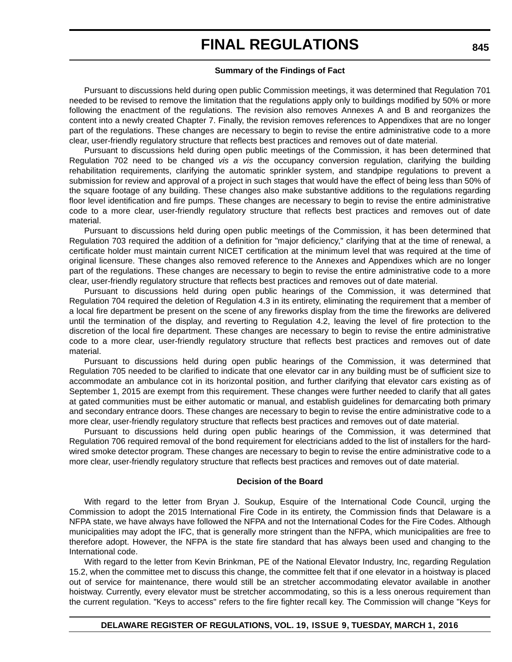#### **Summary of the Findings of Fact**

Pursuant to discussions held during open public Commission meetings, it was determined that Regulation 701 needed to be revised to remove the limitation that the regulations apply only to buildings modified by 50% or more following the enactment of the regulations. The revision also removes Annexes A and B and reorganizes the content into a newly created Chapter 7. Finally, the revision removes references to Appendixes that are no longer part of the regulations. These changes are necessary to begin to revise the entire administrative code to a more clear, user-friendly regulatory structure that reflects best practices and removes out of date material.

Pursuant to discussions held during open public meetings of the Commission, it has been determined that Regulation 702 need to be changed *vis a vis* the occupancy conversion regulation, clarifying the building rehabilitation requirements, clarifying the automatic sprinkler system, and standpipe regulations to prevent a submission for review and approval of a project in such stages that would have the effect of being less than 50% of the square footage of any building. These changes also make substantive additions to the regulations regarding floor level identification and fire pumps. These changes are necessary to begin to revise the entire administrative code to a more clear, user-friendly regulatory structure that reflects best practices and removes out of date material.

Pursuant to discussions held during open public meetings of the Commission, it has been determined that Regulation 703 required the addition of a definition for "major deficiency," clarifying that at the time of renewal, a certificate holder must maintain current NICET certification at the minimum level that was required at the time of original licensure. These changes also removed reference to the Annexes and Appendixes which are no longer part of the regulations. These changes are necessary to begin to revise the entire administrative code to a more clear, user-friendly regulatory structure that reflects best practices and removes out of date material.

Pursuant to discussions held during open public hearings of the Commission, it was determined that Regulation 704 required the deletion of Regulation 4.3 in its entirety, eliminating the requirement that a member of a local fire department be present on the scene of any fireworks display from the time the fireworks are delivered until the termination of the display, and reverting to Regulation 4.2, leaving the level of fire protection to the discretion of the local fire department. These changes are necessary to begin to revise the entire administrative code to a more clear, user-friendly regulatory structure that reflects best practices and removes out of date material.

Pursuant to discussions held during open public hearings of the Commission, it was determined that Regulation 705 needed to be clarified to indicate that one elevator car in any building must be of sufficient size to accommodate an ambulance cot in its horizontal position, and further clarifying that elevator cars existing as of September 1, 2015 are exempt from this requirement. These changes were further needed to clarify that all gates at gated communities must be either automatic or manual, and establish guidelines for demarcating both primary and secondary entrance doors. These changes are necessary to begin to revise the entire administrative code to a more clear, user-friendly regulatory structure that reflects best practices and removes out of date material.

Pursuant to discussions held during open public hearings of the Commission, it was determined that Regulation 706 required removal of the bond requirement for electricians added to the list of installers for the hardwired smoke detector program. These changes are necessary to begin to revise the entire administrative code to a more clear, user-friendly regulatory structure that reflects best practices and removes out of date material.

#### **Decision of the Board**

With regard to the letter from Bryan J. Soukup, Esquire of the International Code Council, urging the Commission to adopt the 2015 International Fire Code in its entirety, the Commission finds that Delaware is a NFPA state, we have always have followed the NFPA and not the International Codes for the Fire Codes. Although municipalities may adopt the IFC, that is generally more stringent than the NFPA, which municipalities are free to therefore adopt. However, the NFPA is the state fire standard that has always been used and changing to the International code.

With regard to the letter from Kevin Brinkman, PE of the National Elevator Industry, Inc, regarding Regulation 15.2, when the committee met to discuss this change, the committee felt that if one elevator in a hoistway is placed out of service for maintenance, there would still be an stretcher accommodating elevator available in another hoistway. Currently, every elevator must be stretcher accommodating, so this is a less onerous requirement than the current regulation. "Keys to access" refers to the fire fighter recall key. The Commission will change "Keys for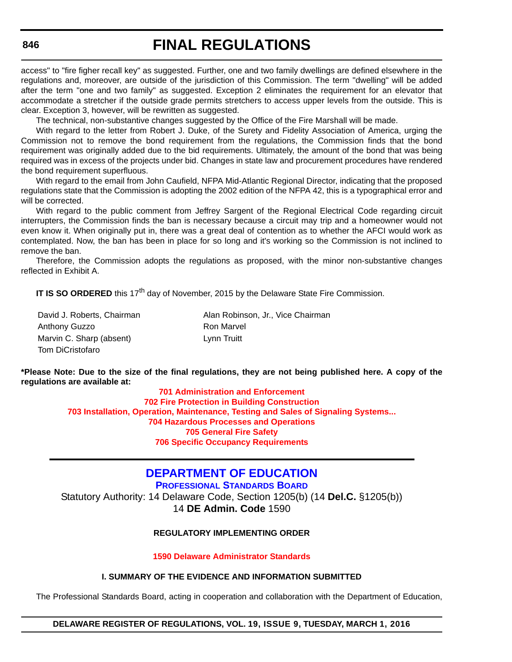access" to "fire figher recall key" as suggested. Further, one and two family dwellings are defined elsewhere in the regulations and, moreover, are outside of the jurisdiction of this Commission. The term "dwelling" will be added after the term "one and two family" as suggested. Exception 2 eliminates the requirement for an elevator that accommodate a stretcher if the outside grade permits stretchers to access upper levels from the outside. This is clear. Exception 3, however, will be rewritten as suggested.

The technical, non-substantive changes suggested by the Office of the Fire Marshall will be made.

With regard to the letter from Robert J. Duke, of the Surety and Fidelity Association of America, urging the Commission not to remove the bond requirement from the regulations, the Commission finds that the bond requirement was originally added due to the bid requirements. Ultimately, the amount of the bond that was being required was in excess of the projects under bid. Changes in state law and procurement procedures have rendered the bond requirement superfluous.

With regard to the email from John Caufield, NFPA Mid-Atlantic Regional Director, indicating that the proposed regulations state that the Commission is adopting the 2002 edition of the NFPA 42, this is a typographical error and will be corrected.

With regard to the public comment from Jeffrey Sargent of the Regional Electrical Code regarding circuit interrupters, the Commission finds the ban is necessary because a circuit may trip and a homeowner would not even know it. When originally put in, there was a great deal of contention as to whether the AFCI would work as contemplated. Now, the ban has been in place for so long and it's working so the Commission is not inclined to remove the ban.

Therefore, the Commission adopts the regulations as proposed, with the minor non-substantive changes reflected in Exhibit A.

**IT IS SO ORDERED** this 17<sup>th</sup> day of November, 2015 by the Delaware State Fire Commission.

Anthony Guzzo **Ron Marvel** Marvin C. Sharp (absent) Lynn Truitt Tom DiCristofaro

David J. Roberts, Chairman **Alan Robinson, Jr., Vice Chairman** 

**\*Please Note: Due to the size of the final regulations, they are not being published here. A copy of the regulations are available at:**

**[701 Administration and Enforcement](http://regulations.delaware.gov/register/march2016/final/19 DE Reg 843 03-01-16.htm) [702 Fire Protection in Building Construction](http://regulations.delaware.gov/register/march2016/final/19 DE Reg 843a 03-01-16.htm) [703 Installation, Operation, Maintenance, Testing and Sales of Signaling Systems...](http://regulations.delaware.gov/register/march2016/final/19 DE Reg 843b 03-01-16.htm) [704 Hazardous Processes and Operations](http://regulations.delaware.gov/register/march2016/final/19 DE Reg 843c 03-01-16.htm) [705 General Fire Safety](http://regulations.delaware.gov/register/march2016/final/19 DE Reg 843d 03-01-16.htm) [706 Specific Occupancy Requirements](http://regulations.delaware.gov/register/march2016/final/19 DE Reg 843e 03-01-16.htm)**

# **[DEPARTMENT OF EDUCATION](http://www.doe.k12.de.us/site/default.aspx?PageID=1)**

**[PROFESSIONAL STANDARDS BOARD](https://pubapps.doe.k12.de.us/EducationalDirectoryPublic/pages/DDOE/WorkGroupStaff.aspx?page=branches&WGID=75&BID=1)**

Statutory Authority: 14 Delaware Code, Section 1205(b) (14 **Del.C.** §1205(b)) 14 **DE Admin. Code** 1590

### **REGULATORY IMPLEMENTING ORDER**

**[1590 Delaware Administrator Standards](#page-4-0)**

## **I. SUMMARY OF THE EVIDENCE AND INFORMATION SUBMITTED**

The Professional Standards Board, acting in cooperation and collaboration with the Department of Education,

#### **DELAWARE REGISTER OF REGULATIONS, VOL. 19, ISSUE 9, TUESDAY, MARCH 1, 2016**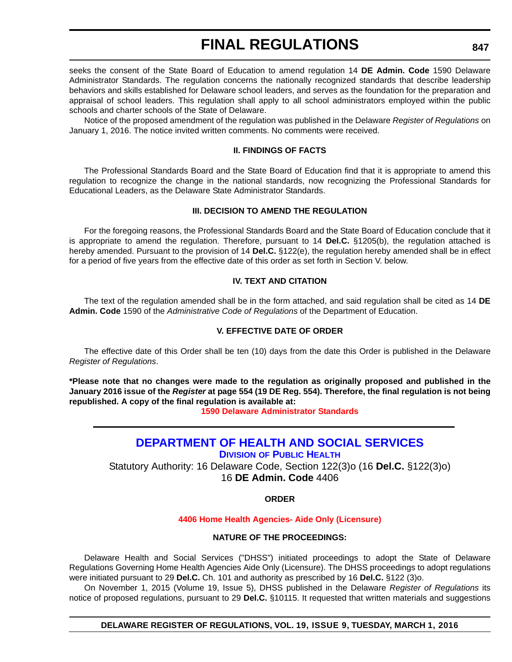seeks the consent of the State Board of Education to amend regulation 14 **DE Admin. Code** 1590 Delaware Administrator Standards. The regulation concerns the nationally recognized standards that describe leadership behaviors and skills established for Delaware school leaders, and serves as the foundation for the preparation and appraisal of school leaders. This regulation shall apply to all school administrators employed within the public schools and charter schools of the State of Delaware.

Notice of the proposed amendment of the regulation was published in the Delaware *Register of Regulations* on January 1, 2016. The notice invited written comments. No comments were received.

### **II. FINDINGS OF FACTS**

The Professional Standards Board and the State Board of Education find that it is appropriate to amend this regulation to recognize the change in the national standards, now recognizing the Professional Standards for Educational Leaders, as the Delaware State Administrator Standards.

### **III. DECISION TO AMEND THE REGULATION**

For the foregoing reasons, the Professional Standards Board and the State Board of Education conclude that it is appropriate to amend the regulation. Therefore, pursuant to 14 **Del.C.** §1205(b), the regulation attached is hereby amended. Pursuant to the provision of 14 **Del.C.** §122(e), the regulation hereby amended shall be in effect for a period of five years from the effective date of this order as set forth in Section V. below.

### **IV. TEXT AND CITATION**

The text of the regulation amended shall be in the form attached, and said regulation shall be cited as 14 **DE Admin. Code** 1590 of the *Administrative Code of Regulations* of the Department of Education.

### **V. EFFECTIVE DATE OF ORDER**

The effective date of this Order shall be ten (10) days from the date this Order is published in the Delaware *Register of Regulations*.

**\*Please note that no changes were made to the regulation as originally proposed and published in the January 2016 issue of the** *Register* **at page 554 (19 DE Reg. 554). Therefore, the final regulation is not being republished. A copy of the final regulation is available at:**

**[1590 Delaware Administrator Standards](http://regulations.delaware.gov/register/march2016/final/19 DE Reg 846 03-01-16.htm)**

# **[DEPARTMENT OF HEALTH AND SOCIAL SERVICES](http://www.dhss.delaware.gov/dhss/index.html)**

**DIVISION [OF PUBLIC HEALTH](http://www.dhss.delaware.gov/dhss/dph/index.html)**

Statutory Authority: 16 Delaware Code, Section 122(3)o (16 **Del.C.** §122(3)o) 16 **DE Admin. Code** 4406

**ORDER**

### **[4406 Home Health Agencies- Aide Only \(Licensure\)](#page-4-0)**

### **NATURE OF THE PROCEEDINGS:**

Delaware Health and Social Services ("DHSS") initiated proceedings to adopt the State of Delaware Regulations Governing Home Health Agencies Aide Only (Licensure). The DHSS proceedings to adopt regulations were initiated pursuant to 29 **Del.C.** Ch. 101 and authority as prescribed by 16 **Del.C.** §122 (3)o.

On November 1, 2015 (Volume 19, Issue 5), DHSS published in the Delaware *Register of Regulations* its notice of proposed regulations, pursuant to 29 **Del.C.** §10115. It requested that written materials and suggestions

**DELAWARE REGISTER OF REGULATIONS, VOL. 19, ISSUE 9, TUESDAY, MARCH 1, 2016**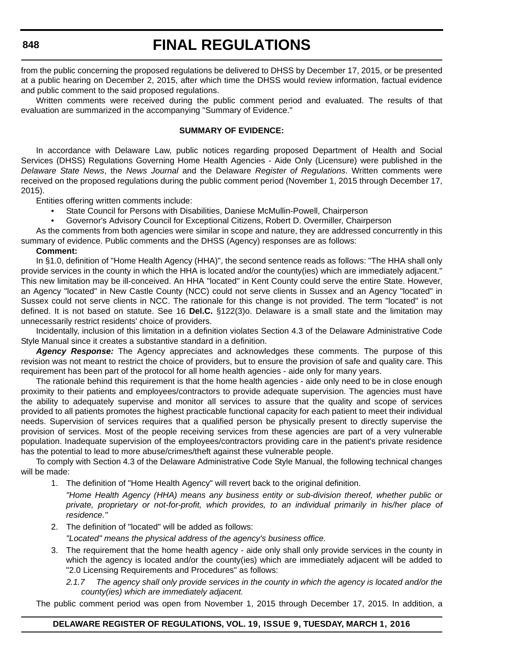from the public concerning the proposed regulations be delivered to DHSS by December 17, 2015, or be presented at a public hearing on December 2, 2015, after which time the DHSS would review information, factual evidence and public comment to the said proposed regulations.

Written comments were received during the public comment period and evaluated. The results of that evaluation are summarized in the accompanying "Summary of Evidence."

### **SUMMARY OF EVIDENCE:**

In accordance with Delaware Law, public notices regarding proposed Department of Health and Social Services (DHSS) Regulations Governing Home Health Agencies - Aide Only (Licensure) were published in the *Delaware State News*, the *News Journal* and the Delaware *Register of Regulations*. Written comments were received on the proposed regulations during the public comment period (November 1, 2015 through December 17, 2015).

Entities offering written comments include:

- State Council for Persons with Disabilities, Daniese McMullin-Powell, Chairperson
- Governor's Advisory Council for Exceptional Citizens, Robert D. Overmiller, Chairperson

As the comments from both agencies were similar in scope and nature, they are addressed concurrently in this summary of evidence. Public comments and the DHSS (Agency) responses are as follows:

#### **Comment:**

In §1.0, definition of "Home Health Agency (HHA)", the second sentence reads as follows: "The HHA shall only provide services in the county in which the HHA is located and/or the county(ies) which are immediately adjacent." This new limitation may be ill-conceived. An HHA "located" in Kent County could serve the entire State. However, an Agency "located" in New Castle County (NCC) could not serve clients in Sussex and an Agency "located" in Sussex could not serve clients in NCC. The rationale for this change is not provided. The term "located" is not defined. It is not based on statute. See 16 **Del.C.** §122(3)o. Delaware is a small state and the limitation may unnecessarily restrict residents' choice of providers.

Incidentally, inclusion of this limitation in a definition violates Section 4.3 of the Delaware Administrative Code Style Manual since it creates a substantive standard in a definition.

*Agency Response:* The Agency appreciates and acknowledges these comments. The purpose of this revision was not meant to restrict the choice of providers, but to ensure the provision of safe and quality care. This requirement has been part of the protocol for all home health agencies - aide only for many years.

The rationale behind this requirement is that the home health agencies - aide only need to be in close enough proximity to their patients and employees/contractors to provide adequate supervision. The agencies must have the ability to adequately supervise and monitor all services to assure that the quality and scope of services provided to all patients promotes the highest practicable functional capacity for each patient to meet their individual needs. Supervision of services requires that a qualified person be physically present to directly supervise the provision of services. Most of the people receiving services from these agencies are part of a very vulnerable population. Inadequate supervision of the employees/contractors providing care in the patient's private residence has the potential to lead to more abuse/crimes/theft against these vulnerable people.

To comply with Section 4.3 of the Delaware Administrative Code Style Manual, the following technical changes will be made:

- 1. The definition of "Home Health Agency" will revert back to the original definition.
	- *"Home Health Agency (HHA) means any business entity or sub-division thereof, whether public or private, proprietary or not-for-profit, which provides, to an individual primarily in his/her place of residence."*
- 2. The definition of "located" will be added as follows:

*"Located" means the physical address of the agency's business office.*

- 3. The requirement that the home health agency aide only shall only provide services in the county in which the agency is located and/or the county(ies) which are immediately adjacent will be added to "2.0 Licensing Requirements and Procedures" as follows:
	- *2.1.7 The agency shall only provide services in the county in which the agency is located and/or the county(ies) which are immediately adjacent.*

The public comment period was open from November 1, 2015 through December 17, 2015. In addition, a

### **DELAWARE REGISTER OF REGULATIONS, VOL. 19, ISSUE 9, TUESDAY, MARCH 1, 2016**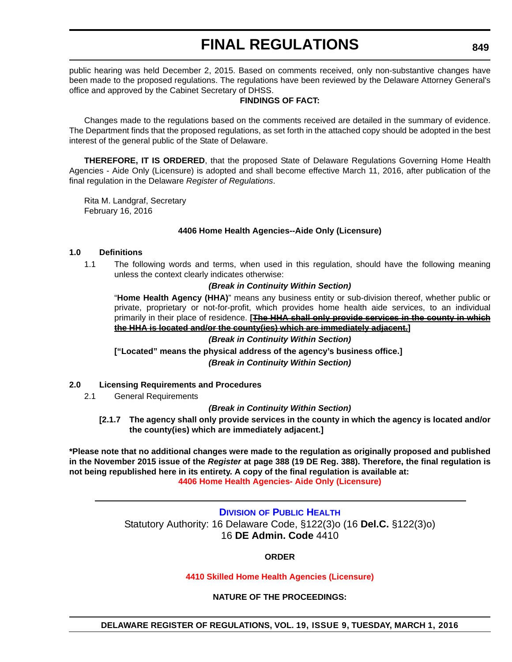public hearing was held December 2, 2015. Based on comments received, only non-substantive changes have been made to the proposed regulations. The regulations have been reviewed by the Delaware Attorney General's office and approved by the Cabinet Secretary of DHSS.

### **FINDINGS OF FACT:**

Changes made to the regulations based on the comments received are detailed in the summary of evidence. The Department finds that the proposed regulations, as set forth in the attached copy should be adopted in the best interest of the general public of the State of Delaware.

**THEREFORE, IT IS ORDERED**, that the proposed State of Delaware Regulations Governing Home Health Agencies - Aide Only (Licensure) is adopted and shall become effective March 11, 2016, after publication of the final regulation in the Delaware *Register of Regulations*.

Rita M. Landgraf, Secretary February 16, 2016

### **4406 Home Health Agencies--Aide Only (Licensure)**

### **1.0 Definitions**

1.1 The following words and terms, when used in this regulation, should have the following meaning unless the context clearly indicates otherwise:

### *(Break in Continuity Within Section)*

"**Home Health Agency (HHA)**" means any business entity or sub-division thereof, whether public or private, proprietary or not-for-profit, which provides home health aide services, to an individual primarily in their place of residence. **[The HHA shall only provide services in the county in which the HHA is located and/or the county(ies) which are immediately adjacent.]**

#### *(Break in Continuity Within Section)*

**["Located" means the physical address of the agency's business office.]** *(Break in Continuity Within Section)*

#### **2.0 Licensing Requirements and Procedures**

2.1 General Requirements

#### *(Break in Continuity Within Section)*

**[2.1.7 The agency shall only provide services in the county in which the agency is located and/or the county(ies) which are immediately adjacent.]**

**\*Please note that no additional changes were made to the regulation as originally proposed and published in the November 2015 issue of the** *Register* **at page 388 (19 DE Reg. 388). Therefore, the final regulation is not being republished here in its entirety. A copy of the final regulation is available at: [4406 Home Health Agencies- Aide Only \(Licensure\)](http://regulations.delaware.gov/register/march2016/final/19 DE Reg 847 03-01-16.htm)**

> **DIVISION [OF PUBLIC HEALTH](http://www.dhss.delaware.gov/dhss/dph/index.html)** Statutory Authority: 16 Delaware Code, §122(3)o (16 **Del.C.** §122(3)o) 16 **DE Admin. Code** 4410

### **ORDER**

#### **[4410 Skilled Home Health Agencies \(Licensure\)](#page-4-0)**

## **NATURE OF THE PROCEEDINGS:**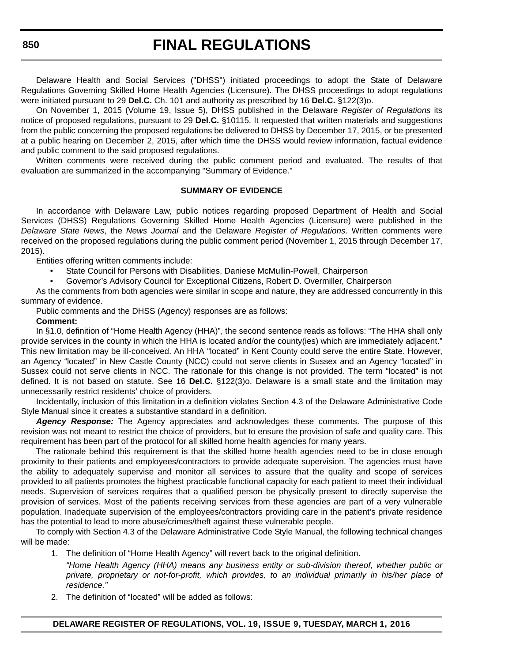Delaware Health and Social Services ("DHSS") initiated proceedings to adopt the State of Delaware Regulations Governing Skilled Home Health Agencies (Licensure). The DHSS proceedings to adopt regulations were initiated pursuant to 29 **Del.C.** Ch. 101 and authority as prescribed by 16 **Del.C.** §122(3)o.

On November 1, 2015 (Volume 19, Issue 5), DHSS published in the Delaware *Register of Regulations* its notice of proposed regulations, pursuant to 29 **Del.C.** §10115. It requested that written materials and suggestions from the public concerning the proposed regulations be delivered to DHSS by December 17, 2015, or be presented at a public hearing on December 2, 2015, after which time the DHSS would review information, factual evidence and public comment to the said proposed regulations.

Written comments were received during the public comment period and evaluated. The results of that evaluation are summarized in the accompanying "Summary of Evidence."

### **SUMMARY OF EVIDENCE**

In accordance with Delaware Law, public notices regarding proposed Department of Health and Social Services (DHSS) Regulations Governing Skilled Home Health Agencies (Licensure) were published in the *Delaware State News*, the *News Journal* and the Delaware *Register of Regulations*. Written comments were received on the proposed regulations during the public comment period (November 1, 2015 through December 17, 2015).

Entities offering written comments include:

- State Council for Persons with Disabilities, Daniese McMullin-Powell, Chairperson
- Governor's Advisory Council for Exceptional Citizens, Robert D. Overmiller, Chairperson

As the comments from both agencies were similar in scope and nature, they are addressed concurrently in this summary of evidence.

Public comments and the DHSS (Agency) responses are as follows:

#### **Comment:**

In §1.0, definition of "Home Health Agency (HHA)", the second sentence reads as follows: "The HHA shall only provide services in the county in which the HHA is located and/or the county(ies) which are immediately adjacent." This new limitation may be ill-conceived. An HHA "located" in Kent County could serve the entire State. However, an Agency "located" in New Castle County (NCC) could not serve clients in Sussex and an Agency "located" in Sussex could not serve clients in NCC. The rationale for this change is not provided. The term "located" is not defined. It is not based on statute. See 16 **Del.C.** §122(3)o. Delaware is a small state and the limitation may unnecessarily restrict residents' choice of providers.

Incidentally, inclusion of this limitation in a definition violates Section 4.3 of the Delaware Administrative Code Style Manual since it creates a substantive standard in a definition.

*Agency Response:* The Agency appreciates and acknowledges these comments. The purpose of this revision was not meant to restrict the choice of providers, but to ensure the provision of safe and quality care. This requirement has been part of the protocol for all skilled home health agencies for many years.

The rationale behind this requirement is that the skilled home health agencies need to be in close enough proximity to their patients and employees/contractors to provide adequate supervision. The agencies must have the ability to adequately supervise and monitor all services to assure that the quality and scope of services provided to all patients promotes the highest practicable functional capacity for each patient to meet their individual needs. Supervision of services requires that a qualified person be physically present to directly supervise the provision of services. Most of the patients receiving services from these agencies are part of a very vulnerable population. Inadequate supervision of the employees/contractors providing care in the patient's private residence has the potential to lead to more abuse/crimes/theft against these vulnerable people.

To comply with Section 4.3 of the Delaware Administrative Code Style Manual, the following technical changes will be made:

- 1. The definition of "Home Health Agency" will revert back to the original definition.
	- *"Home Health Agency (HHA) means any business entity or sub-division thereof, whether public or private, proprietary or not-for-profit, which provides, to an individual primarily in his/her place of residence."*
- 2. The definition of "located" will be added as follows: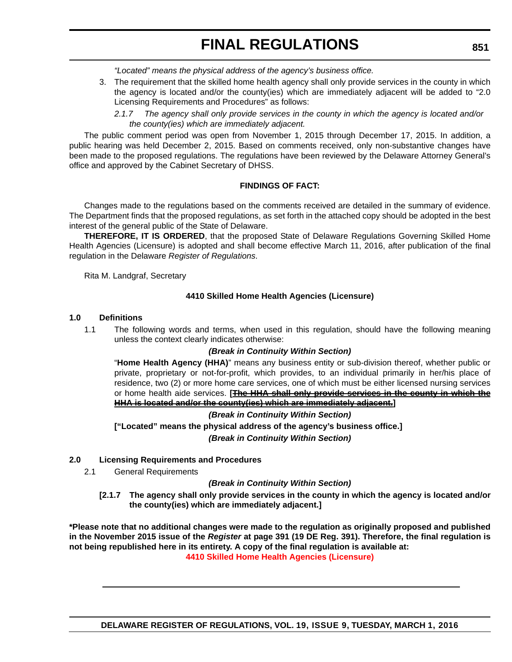*"Located" means the physical address of the agency's business office.*

- 3. The requirement that the skilled home health agency shall only provide services in the county in which the agency is located and/or the county(ies) which are immediately adjacent will be added to "2.0 Licensing Requirements and Procedures" as follows:
	- *2.1.7 The agency shall only provide services in the county in which the agency is located and/or the county(ies) which are immediately adjacent.*

The public comment period was open from November 1, 2015 through December 17, 2015. In addition, a public hearing was held December 2, 2015. Based on comments received, only non-substantive changes have been made to the proposed regulations. The regulations have been reviewed by the Delaware Attorney General's office and approved by the Cabinet Secretary of DHSS.

# **FINDINGS OF FACT:**

Changes made to the regulations based on the comments received are detailed in the summary of evidence. The Department finds that the proposed regulations, as set forth in the attached copy should be adopted in the best interest of the general public of the State of Delaware.

**THEREFORE, IT IS ORDERED**, that the proposed State of Delaware Regulations Governing Skilled Home Health Agencies (Licensure) is adopted and shall become effective March 11, 2016, after publication of the final regulation in the Delaware *Register of Regulations*.

Rita M. Landgraf, Secretary

### **4410 Skilled Home Health Agencies (Licensure)**

### **1.0 Definitions**

1.1 The following words and terms, when used in this regulation, should have the following meaning unless the context clearly indicates otherwise:

### *(Break in Continuity Within Section)*

"**Home Health Agency (HHA)**" means any business entity or sub-division thereof, whether public or private, proprietary or not-for-profit, which provides, to an individual primarily in her/his place of residence, two (2) or more home care services, one of which must be either licensed nursing services or home health aide services. **[The HHA shall only provide services in the county in which the HHA is located and/or the county(ies) which are immediately adjacent.]**

### *(Break in Continuity Within Section)*

**["Located" means the physical address of the agency's business office.]** *(Break in Continuity Within Section)*

### **2.0 Licensing Requirements and Procedures**

2.1 General Requirements

### *(Break in Continuity Within Section)*

**[2.1.7 The agency shall only provide services in the county in which the agency is located and/or the county(ies) which are immediately adjacent.]**

**\*Please note that no additional changes were made to the regulation as originally proposed and published in the November 2015 issue of the** *Register* **at page 391 (19 DE Reg. 391). Therefore, the final regulation is not being republished here in its entirety. A copy of the final regulation is available at: [4410 Skilled Home Health Agencies \(Licensure\)](http://regulations.delaware.gov/register/march2016/final/19 DE Reg 849 03-01-16.htm)**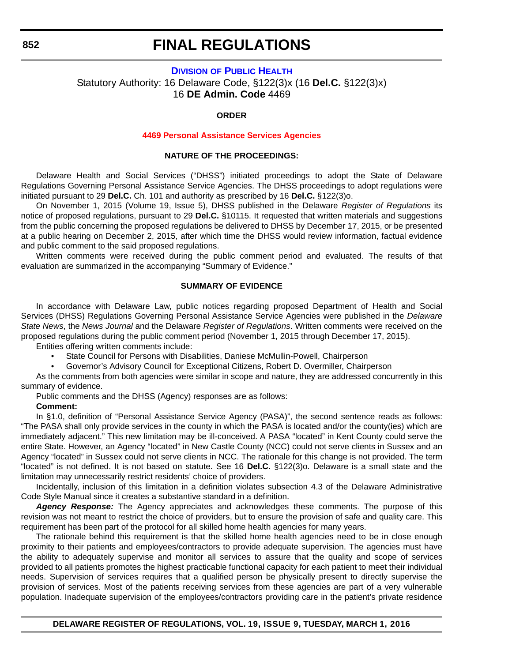# **DIVISION [OF PUBLIC HEALTH](http://www.dhss.delaware.gov/dhss/dph/index.html)** Statutory Authority: 16 Delaware Code, §122(3)x (16 **Del.C.** §122(3)x) 16 **DE Admin. Code** 4469

#### **ORDER**

#### **[4469 Personal Assistance Services Agencies](#page-4-0)**

#### **NATURE OF THE PROCEEDINGS:**

Delaware Health and Social Services ("DHSS") initiated proceedings to adopt the State of Delaware Regulations Governing Personal Assistance Service Agencies. The DHSS proceedings to adopt regulations were initiated pursuant to 29 **Del.C.** Ch. 101 and authority as prescribed by 16 **Del.C.** §122(3)o.

On November 1, 2015 (Volume 19, Issue 5), DHSS published in the Delaware *Register of Regulations* its notice of proposed regulations, pursuant to 29 **Del.C.** §10115. It requested that written materials and suggestions from the public concerning the proposed regulations be delivered to DHSS by December 17, 2015, or be presented at a public hearing on December 2, 2015, after which time the DHSS would review information, factual evidence and public comment to the said proposed regulations.

Written comments were received during the public comment period and evaluated. The results of that evaluation are summarized in the accompanying "Summary of Evidence."

### **SUMMARY OF EVIDENCE**

In accordance with Delaware Law, public notices regarding proposed Department of Health and Social Services (DHSS) Regulations Governing Personal Assistance Service Agencies were published in the *Delaware State News*, the *News Journal* and the Delaware *Register of Regulations*. Written comments were received on the proposed regulations during the public comment period (November 1, 2015 through December 17, 2015). Entities offering written comments include:

- State Council for Persons with Disabilities, Daniese McMullin-Powell, Chairperson
- Governor's Advisory Council for Exceptional Citizens, Robert D. Overmiller, Chairperson

As the comments from both agencies were similar in scope and nature, they are addressed concurrently in this summary of evidence.

Public comments and the DHSS (Agency) responses are as follows:

### **Comment:**

In §1.0, definition of "Personal Assistance Service Agency (PASA)", the second sentence reads as follows: "The PASA shall only provide services in the county in which the PASA is located and/or the county(ies) which are immediately adjacent." This new limitation may be ill-conceived. A PASA "located" in Kent County could serve the entire State. However, an Agency "located" in New Castle County (NCC) could not serve clients in Sussex and an Agency "located" in Sussex could not serve clients in NCC. The rationale for this change is not provided. The term "located" is not defined. It is not based on statute. See 16 **Del.C.** §122(3)o. Delaware is a small state and the limitation may unnecessarily restrict residents' choice of providers.

Incidentally, inclusion of this limitation in a definition violates subsection 4.3 of the Delaware Administrative Code Style Manual since it creates a substantive standard in a definition.

*Agency Response:* The Agency appreciates and acknowledges these comments. The purpose of this revision was not meant to restrict the choice of providers, but to ensure the provision of safe and quality care. This requirement has been part of the protocol for all skilled home health agencies for many years.

The rationale behind this requirement is that the skilled home health agencies need to be in close enough proximity to their patients and employees/contractors to provide adequate supervision. The agencies must have the ability to adequately supervise and monitor all services to assure that the quality and scope of services provided to all patients promotes the highest practicable functional capacity for each patient to meet their individual needs. Supervision of services requires that a qualified person be physically present to directly supervise the provision of services. Most of the patients receiving services from these agencies are part of a very vulnerable population. Inadequate supervision of the employees/contractors providing care in the patient's private residence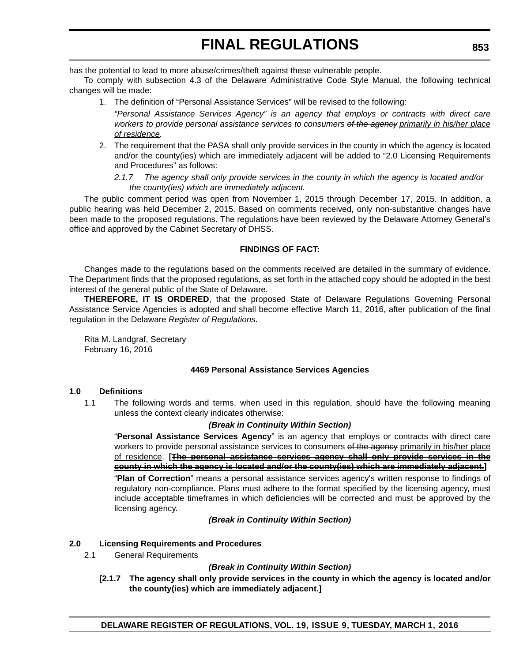has the potential to lead to more abuse/crimes/theft against these vulnerable people.

To comply with subsection 4.3 of the Delaware Administrative Code Style Manual, the following technical changes will be made:

1. The definition of "Personal Assistance Services" will be revised to the following:

*"Personal Assistance Services Agency" is an agency that employs or contracts with direct care workers to provide personal assistance services to consumers of the agency primarily in his/her place of residence.*

- 2. The requirement that the PASA shall only provide services in the county in which the agency is located and/or the county(ies) which are immediately adjacent will be added to "2.0 Licensing Requirements and Procedures" as follows:
	- *2.1.7 The agency shall only provide services in the county in which the agency is located and/or the county(ies) which are immediately adjacent.*

The public comment period was open from November 1, 2015 through December 17, 2015. In addition, a public hearing was held December 2, 2015. Based on comments received, only non-substantive changes have been made to the proposed regulations. The regulations have been reviewed by the Delaware Attorney General's office and approved by the Cabinet Secretary of DHSS.

# **FINDINGS OF FACT:**

Changes made to the regulations based on the comments received are detailed in the summary of evidence. The Department finds that the proposed regulations, as set forth in the attached copy should be adopted in the best interest of the general public of the State of Delaware.

**THEREFORE, IT IS ORDERED**, that the proposed State of Delaware Regulations Governing Personal Assistance Service Agencies is adopted and shall become effective March 11, 2016, after publication of the final regulation in the Delaware *Register of Regulations*.

Rita M. Landgraf, Secretary February 16, 2016

# **4469 Personal Assistance Services Agencies**

### **1.0 Definitions**

1.1 The following words and terms, when used in this regulation, should have the following meaning unless the context clearly indicates otherwise:

### *(Break in Continuity Within Section)*

"**Personal Assistance Services Agency**" is an agency that employs or contracts with direct care workers to provide personal assistance services to consumers of the agency primarily in his/her place of residence. **[The personal assistance services agency shall only provide services in the county in which the agency is located and/or the county(ies) which are immediately adjacent.]** "**Plan of Correction**" means a personal assistance services agency's written response to findings of regulatory non-compliance. Plans must adhere to the format specified by the licensing agency, must include acceptable timeframes in which deficiencies will be corrected and must be approved by the licensing agency.

*(Break in Continuity Within Section)*

### **2.0 Licensing Requirements and Procedures**

2.1 General Requirements

### *(Break in Continuity Within Section)*

**[2.1.7 The agency shall only provide services in the county in which the agency is located and/or the county(ies) which are immediately adjacent.]**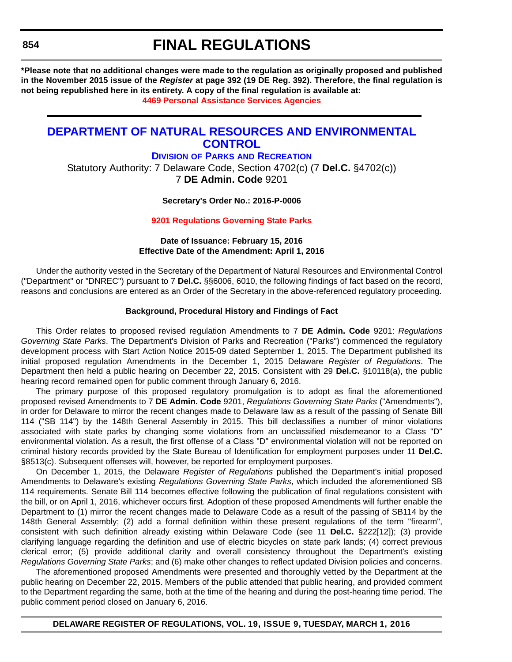**\*Please note that no additional changes were made to the regulation as originally proposed and published in the November 2015 issue of the** *Register* **at page 392 (19 DE Reg. 392). Therefore, the final regulation is not being republished here in its entirety. A copy of the final regulation is available at:**

**[4469 Personal Assistance Services Agencies](http://regulations.delaware.gov/register/march2016/final/19 DE Reg 852 03-01-16.htm)**

# **[DEPARTMENT OF NATURAL RESOURCES AND ENVIRONMENTAL](http://www.dnrec.delaware.gov/Pages/Portal.aspx)  CONTROL**

**DIVISION OF PARKS [AND RECREATION](http://www.destateparks.com/)**

Statutory Authority: 7 Delaware Code, Section 4702(c) (7 **Del.C.** §4702(c)) 7 **DE Admin. Code** 9201

**Secretary's Order No.: 2016-P-0006**

**[9201 Regulations Governing State Parks](#page-4-0)**

## **Date of Issuance: February 15, 2016 Effective Date of the Amendment: April 1, 2016**

Under the authority vested in the Secretary of the Department of Natural Resources and Environmental Control ("Department" or "DNREC") pursuant to 7 **Del.C.** §§6006, 6010, the following findings of fact based on the record, reasons and conclusions are entered as an Order of the Secretary in the above-referenced regulatory proceeding.

### **Background, Procedural History and Findings of Fact**

This Order relates to proposed revised regulation Amendments to 7 **DE Admin. Code** 9201: *Regulations Governing State Parks*. The Department's Division of Parks and Recreation ("Parks") commenced the regulatory development process with Start Action Notice 2015-09 dated September 1, 2015. The Department published its initial proposed regulation Amendments in the December 1, 2015 Delaware *Register of Regulations*. The Department then held a public hearing on December 22, 2015. Consistent with 29 **Del.C.** §10118(a), the public hearing record remained open for public comment through January 6, 2016.

The primary purpose of this proposed regulatory promulgation is to adopt as final the aforementioned proposed revised Amendments to 7 **DE Admin. Code** 9201, *Regulations Governing State Parks* ("Amendments"), in order for Delaware to mirror the recent changes made to Delaware law as a result of the passing of Senate Bill 114 ("SB 114") by the 148th General Assembly in 2015. This bill declassifies a number of minor violations associated with state parks by changing some violations from an unclassified misdemeanor to a Class "D" environmental violation. As a result, the first offense of a Class "D" environmental violation will not be reported on criminal history records provided by the State Bureau of Identification for employment purposes under 11 **Del.C.** §8513(c). Subsequent offenses will, however, be reported for employment purposes.

On December 1, 2015, the Delaware *Register of Regulations* published the Department's initial proposed Amendments to Delaware's existing *Regulations Governing State Parks*, which included the aforementioned SB 114 requirements. Senate Bill 114 becomes effective following the publication of final regulations consistent with the bill, or on April 1, 2016, whichever occurs first. Adoption of these proposed Amendments will further enable the Department to (1) mirror the recent changes made to Delaware Code as a result of the passing of SB114 by the 148th General Assembly; (2) add a formal definition within these present regulations of the term "firearm", consistent with such definition already existing within Delaware Code (see 11 **Del.C.** §222[12]); (3) provide clarifying language regarding the definition and use of electric bicycles on state park lands; (4) correct previous clerical error; (5) provide additional clarity and overall consistency throughout the Department's existing *Regulations Governing State Parks*; and (6) make other changes to reflect updated Division policies and concerns.

The aforementioned proposed Amendments were presented and thoroughly vetted by the Department at the public hearing on December 22, 2015. Members of the public attended that public hearing, and provided comment to the Department regarding the same, both at the time of the hearing and during the post-hearing time period. The public comment period closed on January 6, 2016.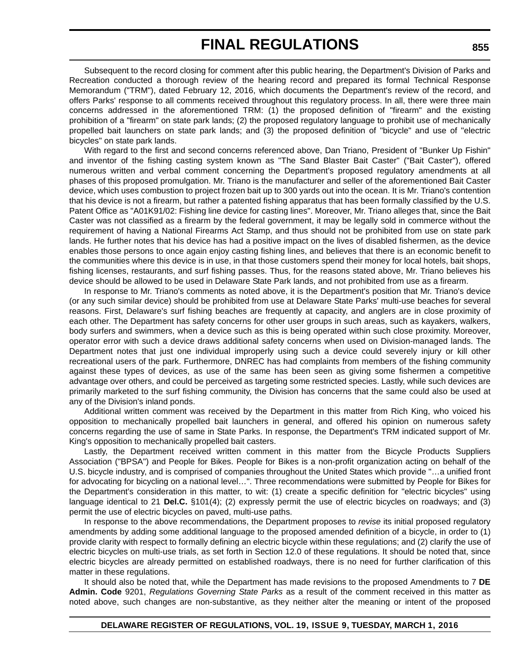Subsequent to the record closing for comment after this public hearing, the Department's Division of Parks and Recreation conducted a thorough review of the hearing record and prepared its formal Technical Response Memorandum ("TRM"), dated February 12, 2016, which documents the Department's review of the record, and offers Parks' response to all comments received throughout this regulatory process. In all, there were three main concerns addressed in the aforementioned TRM: (1) the proposed definition of "firearm" and the existing prohibition of a "firearm" on state park lands; (2) the proposed regulatory language to prohibit use of mechanically propelled bait launchers on state park lands; and (3) the proposed definition of "bicycle" and use of "electric bicycles" on state park lands.

With regard to the first and second concerns referenced above, Dan Triano, President of "Bunker Up Fishin" and inventor of the fishing casting system known as "The Sand Blaster Bait Caster" ("Bait Caster"), offered numerous written and verbal comment concerning the Department's proposed regulatory amendments at all phases of this proposed promulgation. Mr. Triano is the manufacturer and seller of the aforementioned Bait Caster device, which uses combustion to project frozen bait up to 300 yards out into the ocean. It is Mr. Triano's contention that his device is not a firearm, but rather a patented fishing apparatus that has been formally classified by the U.S. Patent Office as "A01K91/02: Fishing line device for casting lines". Moreover, Mr. Triano alleges that, since the Bait Caster was not classified as a firearm by the federal government, it may be legally sold in commerce without the requirement of having a National Firearms Act Stamp, and thus should not be prohibited from use on state park lands. He further notes that his device has had a positive impact on the lives of disabled fishermen, as the device enables those persons to once again enjoy casting fishing lines, and believes that there is an economic benefit to the communities where this device is in use, in that those customers spend their money for local hotels, bait shops, fishing licenses, restaurants, and surf fishing passes. Thus, for the reasons stated above, Mr. Triano believes his device should be allowed to be used in Delaware State Park lands, and not prohibited from use as a firearm.

In response to Mr. Triano's comments as noted above, it is the Department's position that Mr. Triano's device (or any such similar device) should be prohibited from use at Delaware State Parks' multi-use beaches for several reasons. First, Delaware's surf fishing beaches are frequently at capacity, and anglers are in close proximity of each other. The Department has safety concerns for other user groups in such areas, such as kayakers, walkers, body surfers and swimmers, when a device such as this is being operated within such close proximity. Moreover, operator error with such a device draws additional safety concerns when used on Division-managed lands. The Department notes that just one individual improperly using such a device could severely injury or kill other recreational users of the park. Furthermore, DNREC has had complaints from members of the fishing community against these types of devices, as use of the same has been seen as giving some fishermen a competitive advantage over others, and could be perceived as targeting some restricted species. Lastly, while such devices are primarily marketed to the surf fishing community, the Division has concerns that the same could also be used at any of the Division's inland ponds.

Additional written comment was received by the Department in this matter from Rich King, who voiced his opposition to mechanically propelled bait launchers in general, and offered his opinion on numerous safety concerns regarding the use of same in State Parks. In response, the Department's TRM indicated support of Mr. King's opposition to mechanically propelled bait casters.

Lastly, the Department received written comment in this matter from the Bicycle Products Suppliers Association ("BPSA") and People for Bikes. People for Bikes is a non-profit organization acting on behalf of the U.S. bicycle industry, and is comprised of companies throughout the United States which provide "…a unified front for advocating for bicycling on a national level…". Three recommendations were submitted by People for Bikes for the Department's consideration in this matter, to wit: (1) create a specific definition for "electric bicycles" using language identical to 21 **Del.C.** §101(4); (2) expressly permit the use of electric bicycles on roadways; and (3) permit the use of electric bicycles on paved, multi-use paths.

In response to the above recommendations, the Department proposes to *revise* its initial proposed regulatory amendments by adding some additional language to the proposed amended definition of a bicycle, in order to (1) provide clarity with respect to formally defining an electric bicycle within these regulations; and (2) clarify the use of electric bicycles on multi-use trials, as set forth in Section 12.0 of these regulations. It should be noted that, since electric bicycles are already permitted on established roadways, there is no need for further clarification of this matter in these regulations.

It should also be noted that, while the Department has made revisions to the proposed Amendments to 7 **DE Admin. Code** 9201, *Regulations Governing State Parks* as a result of the comment received in this matter as noted above, such changes are non-substantive, as they neither alter the meaning or intent of the proposed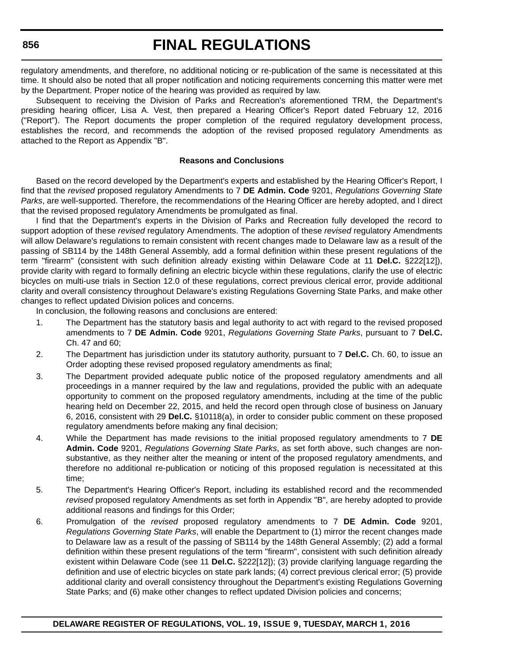regulatory amendments, and therefore, no additional noticing or re-publication of the same is necessitated at this time. It should also be noted that all proper notification and noticing requirements concerning this matter were met by the Department. Proper notice of the hearing was provided as required by law.

Subsequent to receiving the Division of Parks and Recreation's aforementioned TRM, the Department's presiding hearing officer, Lisa A. Vest, then prepared a Hearing Officer's Report dated February 12, 2016 ("Report"). The Report documents the proper completion of the required regulatory development process, establishes the record, and recommends the adoption of the revised proposed regulatory Amendments as attached to the Report as Appendix "B".

#### **Reasons and Conclusions**

Based on the record developed by the Department's experts and established by the Hearing Officer's Report, I find that the *revised* proposed regulatory Amendments to 7 **DE Admin. Code** 9201, *Regulations Governing State Parks*, are well-supported. Therefore, the recommendations of the Hearing Officer are hereby adopted, and I direct that the revised proposed regulatory Amendments be promulgated as final.

I find that the Department's experts in the Division of Parks and Recreation fully developed the record to support adoption of these *revised* regulatory Amendments. The adoption of these *revised* regulatory Amendments will allow Delaware's regulations to remain consistent with recent changes made to Delaware law as a result of the passing of SB114 by the 148th General Assembly, add a formal definition within these present regulations of the term "firearm" (consistent with such definition already existing within Delaware Code at 11 **Del.C.** §222[12]), provide clarity with regard to formally defining an electric bicycle within these regulations, clarify the use of electric bicycles on multi-use trials in Section 12.0 of these regulations, correct previous clerical error, provide additional clarity and overall consistency throughout Delaware's existing Regulations Governing State Parks, and make other changes to reflect updated Division polices and concerns.

In conclusion, the following reasons and conclusions are entered:

- 1. The Department has the statutory basis and legal authority to act with regard to the revised proposed amendments to 7 **DE Admin. Code** 9201, *Regulations Governing State Parks*, pursuant to 7 **Del.C.** Ch. 47 and 60;
- 2. The Department has jurisdiction under its statutory authority, pursuant to 7 **Del.C.** Ch. 60, to issue an Order adopting these revised proposed regulatory amendments as final;
- 3. The Department provided adequate public notice of the proposed regulatory amendments and all proceedings in a manner required by the law and regulations, provided the public with an adequate opportunity to comment on the proposed regulatory amendments, including at the time of the public hearing held on December 22, 2015, and held the record open through close of business on January 6, 2016, consistent with 29 **Del.C.** §10118(a), in order to consider public comment on these proposed regulatory amendments before making any final decision;
- 4. While the Department has made revisions to the initial proposed regulatory amendments to 7 **DE Admin. Code** 9201, *Regulations Governing State Parks*, as set forth above, such changes are nonsubstantive, as they neither alter the meaning or intent of the proposed regulatory amendments, and therefore no additional re-publication or noticing of this proposed regulation is necessitated at this time;
- 5. The Department's Hearing Officer's Report, including its established record and the recommended *revised* proposed regulatory Amendments as set forth in Appendix "B", are hereby adopted to provide additional reasons and findings for this Order;
- 6. Promulgation of the *revised* proposed regulatory amendments to 7 **DE Admin. Code** 9201, *Regulations Governing State Parks*, will enable the Department to (1) mirror the recent changes made to Delaware law as a result of the passing of SB114 by the 148th General Assembly; (2) add a formal definition within these present regulations of the term "firearm", consistent with such definition already existent within Delaware Code (see 11 **Del.C.** §222[12]); (3) provide clarifying language regarding the definition and use of electric bicycles on state park lands; (4) correct previous clerical error; (5) provide additional clarity and overall consistency throughout the Department's existing Regulations Governing State Parks; and (6) make other changes to reflect updated Division policies and concerns;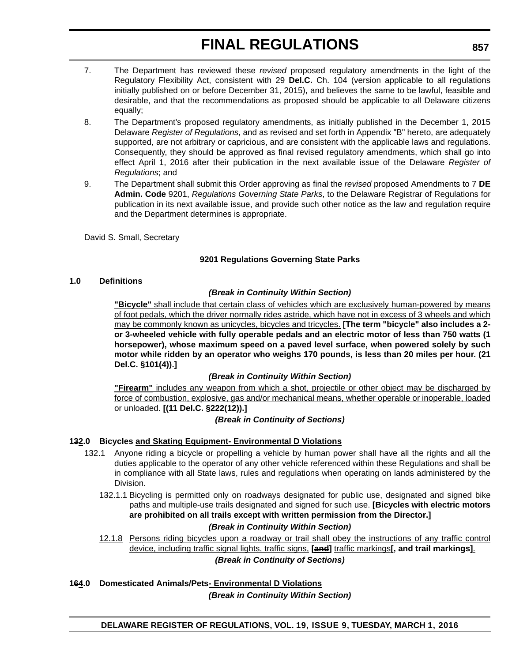- 7. The Department has reviewed these *revised* proposed regulatory amendments in the light of the Regulatory Flexibility Act, consistent with 29 **Del.C.** Ch. 104 (version applicable to all regulations initially published on or before December 31, 2015), and believes the same to be lawful, feasible and desirable, and that the recommendations as proposed should be applicable to all Delaware citizens equally;
- 8. The Department's proposed regulatory amendments, as initially published in the December 1, 2015 Delaware *Register of Regulations*, and as revised and set forth in Appendix "B" hereto, are adequately supported, are not arbitrary or capricious, and are consistent with the applicable laws and regulations. Consequently, they should be approved as final revised regulatory amendments, which shall go into effect April 1, 2016 after their publication in the next available issue of the Delaware *Register of Regulations*; and
- 9. The Department shall submit this Order approving as final the *revised* proposed Amendments to 7 **DE Admin. Code** 9201, *Regulations Governing State Parks*, to the Delaware Registrar of Regulations for publication in its next available issue, and provide such other notice as the law and regulation require and the Department determines is appropriate.

David S. Small, Secretary

### **9201 Regulations Governing State Parks**

### **1.0 Definitions**

### *(Break in Continuity Within Section)*

**"Bicycle"** shall include that certain class of vehicles which are exclusively human-powered by means of foot pedals, which the driver normally rides astride, which have not in excess of 3 wheels and which may be commonly known as unicycles, bicycles and tricycles. **[The term "bicycle" also includes a 2 or 3-wheeled vehicle with fully operable pedals and an electric motor of less than 750 watts (1 horsepower), whose maximum speed on a paved level surface, when powered solely by such motor while ridden by an operator who weighs 170 pounds, is less than 20 miles per hour. (21 Del.C. §101(4)).]**

### *(Break in Continuity Within Section)*

**"Firearm"** includes any weapon from which a shot, projectile or other object may be discharged by force of combustion, explosive, gas and/or mechanical means, whether operable or inoperable, loaded or unloaded. **[(11 Del.C. §222(12)).]**

*(Break in Continuity of Sections)*

### **132.0 Bicycles and Skating Equipment- Environmental D Violations**

- 132.1 Anyone riding a bicycle or propelling a vehicle by human power shall have all the rights and all the duties applicable to the operator of any other vehicle referenced within these Regulations and shall be in compliance with all State laws, rules and regulations when operating on lands administered by the Division.
	- 132.1.1 Bicycling is permitted only on roadways designated for public use, designated and signed bike paths and multiple-use trails designated and signed for such use. **[Bicycles with electric motors are prohibited on all trails except with written permission from the Director.]**

### *(Break in Continuity Within Section)*

12.1.8 Persons riding bicycles upon a roadway or trail shall obey the instructions of any traffic control device, including traffic signal lights, traffic signs, **[and]** traffic markings**[, and trail markings]**.

*(Break in Continuity of Sections)*

**164.0 Domesticated Animals/Pets- Environmental D Violations** *(Break in Continuity Within Section)*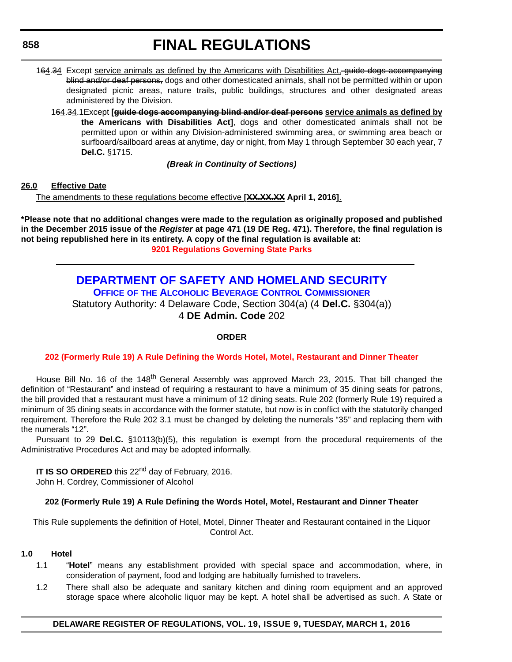**858**

# **FINAL REGULATIONS**

- 164.34 Except service animals as defined by the Americans with Disabilities Act, guide dogs accompanying blind and/or deaf persons, dogs and other domesticated animals, shall not be permitted within or upon designated picnic areas, nature trails, public buildings, structures and other designated areas administered by the Division.
	- 164.34.1Except **[guide dogs accompanying blind and/or deaf persons service animals as defined by the Americans with Disabilities Act]**, dogs and other domesticated animals shall not be permitted upon or within any Division-administered swimming area, or swimming area beach or surfboard/sailboard areas at anytime, day or night, from May 1 through September 30 each year, 7 **Del.C.** §1715.

# *(Break in Continuity of Sections)*

# **26.0 Effective Date**

The amendments to these regulations become effective **[XX.XX.XX April 1, 2016]**.

**\*Please note that no additional changes were made to the regulation as originally proposed and published in the December 2015 issue of the** *Register* **at page 471 (19 DE Reg. 471). Therefore, the final regulation is not being republished here in its entirety. A copy of the final regulation is available at: [9201 Regulations Governing State Parks](http://regulations.delaware.gov/register/march2016/final/19 DE Reg 854 03-01-16.htm)**

# **[DEPARTMENT OF SAFETY AND HOMELAND SECURITY](http://dshs.delaware.gov/) OFFICE OF [THE ALCOHOLIC BEVERAGE CONTROL COMMISSIONER](http://date.delaware.gov/OABCC/index.shtml)** Statutory Authority: 4 Delaware Code, Section 304(a) (4 **Del.C.** §304(a)) 4 **DE Admin. Code** 202

### **ORDER**

# **[202 \(Formerly Rule 19\) A Rule Defining the Words Hotel, Motel, Restaurant and Dinner Theater](#page-4-0)**

House Bill No. 16 of the 148<sup>th</sup> General Assembly was approved March 23, 2015. That bill changed the definition of "Restaurant" and instead of requiring a restaurant to have a minimum of 35 dining seats for patrons, the bill provided that a restaurant must have a minimum of 12 dining seats. Rule 202 (formerly Rule 19) required a minimum of 35 dining seats in accordance with the former statute, but now is in conflict with the statutorily changed requirement. Therefore the Rule 202 3.1 must be changed by deleting the numerals "35" and replacing them with the numerals "12".

Pursuant to 29 **Del.C.** §10113(b)(5), this regulation is exempt from the procedural requirements of the Administrative Procedures Act and may be adopted informally.

**IT IS SO ORDERED** this 22<sup>nd</sup> day of February, 2016.

John H. Cordrey, Commissioner of Alcohol

# **202 (Formerly Rule 19) A Rule Defining the Words Hotel, Motel, Restaurant and Dinner Theater**

This Rule supplements the definition of Hotel, Motel, Dinner Theater and Restaurant contained in the Liquor Control Act.

### **1.0 Hotel**

- 1.1 "**Hotel**" means any establishment provided with special space and accommodation, where, in consideration of payment, food and lodging are habitually furnished to travelers.
- 1.2 There shall also be adequate and sanitary kitchen and dining room equipment and an approved storage space where alcoholic liquor may be kept. A hotel shall be advertised as such. A State or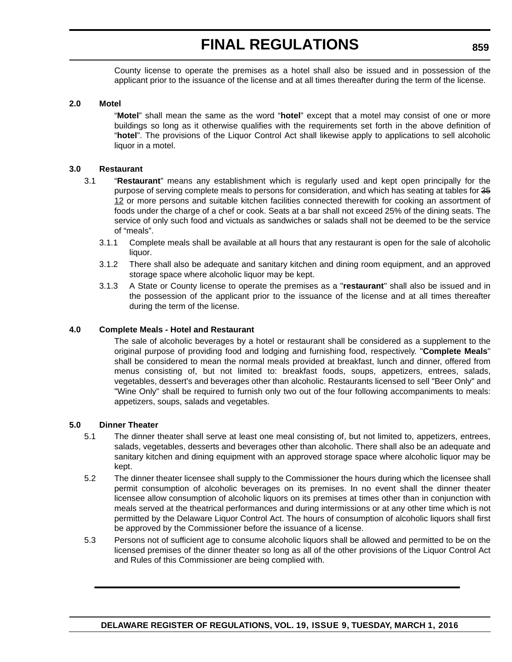County license to operate the premises as a hotel shall also be issued and in possession of the applicant prior to the issuance of the license and at all times thereafter during the term of the license.

### **2.0 Motel**

"**Motel**" shall mean the same as the word "**hotel**" except that a motel may consist of one or more buildings so long as it otherwise qualifies with the requirements set forth in the above definition of "**hotel**". The provisions of the Liquor Control Act shall likewise apply to applications to sell alcoholic liquor in a motel.

### **3.0 Restaurant**

- 3.1 "**Restaurant**" means any establishment which is regularly used and kept open principally for the purpose of serving complete meals to persons for consideration, and which has seating at tables for 35 12 or more persons and suitable kitchen facilities connected therewith for cooking an assortment of foods under the charge of a chef or cook. Seats at a bar shall not exceed 25% of the dining seats. The service of only such food and victuals as sandwiches or salads shall not be deemed to be the service of "meals".
	- 3.1.1 Complete meals shall be available at all hours that any restaurant is open for the sale of alcoholic liquor.
	- 3.1.2 There shall also be adequate and sanitary kitchen and dining room equipment, and an approved storage space where alcoholic liquor may be kept.
	- 3.1.3 A State or County license to operate the premises as a "**restaurant**" shall also be issued and in the possession of the applicant prior to the issuance of the license and at all times thereafter during the term of the license.

### **4.0 Complete Meals - Hotel and Restaurant**

The sale of alcoholic beverages by a hotel or restaurant shall be considered as a supplement to the original purpose of providing food and lodging and furnishing food, respectively. "**Complete Meals**" shall be considered to mean the normal meals provided at breakfast, lunch and dinner, offered from menus consisting of, but not limited to: breakfast foods, soups, appetizers, entrees, salads, vegetables, dessert's and beverages other than alcoholic. Restaurants licensed to sell "Beer Only" and "Wine Only" shall be required to furnish only two out of the four following accompaniments to meals: appetizers, soups, salads and vegetables.

#### **5.0 Dinner Theater**

- 5.1 The dinner theater shall serve at least one meal consisting of, but not limited to, appetizers, entrees, salads, vegetables, desserts and beverages other than alcoholic. There shall also be an adequate and sanitary kitchen and dining equipment with an approved storage space where alcoholic liquor may be kept.
- 5.2 The dinner theater licensee shall supply to the Commissioner the hours during which the licensee shall permit consumption of alcoholic beverages on its premises. In no event shall the dinner theater licensee allow consumption of alcoholic liquors on its premises at times other than in conjunction with meals served at the theatrical performances and during intermissions or at any other time which is not permitted by the Delaware Liquor Control Act. The hours of consumption of alcoholic liquors shall first be approved by the Commissioner before the issuance of a license.
- 5.3 Persons not of sufficient age to consume alcoholic liquors shall be allowed and permitted to be on the licensed premises of the dinner theater so long as all of the other provisions of the Liquor Control Act and Rules of this Commissioner are being complied with.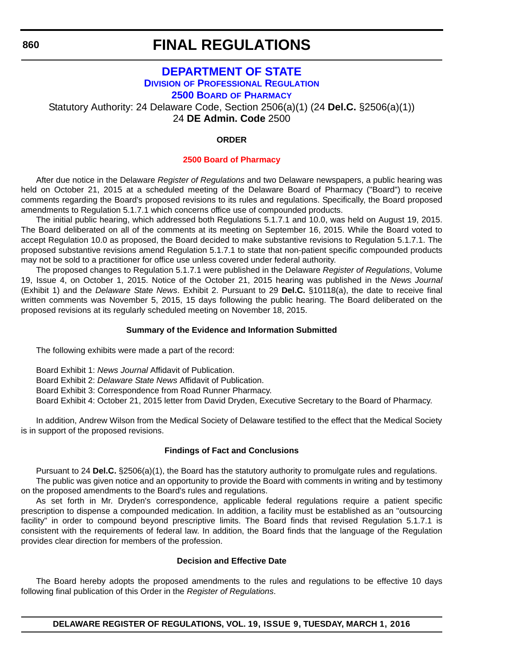**860**

# **FINAL REGULATIONS**

## **[DEPARTMENT OF STATE](http://sos.delaware.gov/) DIVISION [OF PROFESSIONAL REGULATION](http://dpr.delaware.gov/) 2500 BOARD [OF PHARMACY](http://dpr.delaware.gov/boards/pharmacy/index.shtml)**

Statutory Authority: 24 Delaware Code, Section 2506(a)(1) (24 **Del.C.** §2506(a)(1))

24 **DE Admin. Code** 2500

## **ORDER**

#### **[2500 Board of Pharmacy](#page-4-0)**

After due notice in the Delaware *Register of Regulations* and two Delaware newspapers, a public hearing was held on October 21, 2015 at a scheduled meeting of the Delaware Board of Pharmacy ("Board") to receive comments regarding the Board's proposed revisions to its rules and regulations. Specifically, the Board proposed amendments to Regulation 5.1.7.1 which concerns office use of compounded products.

The initial public hearing, which addressed both Regulations 5.1.7.1 and 10.0, was held on August 19, 2015. The Board deliberated on all of the comments at its meeting on September 16, 2015. While the Board voted to accept Regulation 10.0 as proposed, the Board decided to make substantive revisions to Regulation 5.1.7.1. The proposed substantive revisions amend Regulation 5.1.7.1 to state that non-patient specific compounded products may not be sold to a practitioner for office use unless covered under federal authority.

The proposed changes to Regulation 5.1.7.1 were published in the Delaware *Register of Regulations*, Volume 19, Issue 4, on October 1, 2015. Notice of the October 21, 2015 hearing was published in the *News Journal* (Exhibit 1) and the *Delaware State News*. Exhibit 2. Pursuant to 29 **Del.C.** §10118(a), the date to receive final written comments was November 5, 2015, 15 days following the public hearing. The Board deliberated on the proposed revisions at its regularly scheduled meeting on November 18, 2015.

#### **Summary of the Evidence and Information Submitted**

The following exhibits were made a part of the record:

- Board Exhibit 1: *News Journal* Affidavit of Publication.
- Board Exhibit 2: *Delaware State News* Affidavit of Publication.
- Board Exhibit 3: Correspondence from Road Runner Pharmacy.
- Board Exhibit 4: October 21, 2015 letter from David Dryden, Executive Secretary to the Board of Pharmacy.

In addition, Andrew Wilson from the Medical Society of Delaware testified to the effect that the Medical Society is in support of the proposed revisions.

#### **Findings of Fact and Conclusions**

Pursuant to 24 **Del.C.** §2506(a)(1), the Board has the statutory authority to promulgate rules and regulations.

The public was given notice and an opportunity to provide the Board with comments in writing and by testimony on the proposed amendments to the Board's rules and regulations.

As set forth in Mr. Dryden's correspondence, applicable federal regulations require a patient specific prescription to dispense a compounded medication. In addition, a facility must be established as an "outsourcing facility" in order to compound beyond prescriptive limits. The Board finds that revised Regulation 5.1.7.1 is consistent with the requirements of federal law. In addition, the Board finds that the language of the Regulation provides clear direction for members of the profession.

### **Decision and Effective Date**

The Board hereby adopts the proposed amendments to the rules and regulations to be effective 10 days following final publication of this Order in the *Register of Regulations*.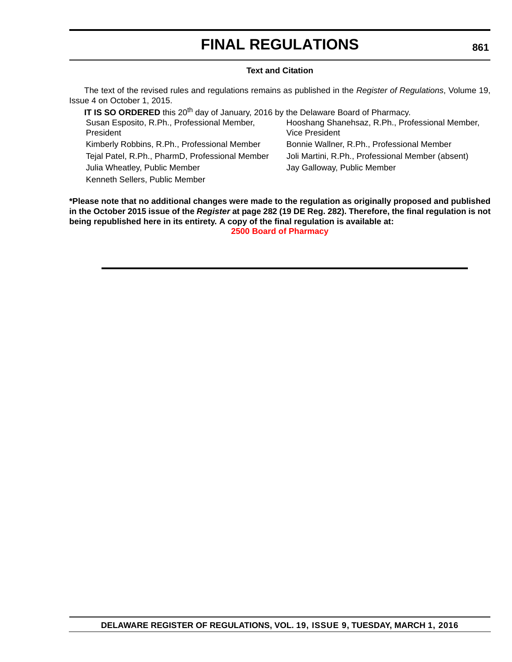# **FINAL REGULATIONS**

#### **Text and Citation**

The text of the revised rules and regulations remains as published in the *Register of Regulations*, Volume 19, Issue 4 on October 1, 2015.

**IT IS SO ORDERED** this 20<sup>th</sup> day of January, 2016 by the Delaware Board of Pharmacy. Susan Esposito, R.Ph., Professional Member, President Hooshang Shanehsaz, R.Ph., Professional Member, Vice President Kimberly Robbins, R.Ph., Professional Member Bonnie Wallner, R.Ph., Professional Member Tejal Patel, R.Ph., PharmD, Professional Member Joli Martini, R.Ph., Professional Member (absent) Julia Wheatley, Public Member **Jay Galloway, Public Member** Jay Galloway, Public Member Kenneth Sellers, Public Member

**\*Please note that no additional changes were made to the regulation as originally proposed and published in the October 2015 issue of the** *Register* **at page 282 (19 DE Reg. 282). Therefore, the final regulation is not being republished here in its entirety. A copy of the final regulation is available at: [2500 Board of Pharmacy](http://regulations.delaware.gov/register/march2016/final/19 DE Reg 860 03-01-16.htm)**

#### **861**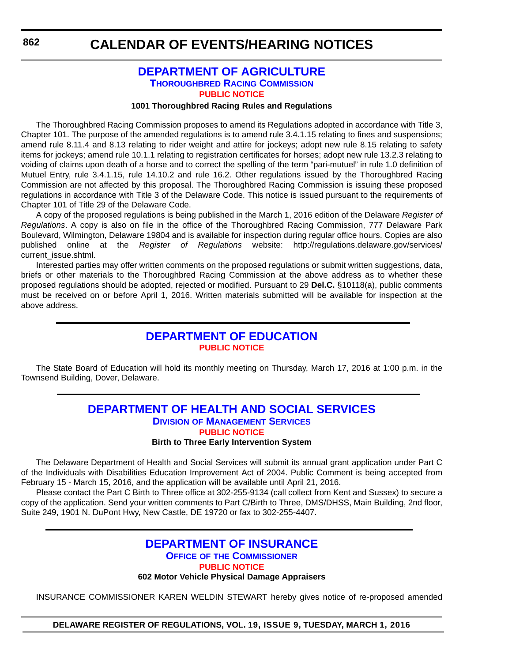## **[DEPARTMENT OF AGRICULTURE](http://dda.delaware.gov/) [THOROUGHBRED RACING COMMISSION](http://dda.delaware.gov/thoroughbred/index.shtml) [PUBLIC NOTICE](#page-4-0)**

#### **1001 Thoroughbred Racing Rules and Regulations**

The Thoroughbred Racing Commission proposes to amend its Regulations adopted in accordance with Title 3, Chapter 101. The purpose of the amended regulations is to amend rule 3.4.1.15 relating to fines and suspensions; amend rule 8.11.4 and 8.13 relating to rider weight and attire for jockeys; adopt new rule 8.15 relating to safety items for jockeys; amend rule 10.1.1 relating to registration certificates for horses; adopt new rule 13.2.3 relating to voiding of claims upon death of a horse and to correct the spelling of the term "pari-mutuel" in rule 1.0 definition of Mutuel Entry, rule 3.4.1.15, rule 14.10.2 and rule 16.2. Other regulations issued by the Thoroughbred Racing Commission are not affected by this proposal. The Thoroughbred Racing Commission is issuing these proposed regulations in accordance with Title 3 of the Delaware Code. This notice is issued pursuant to the requirements of Chapter 101 of Title 29 of the Delaware Code.

A copy of the proposed regulations is being published in the March 1, 2016 edition of the Delaware *Register of Regulations*. A copy is also on file in the office of the Thoroughbred Racing Commission, 777 Delaware Park Boulevard, Wilmington, Delaware 19804 and is available for inspection during regular office hours. Copies are also published online at the *Register of Regulations* website: http://regulations.delaware.gov/services/ current\_issue.shtml.

Interested parties may offer written comments on the proposed regulations or submit written suggestions, data, briefs or other materials to the Thoroughbred Racing Commission at the above address as to whether these proposed regulations should be adopted, rejected or modified. Pursuant to 29 **Del.C.** §10118(a), public comments must be received on or before April 1, 2016. Written materials submitted will be available for inspection at the above address.

## **[DEPARTMENT OF EDUCATION](http://www.doe.k12.de.us/site/default.aspx?PageID=1) [PUBLIC NOTICE](#page-4-0)**

The State Board of Education will hold its monthly meeting on Thursday, March 17, 2016 at 1:00 p.m. in the Townsend Building, Dover, Delaware.

### **DEPARTMENT OF HEALTH AND SOCIAL SERVICES DIVISION [OF MANAGEMENT SERVICES](http://dhss.delaware.gov/dhss/dms/) [PUBLIC NOTICE](#page-4-0) Birth to Three Early Intervention System**

The Delaware Department of Health and Social Services will submit its annual grant application under Part C of the Individuals with Disabilities Education Improvement Act of 2004. Public Comment is being accepted from February 15 - March 15, 2016, and the application will be available until April 21, 2016.

Please contact the Part C Birth to Three office at 302-255-9134 (call collect from Kent and Sussex) to secure a copy of the application. Send your written comments to Part C/Birth to Three, DMS/DHSS, Main Building, 2nd floor, Suite 249, 1901 N. DuPont Hwy, New Castle, DE 19720 or fax to 302-255-4407.

## **[DEPARTMENT OF INSURANCE](http://www.delawareinsurance.gov/) OFFICE OF [THE COMMISSIONER](http://www.delawareinsurance.gov/bio.shtml) [PUBLIC NOTICE](#page-4-0) 602 Motor Vehicle Physical Damage Appraisers**

INSURANCE COMMISSIONER KAREN WELDIN STEWART hereby gives notice of re-proposed amended

**DELAWARE REGISTER OF REGULATIONS, VOL. 19, ISSUE 9, TUESDAY, MARCH 1, 2016**

**862**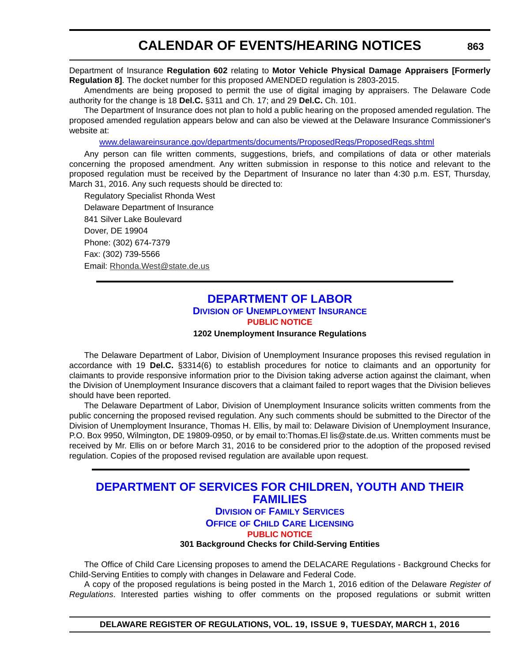#### Department of Insurance **Regulation 602** relating to **Motor Vehicle Physical Damage Appraisers [Formerly Regulation 8]**. The docket number for this proposed AMENDED regulation is 2803-2015.

Amendments are being proposed to permit the use of digital imaging by appraisers. The Delaware Code authority for the change is 18 **Del.C.** §311 and Ch. 17; and 29 **Del.C.** Ch. 101.

The Department of Insurance does not plan to hold a public hearing on the proposed amended regulation. The proposed amended regulation appears below and can also be viewed at the Delaware Insurance Commissioner's website at:

[www.delawareinsurance.gov/departments/documents/ProposedRegs/ProposedRegs.shtml](http://www.delawareinsurance.gov/departments/documents/ProposedRegs/ProposedRegs.shtml)

Any person can file written comments, suggestions, briefs, and compilations of data or other materials concerning the proposed amendment. Any written submission in response to this notice and relevant to the proposed regulation must be received by the Department of Insurance no later than 4:30 p.m. EST, Thursday, March 31, 2016. Any such requests should be directed to:

Regulatory Specialist Rhonda West Delaware Department of Insurance 841 Silver Lake Boulevard Dover, DE 19904 Phone: (302) 674-7379 Fax: (302) 739-5566 Email: [Rhonda.West@state.de.us](mailto:Rhonda.West@state.de.us)

## **[DEPARTMENT OF LABOR](http://dol.delaware.gov/) DIVISION [OF UNEMPLOYMENT INSURANCE](http://ui.delawareworks.com/) [PUBLIC NOTICE](#page-4-0)**

#### **1202 Unemployment Insurance Regulations**

The Delaware Department of Labor, Division of Unemployment Insurance proposes this revised regulation in accordance with 19 **Del.C.** §3314(6) to establish procedures for notice to claimants and an opportunity for claimants to provide responsive information prior to the Division taking adverse action against the claimant, when the Division of Unemployment Insurance discovers that a claimant failed to report wages that the Division believes should have been reported.

The Delaware Department of Labor, Division of Unemployment Insurance solicits written comments from the public concerning the proposed revised regulation. Any such comments should be submitted to the Director of the Division of Unemployment Insurance, Thomas H. Ellis, by mail to: Delaware Division of Unemployment Insurance, P.O. Box 9950, Wilmington, DE 19809-0950, or by email to:Thomas.El lis@state.de.us. Written comments must be received by Mr. Ellis on or before March 31, 2016 to be considered prior to the adoption of the proposed revised regulation. Copies of the proposed revised regulation are available upon request.

## **[DEPARTMENT OF SERVICES FOR CHILDREN, YOUTH AND THEIR](http://kids.delaware.gov/)  FAMILIES**

### **DIVISION [OF FAMILY SERVICES](http://kids.delaware.gov/fs/fs.shtml) OFFICE [OF CHILD CARE LICENSING](http://kids.delaware.gov/occl/occl.shtml) [PUBLIC NOTICE](#page-4-0)**

**301 Background Checks for Child-Serving Entities**

The Office of Child Care Licensing proposes to amend the DELACARE Regulations - Background Checks for Child-Serving Entities to comply with changes in Delaware and Federal Code.

A copy of the proposed regulations is being posted in the March 1, 2016 edition of the Delaware *Register of Regulations*. Interested parties wishing to offer comments on the proposed regulations or submit written

**DELAWARE REGISTER OF REGULATIONS, VOL. 19, ISSUE 9, TUESDAY, MARCH 1, 2016**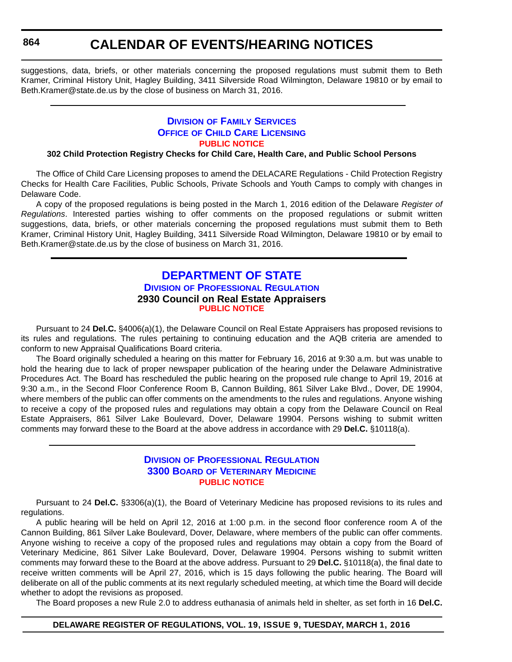**864**

## **CALENDAR OF EVENTS/HEARING NOTICES**

suggestions, data, briefs, or other materials concerning the proposed regulations must submit them to Beth Kramer, Criminal History Unit, Hagley Building, 3411 Silverside Road Wilmington, Delaware 19810 or by email to Beth.Kramer@state.de.us by the close of business on March 31, 2016.

## **DIVISION OF FAMILY SERVICES OFFICE [OF CHILD CARE LICENSING](http://kids.delaware.gov/occl/occl.shtml) [PUBLIC NOTICE](#page-4-0)**

### **302 Child Protection Registry Checks for Child Care, Health Care, and Public School Persons**

The Office of Child Care Licensing proposes to amend the DELACARE Regulations - Child Protection Registry Checks for Health Care Facilities, Public Schools, Private Schools and Youth Camps to comply with changes in Delaware Code.

A copy of the proposed regulations is being posted in the March 1, 2016 edition of the Delaware *Register of Regulations*. Interested parties wishing to offer comments on the proposed regulations or submit written suggestions, data, briefs, or other materials concerning the proposed regulations must submit them to Beth Kramer, Criminal History Unit, Hagley Building, 3411 Silverside Road Wilmington, Delaware 19810 or by email to Beth.Kramer@state.de.us by the close of business on March 31, 2016.

## **[DEPARTMENT OF STATE](http://sos.delaware.gov/) DIVISION [OF PROFESSIONAL REGULATION](http://dpr.delaware.gov/) 2930 Council on Real Estate Appraisers [PUBLIC NOTICE](#page-4-0)**

Pursuant to 24 **Del.C.** §4006(a)(1), the Delaware Council on Real Estate Appraisers has proposed revisions to its rules and regulations. The rules pertaining to continuing education and the AQB criteria are amended to conform to new Appraisal Qualifications Board criteria.

The Board originally scheduled a hearing on this matter for February 16, 2016 at 9:30 a.m. but was unable to hold the hearing due to lack of proper newspaper publication of the hearing under the Delaware Administrative Procedures Act. The Board has rescheduled the public hearing on the proposed rule change to April 19, 2016 at 9:30 a.m., in the Second Floor Conference Room B, Cannon Building, 861 Silver Lake Blvd., Dover, DE 19904, where members of the public can offer comments on the amendments to the rules and regulations. Anyone wishing to receive a copy of the proposed rules and regulations may obtain a copy from the Delaware Council on Real Estate Appraisers, 861 Silver Lake Boulevard, Dover, Delaware 19904. Persons wishing to submit written comments may forward these to the Board at the above address in accordance with 29 **Del.C.** §10118(a).

### **DIVISION [OF PROFESSIONAL REGULATION](http://dpr.delaware.gov/) 3300 BOARD [OF VETERINARY MEDICINE](http://dpr.delaware.gov/boards/veterinarymedicine/index.shtml) [PUBLIC NOTICE](#page-4-0)**

Pursuant to 24 **Del.C.** §3306(a)(1), the Board of Veterinary Medicine has proposed revisions to its rules and regulations.

A public hearing will be held on April 12, 2016 at 1:00 p.m. in the second floor conference room A of the Cannon Building, 861 Silver Lake Boulevard, Dover, Delaware, where members of the public can offer comments. Anyone wishing to receive a copy of the proposed rules and regulations may obtain a copy from the Board of Veterinary Medicine, 861 Silver Lake Boulevard, Dover, Delaware 19904. Persons wishing to submit written comments may forward these to the Board at the above address. Pursuant to 29 **Del.C.** §10118(a), the final date to receive written comments will be April 27, 2016, which is 15 days following the public hearing. The Board will deliberate on all of the public comments at its next regularly scheduled meeting, at which time the Board will decide whether to adopt the revisions as proposed.

The Board proposes a new Rule 2.0 to address euthanasia of animals held in shelter, as set forth in 16 **Del.C.**

#### **DELAWARE REGISTER OF REGULATIONS, VOL. 19, ISSUE 9, TUESDAY, MARCH 1, 2016**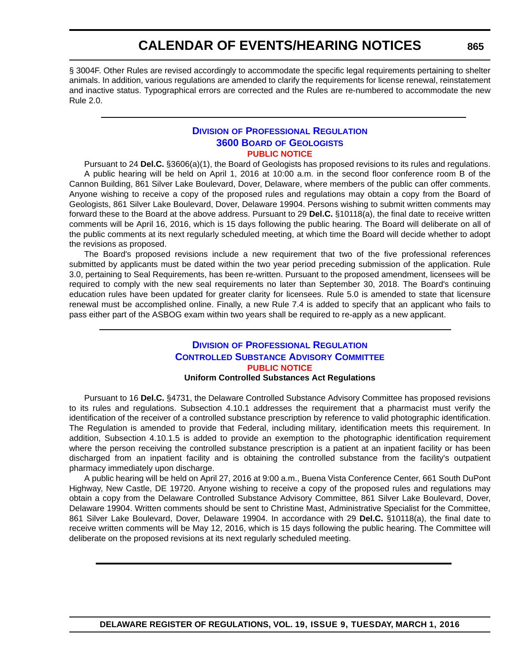§ 3004F. Other Rules are revised accordingly to accommodate the specific legal requirements pertaining to shelter animals. In addition, various regulations are amended to clarify the requirements for license renewal, reinstatement and inactive status. Typographical errors are corrected and the Rules are re-numbered to accommodate the new Rule 2.0.

### **DIVISION [OF PROFESSIONAL REGULATION](http://dpr.delaware.gov/) 3600 BOARD [OF GEOLOGISTS](http://dpr.delaware.gov/boards/geology/index.shtml) [PUBLIC NOTICE](#page-4-0)**

Pursuant to 24 **Del.C.** §3606(a)(1), the Board of Geologists has proposed revisions to its rules and regulations. A public hearing will be held on April 1, 2016 at 10:00 a.m. in the second floor conference room B of the Cannon Building, 861 Silver Lake Boulevard, Dover, Delaware, where members of the public can offer comments. Anyone wishing to receive a copy of the proposed rules and regulations may obtain a copy from the Board of Geologists, 861 Silver Lake Boulevard, Dover, Delaware 19904. Persons wishing to submit written comments may forward these to the Board at the above address. Pursuant to 29 **Del.C.** §10118(a), the final date to receive written comments will be April 16, 2016, which is 15 days following the public hearing. The Board will deliberate on all of the public comments at its next regularly scheduled meeting, at which time the Board will decide whether to adopt the revisions as proposed.

The Board's proposed revisions include a new requirement that two of the five professional references submitted by applicants must be dated within the two year period preceding submission of the application. Rule 3.0, pertaining to Seal Requirements, has been re-written. Pursuant to the proposed amendment, licensees will be required to comply with the new seal requirements no later than September 30, 2018. The Board's continuing education rules have been updated for greater clarity for licensees. Rule 5.0 is amended to state that licensure renewal must be accomplished online. Finally, a new Rule 7.4 is added to specify that an applicant who fails to pass either part of the ASBOG exam within two years shall be required to re-apply as a new applicant.

## **DIVISION [OF PROFESSIONAL REGULATION](http://dpr.delaware.gov/) [CONTROLLED SUBSTANCE ADVISORY COMMITTEE](http://dpr.delaware.gov/boards/controlledsubstances/index.shtml) [PUBLIC NOTICE](#page-4-0)**

**Uniform Controlled Substances Act Regulations**

Pursuant to 16 **Del.C.** §4731, the Delaware Controlled Substance Advisory Committee has proposed revisions to its rules and regulations. Subsection 4.10.1 addresses the requirement that a pharmacist must verify the identification of the receiver of a controlled substance prescription by reference to valid photographic identification. The Regulation is amended to provide that Federal, including military, identification meets this requirement. In addition, Subsection 4.10.1.5 is added to provide an exemption to the photographic identification requirement where the person receiving the controlled substance prescription is a patient at an inpatient facility or has been discharged from an inpatient facility and is obtaining the controlled substance from the facility's outpatient pharmacy immediately upon discharge.

A public hearing will be held on April 27, 2016 at 9:00 a.m., Buena Vista Conference Center, 661 South DuPont Highway, New Castle, DE 19720. Anyone wishing to receive a copy of the proposed rules and regulations may obtain a copy from the Delaware Controlled Substance Advisory Committee, 861 Silver Lake Boulevard, Dover, Delaware 19904. Written comments should be sent to Christine Mast, Administrative Specialist for the Committee, 861 Silver Lake Boulevard, Dover, Delaware 19904. In accordance with 29 **Del.C.** §10118(a), the final date to receive written comments will be May 12, 2016, which is 15 days following the public hearing. The Committee will deliberate on the proposed revisions at its next regularly scheduled meeting.